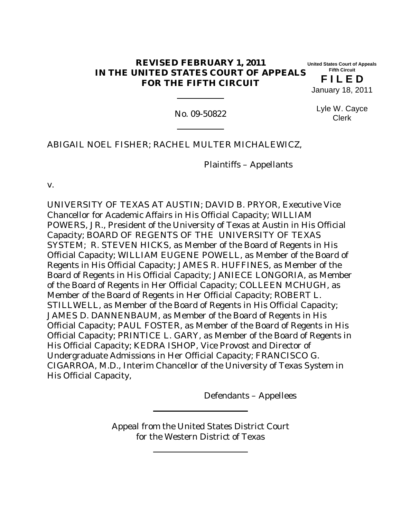### **REVISED FEBRUARY 1, 2011 IN THE UNITED STATES COURT OF APPEALS FOR THE FIFTH CIRCUIT**

**United States Court of Appeals Fifth Circuit**

**F I L E D** January 18, 2011

No. 09-50822

Lyle W. Cayce Clerk

ABIGAIL NOEL FISHER; RACHEL MULTER MICHALEWICZ,

Plaintiffs – Appellants

v.

UNIVERSITY OF TEXAS AT AUSTIN; DAVID B. PRYOR, Executive Vice Chancellor for Academic Affairs in His Official Capacity; WILLIAM POWERS, JR., President of the University of Texas at Austin in His Official Capacity; BOARD OF REGENTS OF THE UNIVERSITY OF TEXAS SYSTEM; R. STEVEN HICKS, as Member of the Board of Regents in His Official Capacity; WILLIAM EUGENE POWELL, as Member of the Board of Regents in His Official Capacity; JAMES R. HUFFINES, as Member of the Board of Regents in His Official Capacity; JANIECE LONGORIA, as Member of the Board of Regents in Her Official Capacity; COLLEEN MCHUGH, as Member of the Board of Regents in Her Official Capacity; ROBERT L. STILLWELL, as Member of the Board of Regents in His Official Capacity; JAMES D. DANNENBAUM, as Member of the Board of Regents in His Official Capacity; PAUL FOSTER, as Member of the Board of Regents in His Official Capacity; PRINTICE L. GARY, as Member of the Board of Regents in His Official Capacity; KEDRA ISHOP, Vice Provost and Director of Undergraduate Admissions in Her Official Capacity; FRANCISCO G. CIGARROA, M.D., Interim Chancellor of the University of Texas System in His Official Capacity,

Defendants – Appellees

Appeal from the United States District Court for the Western District of Texas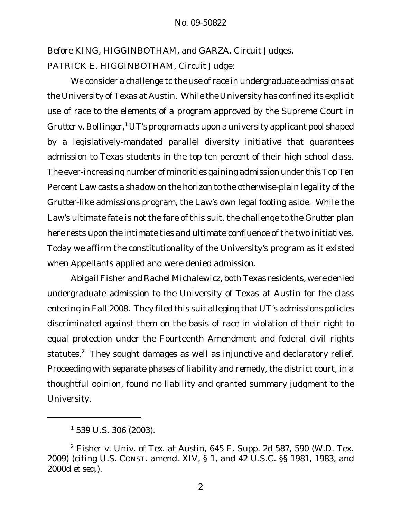Before KING, HIGGINBOTHAM, and GARZA, Circuit Judges. PATRICK E. HIGGINBOTHAM, Circuit Judge:

We consider a challenge to the use of race in undergraduate admissions at the University of Texas at Austin. While the University has confined its explicit use of race to the elements of a program approved by the Supreme Court in *Grutter v. Bollinger*, <sup>1</sup> UT's program acts upon a university applicant pool shaped by a legislatively-mandated parallel diversity initiative that guarantees admission to Texas students in the top ten percent of their high school class. The ever-increasing number of minorities gaining admission under this Top Ten Percent Law casts a shadow on the horizon to the otherwise-plain legality of the *Grutter*-like admissions program, the Law's own legal footing aside. While the Law's ultimate fate is not the fare of this suit, the challenge to the *Grutter* plan here rests upon the intimate ties and ultimate confluence of the two initiatives. Today we affirm the constitutionality of the University's program as it existed when Appellants applied and were denied admission.

Abigail Fisher and Rachel Michalewicz, both Texas residents, were denied undergraduate admission to the University of Texas at Austin for the class entering in Fall 2008. They filed this suit alleging that UT's admissions policies discriminated against them on the basis of race in violation of their right to equal protection under the Fourteenth Amendment and federal civil rights statutes.<sup>2</sup> They sought damages as well as injunctive and declaratory relief. Proceeding with separate phases of liability and remedy, the district court, in a thoughtful opinion, found no liability and granted summary judgment to the University.

 $1$  539 U.S. 306 (2003).

<sup>2</sup> *Fisher v. Univ. of Tex. at Austin*, 645 F. Supp. 2d 587, 590 (W.D. Tex. 2009) (citing U.S. CONST. amend. XIV, § 1, and 42 U.S.C. §§ 1981, 1983, and 2000d *et seq.*).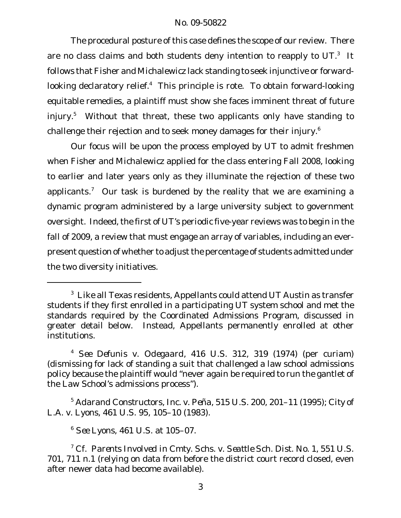The procedural posture of this case defines the scope of our review. There are no class claims and both students deny intention to reapply to UT. $^3$  It follows that Fisher and Michalewicz lack standing to seek injunctive or forwardlooking declaratory relief.<sup>4</sup> This principle is rote. To obtain forward-looking equitable remedies, a plaintiff must show she faces imminent threat of future injury.<sup>5</sup> Without that threat, these two applicants only have standing to challenge their rejection and to seek money damages for their injury.<sup>6</sup>

Our focus will be upon the process employed by UT to admit freshmen when Fisher and Michalewicz applied for the class entering Fall 2008, looking to earlier and later years only as they illuminate the rejection of these two applicants.<sup>7</sup> Our task is burdened by the reality that we are examining a dynamic program administered by a large university subject to government oversight. Indeed, the first of UT's periodic five-year reviews was to begin in the fall of 2009, a review that must engage an array of variables, including an everpresent question of whether to adjustthe percentage of students admitted under the two diversity initiatives.

 $3$  Like all Texas residents, Appellants could attend UT Austin as transfer students if they first enrolled in a participating UT system school and met the standards required by the Coordinated Admissions Program, discussed in greater detail below. Instead, Appellants permanently enrolled at other institutions.

<sup>4</sup> *See Defunis v. Odegaard*, 416 U.S. 312, 319 (1974) (per curiam) (dismissing for lack of standing a suit that challenged a law school admissions policy because the plaintiff would "never again be required to run the gantlet of the Law School's admissions process").

<sup>5</sup> *Adarand Constructors, Inc. v. Peña*, 515 U.S. 200, 201–11 (1995); *City of L.A. v. Lyons*, 461 U.S. 95, 105–10 (1983).

<sup>6</sup> *See Lyons*, 461 U.S. at 105–07.

<sup>7</sup> *Cf. Parents Involved in Cmty. Schs. v. Seattle Sch. Dist. No. 1*, 551 U.S. 701, 711 n.1 (relying on data from before the district court record closed, even after newer data had become available).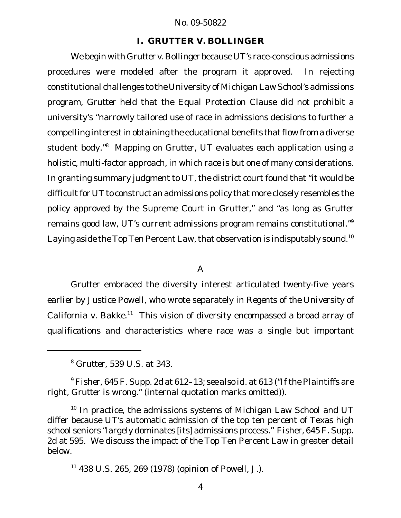### **I.** *GRUTTER V. BOLLINGER*

We begin with *Grutter v. Bollinger* because UT's race-conscious admissions procedures were modeled after the program it approved. In rejecting constitutional challenges to the University of Michigan Law School's admissions program, *Grutter* held that the Equal Protection Clause did not prohibit a university's "narrowly tailored use of race in admissions decisions to further a compelling interest in obtaining the educational benefits that flow from a diverse student body."<sup>8</sup> Mapping on *Grutter*, UT evaluates each application using a holistic, multi-factor approach, in which race is but one of many considerations. In granting summary judgment to UT, the district court found that "it would be difficult for UT to construct an admissions policy that more closely resembles the policy approved by the Supreme Court in *Grutter*," and "as long as *Grutter* remains good law, UT's current admissions program remains constitutional."<sup>9</sup> Laying aside the Top Ten Percent Law, that observation is indisputably sound.<sup>10</sup>

#### A

*Grutter* embraced the diversity interest articulated twenty-five years earlier by Justice Powell, who wrote separately in *Regents of the University of California v. Bakke*. <sup>11</sup> This vision of diversity encompassed a broad array of qualifications and characteristics where race was a single but important

<sup>8</sup> *Grutter*, 539 U.S. at 343.

<sup>9</sup> *Fisher*, 645 F. Supp. 2d at 612–13; *see also id.* at 613 ("If the Plaintiffs are right, *Grutter* is wrong." (internal quotation marks omitted)).

 $10$  In practice, the admissions systems of Michigan Law School and UT differ because UT's automatic admission of the top ten percent of Texas high school seniors "largely dominates [its] admissions process." *Fisher*, 645 F. Supp. 2d at 595. We discuss the impact of the Top Ten Percent Law in greater detail below.

 $11$  438 U.S. 265, 269 (1978) (opinion of Powell, J.).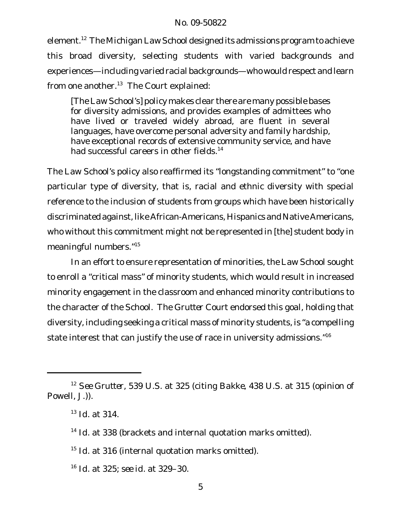element.<sup>12</sup> The Michigan Law School designed its admissions program to achieve this broad diversity, selecting students with varied backgrounds and experiences—including varied racial backgrounds—who would respect and learn from one another. $13$  The Court explained:

[The Law School's] policy makes clear there are many possible bases for diversity admissions, and provides examples of admittees who have lived or traveled widely abroad, are fluent in several languages, have overcome personal adversity and family hardship, have exceptional records of extensive community service, and have had successful careers in other fields.<sup>14</sup>

The Law School's policy also reaffirmed its "longstanding commitment" to "one particular type of diversity, that is, racial and ethnic diversity with special reference to the inclusion of students from groups which have been historically discriminated against, like African-Americans, Hispanics and Native Americans, who without this commitment might not be represented in [the] student body in meaningful numbers."<sup>15</sup>

In an effort to ensure representation of minorities, the Law School sought to enroll a "critical mass" of minority students, which would result in increased minority engagement in the classroom and enhanced minority contributions to the character of the School. The *Grutter* Court endorsed this goal, holding that diversity, including seeking a critical mass of minority students, is "a compelling state interest that can justify the use of race in university admissions."<sup>16</sup>

<sup>14</sup> *Id.* at 338 (brackets and internal quotation marks omitted).

<sup>15</sup> *Id.* at 316 (internal quotation marks omitted).

<sup>16</sup> *Id.* at 325; *see id.* at 329–30.

<sup>12</sup> *See Grutter*, 539 U.S. at 325 (citing *Bakke*, 438 U.S. at 315 (opinion of Powell, J.)).

<sup>13</sup> *Id.* at 314.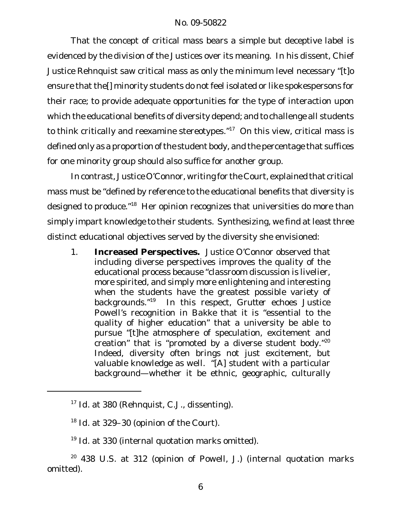That the concept of critical mass bears a simple but deceptive label is evidenced by the division of the Justices over its meaning. In his dissent, Chief Justice Rehnquist saw critical mass as only the minimum level necessary "[t]o ensure that the[] minority students do not feel isolated or like spokespersons for their race; to provide adequate opportunities for the type of interaction upon which the educational benefits of diversity depend; and to challenge all students to think critically and reexamine stereotypes."<sup>17</sup> On this view, critical mass is defined only as a proportion of the student body, and the percentage that suffices for one minority group should also suffice for another group.

In contrast, Justice O'Connor, writing for the Court, explained that critical mass must be "defined by reference to the educational benefits that diversity is designed to produce."<sup>18</sup> Her opinion recognizes that universities do more than simply impart knowledge to their students. Synthesizing, we find at least three distinct educational objectives served by the diversity she envisioned:

1. **Increased Perspectives.** Justice O'Connor observed that including diverse perspectives improves the quality of the educational process because "classroom discussion is livelier, more spirited, and simply more enlightening and interesting when the students have the greatest possible variety of backgrounds."<sup>19</sup> In this respect, *Grutter* echoes Justice Powell's recognition in *Bakke* that it is "essential to the quality of higher education" that a university be able to pursue "[t]he atmosphere of speculation, excitement and creation" that is "promoted by a diverse student body." $20$ Indeed, diversity often brings not just excitement, but valuable knowledge as well. "[A] student with a particular background—whether it be ethnic, geographic, culturally

<sup>20</sup> 438 U.S. at 312 (opinion of Powell, J.) (internal quotation marks omitted).

<sup>17</sup> *Id.* at 380 (Rehnquist, C.J., dissenting).

<sup>18</sup> *Id.* at 329–30 (opinion of the Court).

<sup>19</sup> *Id.* at 330 (internal quotation marks omitted).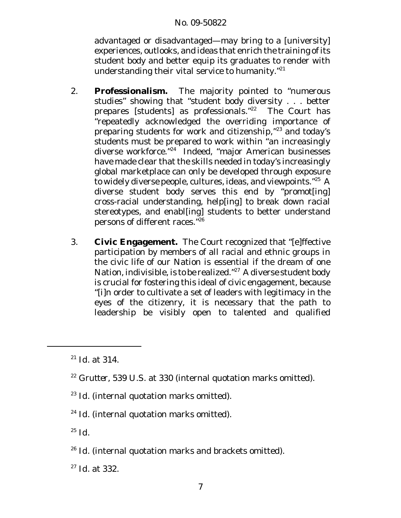advantaged or disadvantaged—may bring to a [university] experiences, outlooks, and ideas that enrich the training of its student body and better equip its graduates to render with understanding their vital service to humanity. $121$ 

- 2. **Professionalism.** The majority pointed to "numerous studies" showing that "student body diversity . . . better prepares [students] as professionals."<sup>22</sup> The Court has "repeatedly acknowledged the overriding importance of preparing students for work and citizenship,"<sup>23</sup> and today's students must be prepared to work within "an increasingly diverse workforce."<sup>24</sup> Indeed, "major American businesses have made clear that the skills needed in today's increasingly global marketplace can only be developed through exposure to widely diverse people, cultures, ideas, and viewpoints."<sup>25</sup> A diverse student body serves this end by "promot[ing] cross-racial understanding, help[ing] to break down racial stereotypes, and enabl[ing] students to better understand persons of different races."<sup>26</sup>
- 3. **Civic Engagement.** The Court recognized that "[e]ffective participation by members of all racial and ethnic groups in the civic life of our Nation is essential if the dream of one Nation, indivisible, is to be realized."<sup>27</sup> A diverse student body is crucial for fostering this ideal of civic engagement, because "[i]n order to cultivate a set of leaders with legitimacy in the eyes of the citizenry, it is necessary that the path to leadership be visibly open to talented and qualified

- <sup>23</sup> *Id.* (internal quotation marks omitted).
- <sup>24</sup> *Id.* (internal quotation marks omitted).
- $^{25}$   $Id.$
- <sup>26</sup> *Id.* (internal quotation marks and brackets omitted).
- <sup>27</sup> *Id.* at 332.

<sup>21</sup> *Id.* at 314.

<sup>22</sup> *Grutter*, 539 U.S. at 330 (internal quotation marks omitted).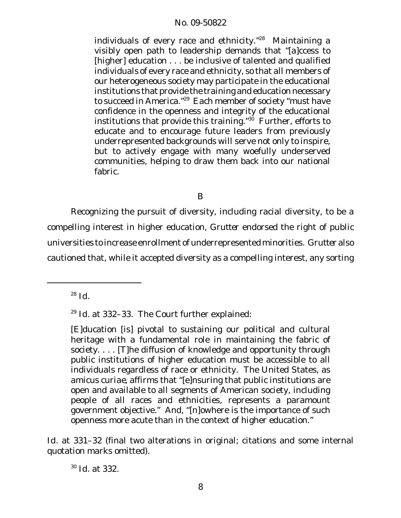individuals of every race and ethnicity. $728$  Maintaining a visibly open path to leadership demands that "[a]ccess to [higher] education . . . be inclusive of talented and qualified individuals of every race and ethnicity, so that all members of our heterogeneous society may participate in the educational institutions that provide the training and education necessary to succeed in America."<sup>29</sup> Each member of society "must have confidence in the openness and integrity of the educational institutions that provide this training. $130$  Further, efforts to educate and to encourage future leaders from previously underrepresented backgrounds will serve not only to inspire, but to actively engage with many woefully underserved communities, helping to draw them back into our national fabric.

B

Recognizing the pursuit of diversity, including racial diversity, to be a compelling interest in higher education, *Grutter* endorsed the right of public universities to increase enrollment of underrepresented minorities. *Grutter* also cautioned that, while it accepted diversity as a compelling interest, any sorting

<sup>28</sup> *Id.*

<sup>29</sup> *Id.* at 332–33. The Court further explained:

[E]ducation [is] pivotal to sustaining our political and cultural heritage with a fundamental role in maintaining the fabric of society. . . . [T]he diffusion of knowledge and opportunity through public institutions of higher education must be accessible to all individuals regardless of race or ethnicity. The United States, as *amicus curiae*, affirms that "[e]nsuring that public institutions are open and available to all segments of American society, including people of all races and ethnicities, represents a paramount government objective." And, "[n]owhere is the importance of such openness more acute than in the context of higher education."

*Id.* at 331–32 (final two alterations in original; citations and some internal quotation marks omitted).

<sup>30</sup> *Id.* at 332.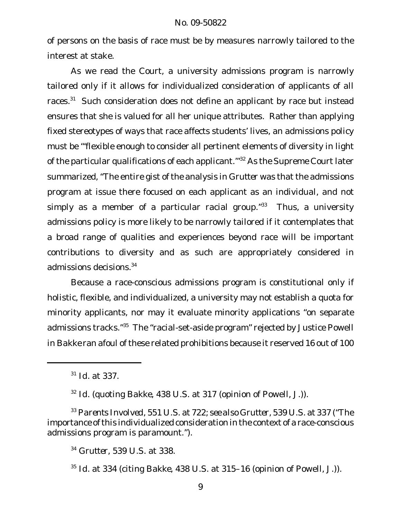of persons on the basis of race must be by measures narrowly tailored to the interest at stake.

As we read the Court, a university admissions program is narrowly tailored only if it allows for individualized consideration of applicants of all races.<sup>31</sup> Such consideration does not define an applicant by race but instead ensures that she is valued for all her unique attributes. Rather than applying fixed stereotypes of ways that race affects students' lives, an admissions policy must be "'flexible enough to consider all pertinent elements of diversity in light of the particular qualifications of each applicant.<sup>1732</sup> As the Supreme Court later summarized, "The entire gist of the analysis in *Grutter* was that the admissions program at issue there focused on each applicant as an individual, and not simply as a member of a particular racial group. $133$  Thus, a university admissions policy is more likely to be narrowly tailored if it contemplates that a broad range of qualities and experiences beyond race will be important contributions to diversity and as such are appropriately considered in admissions decisions.<sup>34</sup>

Because a race-conscious admissions program is constitutional only if holistic, flexible, and individualized, a university may not establish a quota for minority applicants, nor may it evaluate minority applications "on separate admissions tracks."<sup>35</sup> The "racial-set-aside program" rejected by Justice Powell in *Bakke* ran afoul of these related prohibitions because it reserved 16 out of 100

<sup>31</sup> *Id.* at 337.

<sup>32</sup> *Id.* (quoting *Bakke*, 438 U.S. at 317 (opinion of Powell, J.)).

<sup>33</sup> *Parents Involved*, 551 U.S. at 722; *see also Grutter*, 539 U.S. at 337 ("The importance of this individualized consideration in the context of a race-conscious admissions program is paramount.").

<sup>34</sup> *Grutter*, 539 U.S. at 338.

<sup>35</sup> *Id.* at 334 (citing *Bakke*, 438 U.S. at 315–16 (opinion of Powell, J.)).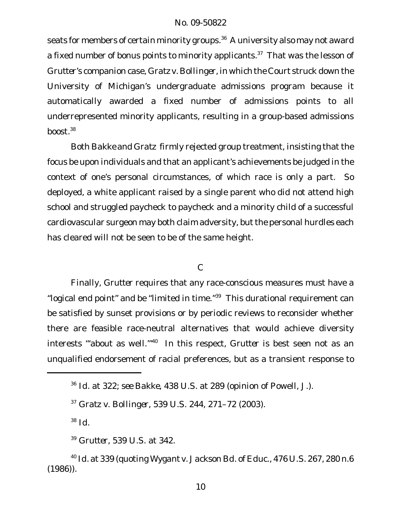seats for members of certain minority groups.<sup>36</sup> A university also may not award a fixed number of bonus points to minority applicants.<sup>37</sup> That was the lesson of *Grutter*'s companion case, *Gratz v. Bollinger*, in which the Court struck down the University of Michigan's undergraduate admissions program because it automatically awarded a fixed number of admissions points to all underrepresented minority applicants, resulting in a group-based admissions boost. $38$ 

Both *Bakke* and *Gratz* firmly rejected group treatment, insisting that the focus be upon individuals and that an applicant's achievements be judged in the context of one's personal circumstances, of which race is only a part. So deployed, a white applicant raised by a single parent who did not attend high school and struggled paycheck to paycheck and a minority child of a successful cardiovascular surgeon may both claim adversity, but the personal hurdles each has cleared will not be seen to be of the same height.

## C

Finally, *Grutter* requires that any race-conscious measures must have a "logical end point" and be "limited in time."<sup>39</sup> This durational requirement can be satisfied by sunset provisions or by periodic reviews to reconsider whether there are feasible race-neutral alternatives that would achieve diversity interests "'about as well.'"<sup>40</sup> In this respect, *Grutter* is best seen not as an unqualified endorsement of racial preferences, but as a transient response to

<sup>38</sup> *Id.*

<sup>39</sup> *Grutter*, 539 U.S. at 342.

<sup>36</sup> *Id.* at 322; *see Bakke*, 438 U.S. at 289 (opinion of Powell, J.).

<sup>37</sup> *Gratz v. Bollinger*, 539 U.S. 244, 271–72 (2003).

<sup>40</sup> *Id.* at 339 (quoting *Wygant v. Jackson Bd. of Educ.*, 476 U.S. 267, 280 n.6 (1986)).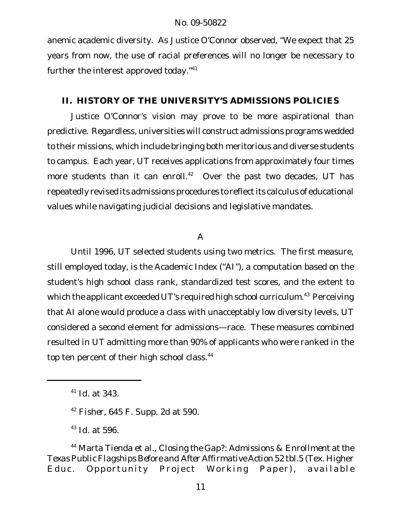anemic academic diversity. As Justice O'Connor observed, "We expect that 25 years from now, the use of racial preferences will no longer be necessary to further the interest approved today."<sup>41</sup>

# **II. HISTORY OF THE UNIVERSITY'S ADMISSIONS POLICIES**

Justice O'Connor's vision may prove to be more aspirational than predictive. Regardless, universities will construct admissions programs wedded to their missions, which include bringing both meritorious and diverse students to campus. Each year, UT receives applications from approximately four times more students than it can enroll.<sup>42</sup> Over the past two decades, UT has repeatedly revised its admissions procedures to reflect its calculus of educational values while navigating judicial decisions and legislative mandates.

# A

Until 1996, UT selected students using two metrics. The first measure, still employed today, is the Academic Index ("AI"), a computation based on the student's high school class rank, standardized test scores, and the extent to which the applicant exceeded UT's required high school curriculum.<sup>43</sup> Perceiving that AI alone would produce a class with unacceptably low diversity levels, UT considered a second element for admissions—race. These measures combined resulted in UT admitting more than 90% of applicants who were ranked in the top ten percent of their high school class.<sup>44</sup>

<sup>41</sup> *Id.* at 343.

<sup>42</sup> *Fisher*, 645 F. Supp. 2d at 590.

<sup>43</sup> *Id.* at 596.

<sup>44</sup> Marta Tienda et al., *Closing the Gap?: Admissions & Enrollment at the Texas Public Flagships Before and After Affirmative Action* 52 tbl.5 (Tex. Higher Educ. Opportunity Project Working Paper), *available*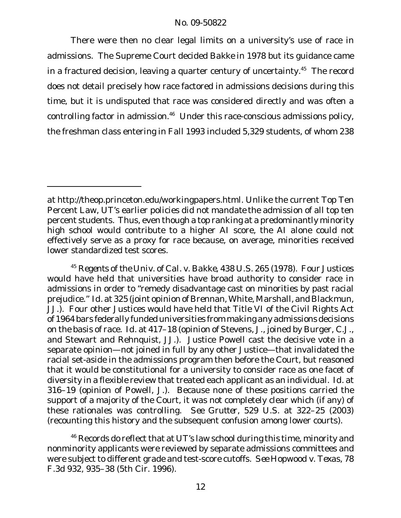There were then no clear legal limits on a university's use of race in admissions. The Supreme Court decided *Bakke* in 1978 but its guidance came in a fractured decision, leaving a quarter century of uncertainty. $45$  The record does not detail precisely how race factored in admissions decisions during this time, but it is undisputed that race was considered directly and was often a controlling factor in admission.<sup>46</sup> Under this race-conscious admissions policy, the freshman class entering in Fall 1993 included 5,329 students, of whom 238

*at* http://theop.princeton.edu/workingpapers.html. Unlike the current Top Ten Percent Law, UT's earlier policies did not *mandate* the admission of all top ten percent students. Thus, even though a top ranking at a predominantly minority high school would contribute to a higher AI score, the AI alone could not effectively serve as a proxy for race because, on average, minorities received lower standardized test scores.

<sup>45</sup> *Regents of the Univ. of Cal. v. Bakke*, 438 U.S. 265 (1978). Four Justices would have held that universities have broad authority to consider race in admissions in order to "remedy disadvantage cast on minorities by past racial prejudice." *Id.* at 325 (joint opinion of Brennan, White, Marshall, and Blackmun, JJ.). Four other Justices would have held that Title VI of the Civil Rights Act of 1964 bars federally funded universities from making any admissions decisions on the basis of race. *Id.* at 417–18 (opinion of Stevens, J., joined by Burger, C.J., and Stewart and Rehnquist, JJ.). Justice Powell cast the decisive vote in a separate opinion—not joined in full by any other Justice—that invalidated the racial set-aside in the admissions program then before the Court, but reasoned that it would be constitutional for a university to consider race as one facet of diversity in a flexible review that treated each applicant as an individual. *Id.* at 316–19 (opinion of Powell, J.). Because none of these positions carried the support of a majority of the Court, it was not completely clear which (if any) of these rationales was controlling. *See Grutter*, 529 U.S. at 322–25 (2003) (recounting this history and the subsequent confusion among lower courts).

<sup>&</sup>lt;sup>46</sup> Records do reflect that at UT's law school during this time, minority and nonminority applicants were reviewed by separate admissions committees and were subject to different grade and test-score cutoffs. *See Hopwood v. Texas*, 78 F.3d 932, 935–38 (5th Cir. 1996).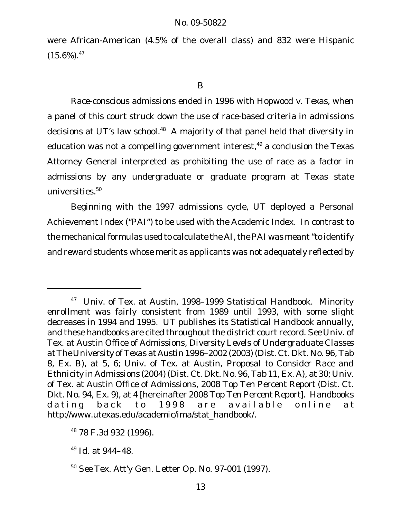were African-American (4.5% of the overall class) and 832 were Hispanic  $(15.6\%)$ .<sup>47</sup>

B

Race-conscious admissions ended in 1996 with *Hopwood v. Texas*, when a panel of this court struck down the use of race-based criteria in admissions decisions at UT's law school.<sup>48</sup> A majority of that panel held that diversity in education was not a compelling government interest, $49$  a conclusion the Texas Attorney General interpreted as prohibiting the use of race as a factor in admissions by any undergraduate or graduate program at Texas state universities.<sup>50</sup>

Beginning with the 1997 admissions cycle, UT deployed a Personal Achievement Index ("PAI") to be used with the Academic Index. In contrast to the mechanical formulas used to calculate the AI, the PAI was meant "to identify and reward students whose merit as applicants was not adequately reflected by

<sup>47</sup> Univ. of Tex. at Austin, *1998–1999 Statistical Handbook*. Minority enrollment was fairly consistent from 1989 until 1993, with some slight decreases in 1994 and 1995. UT publishes its *Statistical Handbook* annually, and these handbooks are cited throughout the district court record. *See* Univ. of Tex. at Austin Office of Admissions, *Diversity Levels of Undergraduate Classes at The University of Texas at Austin 1996–2002* (2003) (Dist. Ct. Dkt. No. 96, Tab 8, Ex. B), at 5, 6; Univ. of Tex. at Austin, *Proposal to Consider Race and Ethnicity in Admissions* (2004) (Dist. Ct. Dkt. No. 96, Tab 11, Ex. A), at 30; Univ. of Tex. at Austin Office of Admissions*, 2008 Top Ten Percent Report* (Dist. Ct. Dkt. No. 94, Ex. 9), at 4 [hereinafter *2008 Top Ten Percent Report*]. Handbooks dating back to 1998 are available online at http://www.utexas.edu/academic/ima/stat\_handbook/.

<sup>48</sup> 78 F.3d 932 (1996).

<sup>49</sup> *Id.* at 944–48.

<sup>50</sup> *See* Tex. Att'y Gen. Letter Op. No. 97-001 (1997).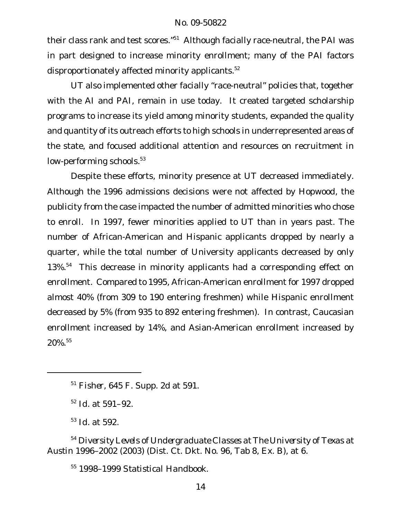their class rank and test scores."<sup>51</sup> Although facially race-neutral, the PAI was in part designed to increase minority enrollment; many of the PAI factors disproportionately affected minority applicants.<sup>52</sup>

UT also implemented other facially "race-neutral" policies that, together with the AI and PAI, remain in use today. It created targeted scholarship programs to increase its yield among minority students, expanded the quality and quantity of its outreach efforts to high schools in underrepresented areas of the state, and focused additional attention and resources on recruitment in low-performing schools.<sup>53</sup>

Despite these efforts, minority presence at UT decreased immediately. Although the 1996 admissions decisions were not affected by *Hopwood*, the publicity from the case impacted the number of admitted minorities who chose to enroll. In 1997, fewer minorities applied to UT than in years past. The number of African-American and Hispanic applicants dropped by nearly a quarter, while the total number of University applicants decreased by only 13%.<sup>54</sup> This decrease in minority applicants had a corresponding effect on enrollment. Compared to 1995, African-American enrollment for 1997 dropped almost 40% (from 309 to 190 entering freshmen) while Hispanic enrollment decreased by 5% (from 935 to 892 entering freshmen). In contrast, Caucasian enrollment increased by 14%, and Asian-American enrollment increased by 20%.55

<sup>52</sup> *Id.* at 591–92.

<sup>53</sup> *Id.* at 592.

<sup>54</sup> *Diversity Levels of Undergraduate Classes at The University of Texas at Austin 1996–2002* (2003) (Dist. Ct. Dkt. No. 96, Tab 8, Ex. B), at 6.

<sup>55</sup> *1998–1999 Statistical Handbook*.

<sup>51</sup> *Fisher*, 645 F. Supp. 2d at 591.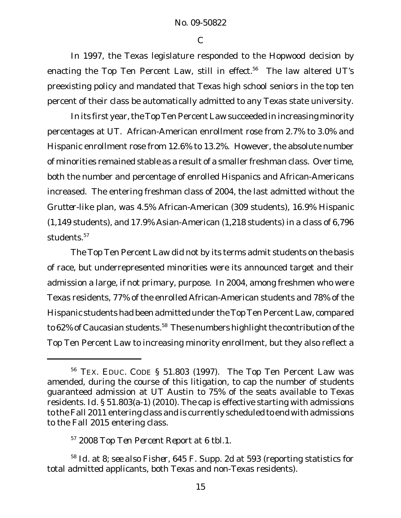C

In 1997, the Texas legislature responded to the *Hopwood* decision by enacting the Top Ten Percent Law, still in effect.<sup>56</sup> The law altered UT's preexisting policy and mandated that Texas high school seniors in the top ten percent of their class be automatically admitted to any Texas state university.

In its first year, the Top Ten Percent Law succeeded in increasing minority percentages at UT. African-American enrollment rose from 2.7% to 3.0% and Hispanic enrollment rose from 12.6% to 13.2%. However, the absolute number of minorities remained stable as a result of a smaller freshman class. Over time, both the number and percentage of enrolled Hispanics and African-Americans increased. The entering freshman class of 2004, the last admitted without the *Grutter*-like plan, was 4.5% African-American (309 students), 16.9% Hispanic (1,149 students), and 17.9% Asian-American (1,218 students) in a class of 6,796 students.<sup>57</sup>

The Top Ten Percent Law did not by its terms admit students on the basis of race, but underrepresented minorities were its announced target and their admission a large, if not primary, purpose. In 2004, among freshmen who were Texas residents, 77% of the enrolled African-American students and 78% of the Hispanic students had been admitted under the Top Ten Percent Law, compared to 62% of Caucasian students.<sup>58</sup> These numbers highlight the contribution of the Top Ten Percent Law to increasing minority enrollment, but they also reflect a

<sup>56</sup> TEX. EDUC. CODE § 51.803 (1997). The Top Ten Percent Law was amended, during the course of this litigation, to cap the number of students guaranteed admission at UT Austin to 75% of the seats available to Texas residents. *Id.* § 51.803(a-1) (2010). The cap is effective starting with admissions to the Fall 2011 entering class and is currently scheduled to end with admissions to the Fall 2015 entering class.

<sup>57</sup> *2008 Top Ten Percent Report* at 6 tbl.1.

<sup>58</sup> *Id.* at 8; *see also Fisher*, 645 F. Supp. 2d at 593 (reporting statistics for total admitted applicants, both Texas and non-Texas residents).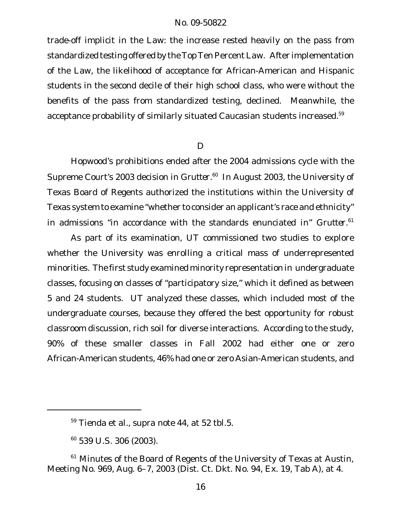trade-off implicit in the Law: the increase rested heavily on the pass from standardized testing offered by the Top Ten Percent Law. After implementation of the Law, the likelihood of acceptance for African-American and Hispanic students in the second decile of their high school class, who were without the benefits of the pass from standardized testing, declined. Meanwhile, the acceptance probability of similarly situated Caucasian students increased.<sup>59</sup>

D

*Hopwood*'s prohibitions ended after the 2004 admissions cycle with the Supreme Court's 2003 decision in *Grutter.*<sup>60</sup> In August 2003, the University of Texas Board of Regents authorized the institutions within the University of Texas system to examine "whether to consider an applicant's race and ethnicity" in admissions "in accordance with the standards enunciated in" *Grutter*. 61

As part of its examination, UT commissioned two studies to explore whether the University was enrolling a critical mass of underrepresented minorities. The first study examined minority representation in undergraduate classes, focusing on classes of "participatory size," which it defined as between 5 and 24 students. UT analyzed these classes, which included most of the undergraduate courses, because they offered the best opportunity for robust classroom discussion, rich soil for diverse interactions. According to the study, 90% of these smaller classes in Fall 2002 had either one or zero African-American students, 46% had one or zero Asian-American students, and

<sup>59</sup> Tienda et al., *supra* note 44, at 52 tbl.5.

<sup>60</sup> 539 U.S. 306 (2003).

 $61$  Minutes of the Board of Regents of the University of Texas at Austin, Meeting No. 969, Aug. 6–7, 2003 (Dist. Ct. Dkt. No. 94, Ex. 19, Tab A), at 4.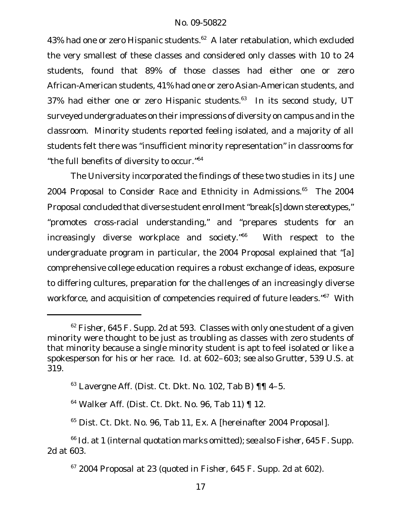43% had one or zero Hispanic students.<sup>62</sup> A later retabulation, which excluded the very smallest of these classes and considered only classes with 10 to 24 students, found that 89% of those classes had either one or zero African-American students, 41% had one or zero Asian-American students, and 37% had either one or zero Hispanic students.<sup>63</sup> In its second study, UT surveyed undergraduates on their impressions of diversity on campus and in the classroom. Minority students reported feeling isolated, and a majority of all students felt there was "insufficient minority representation" in classrooms for "the full benefits of diversity to occur."<sup>64</sup>

The University incorporated the findings of these two studies in its June 2004 *Proposal to Consider Race and Ethnicity in Admissions*. <sup>65</sup> The *2004 Proposal* concluded that diverse student enrollment"break[s] down stereotypes," "promotes cross-racial understanding," and "prepares students for an increasingly diverse workplace and society."<sup>66</sup> With respect to the undergraduate program in particular, the *2004 Proposal* explained that "[a] comprehensive college education requires a robust exchange of ideas, exposure to differing cultures, preparation for the challenges of an increasingly diverse workforce, and acquisition of competencies required of future leaders."<sup>67</sup> With

<sup>62</sup> *Fisher*, 645 F. Supp. 2d at 593. Classes with only one student of a given minority were thought to be just as troubling as classes with zero students of that minority because a single minority student is apt to feel isolated or like a spokesperson for his or her race. *Id.* at 602–603; *see also Grutter*, 539 U.S. at 319.

 $63$  Lavergne Aff. (Dist. Ct. Dkt. No. 102, Tab B)  $\P\P$  4-5.

<sup>64</sup> Walker Aff. (Dist. Ct. Dkt. No. 96, Tab 11) ¶ 12.

<sup>65</sup> Dist. Ct. Dkt. No. 96, Tab 11, Ex. A [hereinafter *2004 Proposal*].

<sup>66</sup> *Id.* at 1 (internal quotation marks omitted); *see also Fisher*, 645 F. Supp. 2d at 603.

<sup>67</sup> *2004 Proposal* at 23 (quoted in *Fisher*, 645 F. Supp. 2d at 602).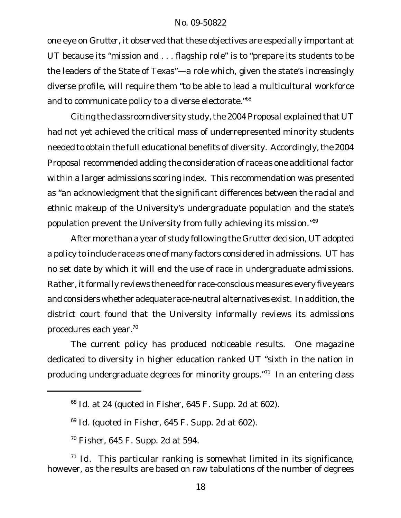one eye on *Grutter*, it observed that these objectives are especially important at UT because its "mission and . . . flagship role" is to "prepare its students to be the leaders of the State of Texas"—a role which, given the state's increasingly diverse profile, will require them "to be able to lead a multicultural workforce and to communicate policy to a diverse electorate."<sup>68</sup>

Citing the classroom diversity study,the *2004 Proposal* explained that UT had not yet achieved the critical mass of underrepresented minority students needed to obtain the full educational benefits of diversity. Accordingly, the *2004 Proposal* recommended adding the consideration of race as one additional factor within a larger admissions scoring index. This recommendation was presented as "an acknowledgment that the significant differences between the racial and ethnic makeup of the University's undergraduate population and the state's population prevent the University from fully achieving its mission."<sup>69</sup>

After more than a year of study following the *Grutter* decision, UT adopted a policy to include race as one of many factors considered in admissions. UT has no set date by which it will end the use of race in undergraduate admissions. Rather, it formally reviews the need for race-conscious measures every five years and considers whether adequate race-neutral alternatives exist. In addition, the district court found that the University informally reviews its admissions procedures each year.<sup>70</sup>

The current policy has produced noticeable results. One magazine dedicated to diversity in higher education ranked UT "sixth in the nation in producing undergraduate degrees for minority groups."<sup>71</sup> In an entering class

<sup>68</sup> *Id.* at 24 (quoted in *Fisher*, 645 F. Supp. 2d at 602).

<sup>69</sup> *Id.* (quoted in *Fisher*, 645 F. Supp. 2d at 602).

<sup>70</sup> *Fisher*, 645 F. Supp. 2d at 594.

<sup>&</sup>lt;sup>71</sup> Id. This particular ranking is somewhat limited in its significance, however, as the results are based on raw tabulations of the number of degrees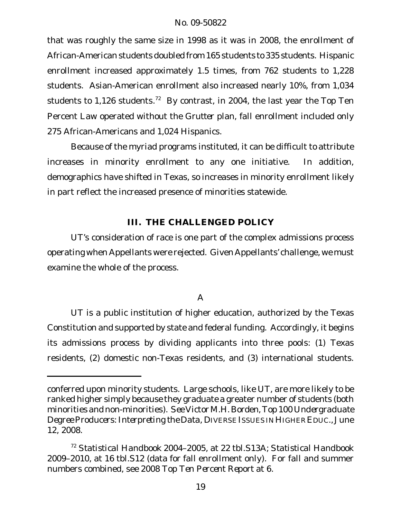that was roughly the same size in 1998 as it was in 2008, the enrollment of African-American students doubled from 165 students to 335 students. Hispanic enrollment increased approximately 1.5 times, from 762 students to 1,228 students. Asian-American enrollment also increased nearly 10%, from 1,034 students to 1,126 students.<sup>72</sup> By contrast, in 2004, the last year the Top Ten Percent Law operated without the *Grutter* plan, fall enrollment included only 275 African-Americans and 1,024 Hispanics.

Because of the myriad programs instituted, it can be difficult to attribute increases in minority enrollment to any one initiative. In addition, demographics have shifted in Texas, so increases in minority enrollment likely in part reflect the increased presence of minorities statewide.

# **III. THE CHALLENGED POLICY**

UT's consideration of race is one part of the complex admissions process operating when Appellants were rejected. Given Appellants' challenge, we must examine the whole of the process.

# A

UT is a public institution of higher education, authorized by the Texas Constitution and supported by state and federal funding. Accordingly, it begins its admissions process by dividing applicants into three pools: (1) Texas residents, (2) domestic non-Texas residents, and (3) international students.

conferred upon minority students. Large schools, like UT, are more likely to be ranked higher simply because they graduate a greater number of students (both minorities and non-minorities). *See* Victor M.H. Borden, *Top 100 Undergraduate Degree Producers: Interpreting the Data*, DIVERSE ISSUES INHIGHER EDUC.,June 12, 2008.

<sup>72</sup> *Statistical Handbook 2004–2005*, at 22 tbl.S13A; *Statistical Handbook 2009–2010*, at 16 tbl.S12 (data for fall enrollment only). For fall and summer numbers combined, see *2008 Top Ten Percent Report* at 6.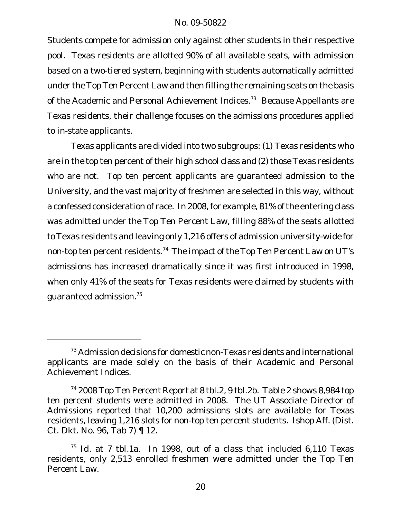Students compete for admission only against other students in their respective pool. Texas residents are allotted 90% of all available seats, with admission based on a two-tiered system, beginning with students automatically admitted under the Top Ten Percent Law and then filling the remaining seats on the basis of the Academic and Personal Achievement Indices.<sup>73</sup> Because Appellants are Texas residents, their challenge focuses on the admissions procedures applied to in-state applicants.

Texas applicants are divided into two subgroups: (1) Texas residents who are in the top ten percent of their high school class and (2) those Texas residents who are not. Top ten percent applicants are guaranteed admission to the University, and the vast majority of freshmen are selected in this way, without a confessed consideration of race. In 2008, for example, 81% of the entering class was admitted under the Top Ten Percent Law, filling 88% of the seats allotted to Texas residents and leaving only 1,216 offers of admission university-wide for non-top ten percent residents.<sup>74</sup> The impact of the Top Ten Percent Law on UT's admissions has increased dramatically since it was first introduced in 1998, when only 41% of the seats for Texas residents were claimed by students with guaranteed admission.75

<sup>&</sup>lt;sup>73</sup> Admission decisions for domestic non-Texas residents and international applicants are made solely on the basis of their Academic and Personal Achievement Indices.

<sup>74</sup> *2008 Top Ten Percent Report* at 8 tbl.2, 9 tbl.2b. Table 2 shows 8,984 top ten percent students were admitted in 2008. The UT Associate Director of Admissions reported that 10,200 admissions slots are available for Texas residents, leaving 1,216 slots for non-top ten percent students. Ishop Aff. (Dist. Ct. Dkt. No. 96, Tab 7) ¶ 12.

<sup>75</sup> *Id.* at 7 tbl.1a. In 1998, out of a class that included 6,110 Texas residents, only 2,513 enrolled freshmen were admitted under the Top Ten Percent Law.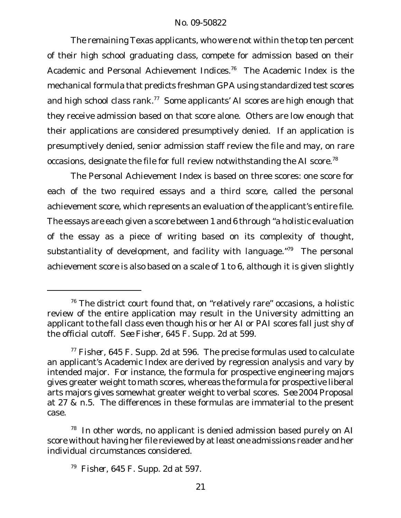The remaining Texas applicants, who were not within the top ten percent of their high school graduating class, compete for admission based on their Academic and Personal Achievement Indices.<sup>76</sup> The Academic Index is the mechanical formula that predicts freshman GPA using standardized test scores and high school class rank.<sup>77</sup> Some applicants' AI scores are high enough that they receive admission based on that score alone. Others are low enough that their applications are considered presumptively denied. If an application is presumptively denied, senior admission staff review the file and may, on rare occasions, designate the file for full review notwithstanding the AI score.<sup>78</sup>

The Personal Achievement Index is based on three scores: one score for each of the two required essays and a third score, called the personal achievement score, which represents an evaluation of the applicant's entire file. The essays are each given a score between 1 and 6 through "a holistic evaluation of the essay as a piece of writing based on its complexity of thought, substantiality of development, and facility with language. $79$  The personal achievement score is also based on a scale of 1 to 6, although it is given slightly

<sup>76</sup> The district court found that, on "relatively rare" occasions, a holistic review of the entire application may result in the University admitting an applicant to the fall class even though his or her AI or PAI scores fall just shy of the official cutoff. *See Fisher*, 645 F. Supp. 2d at 599.

<sup>77</sup> *Fisher*, 645 F. Supp. 2d at 596. The precise formulas used to calculate an applicant's Academic Index are derived by regression analysis and vary by intended major. For instance, the formula for prospective engineering majors gives greater weight to math scores, whereas the formula for prospective liberal arts majors gives somewhat greater weight to verbal scores. *See 2004 Proposal* at 27 & n.5. The differences in these formulas are immaterial to the present case.

 $78$  In other words, no applicant is denied admission based purely on AI score without having her file reviewed by at least one admissions reader and her individual circumstances considered.

<sup>79</sup> *Fisher*, 645 F. Supp. 2d at 597.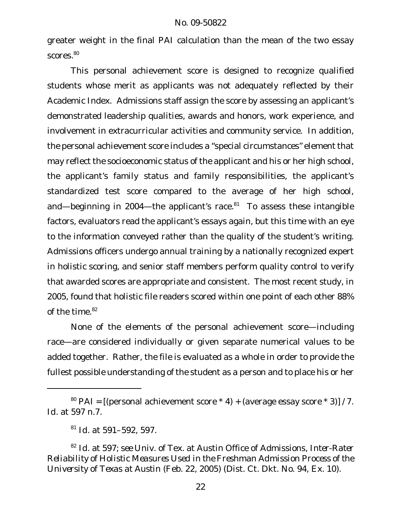greater weight in the final PAI calculation than the mean of the two essay scores.<sup>80</sup>

This personal achievement score is designed to recognize qualified students whose merit as applicants was not adequately reflected by their Academic Index. Admissions staff assign the score by assessing an applicant's demonstrated leadership qualities, awards and honors, work experience, and involvement in extracurricular activities and community service. In addition, the personal achievement score includes a "special circumstances" element that may reflect the socioeconomic status of the applicant and his or her high school, the applicant's family status and family responsibilities, the applicant's standardized test score compared to the average of her high school, and—beginning in 2004—the applicant's race. $81$  To assess these intangible factors, evaluators read the applicant's essays again, but this time with an eye to the information conveyed rather than the quality of the student's writing. Admissions officers undergo annual training by a nationally recognized expert in holistic scoring, and senior staff members perform quality control to verify that awarded scores are appropriate and consistent. The most recent study, in 2005, found that holistic file readers scored within one point of each other 88% of the time.<sup>82</sup>

None of the elements of the personal achievement score—including race—are considered individually or given separate numerical values to be added together. Rather, the file is evaluated as a whole in order to provide the fullest possible understanding of the student as a person and to place his or her

 $80$  PAI = [(personal achievement score  $*$  4) + (average essay score  $*$  3)] / 7. *Id.* at 597 n.7.

<sup>81</sup> *Id.* at 591–592, 597.

<sup>82</sup> *Id.* at 597; *see* Univ. of Tex. at Austin Office of Admissions, *Inter-Rater Reliability of Holistic Measures Used in the Freshman Admission Process of the University of Texas at Austin* (Feb. 22, 2005) (Dist. Ct. Dkt. No. 94, Ex. 10).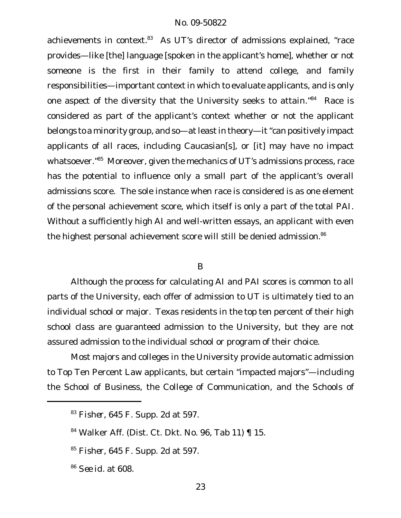achievements in context.<sup>83</sup> As UT's director of admissions explained, "race provides—like [the] language [spoken in the applicant's home], whether or not someone is the first in their family to attend college, and family responsibilities—important context in which to evaluate applicants, and is only one aspect of the diversity that the University seeks to attain."<sup>84</sup> Race is considered as part of the applicant's context whether or not the applicant belongs to a minority group, and so—at least in theory—it "can positively impact applicants of all races, including Caucasian[s], or [it] may have no impact whatsoever.<sup>"85</sup> Moreover, given the mechanics of UT's admissions process, race has the potential to influence only a small part of the applicant's overall admissions score. The sole instance when race is considered is as one element of the personal achievement score, which itself is only a part of the total PAI. Without a sufficiently high AI and well-written essays, an applicant with even the highest personal achievement score will still be denied admission.<sup>86</sup>

#### B

Although the process for calculating AI and PAI scores is common to all parts of the University, each offer of admission to UT is ultimately tied to an individual school or major. Texas residents in the top ten percent of their high school class are guaranteed admission to the University, but they are not assured admission to the individual school or program of their choice.

Most majors and colleges in the University provide automatic admission to Top Ten Percent Law applicants, but certain "impacted majors"—including the School of Business, the College of Communication, and the Schools of

<sup>83</sup> *Fisher*, 645 F. Supp. 2d at 597.

<sup>84</sup> Walker Aff. (Dist. Ct. Dkt. No. 96, Tab 11) ¶ 15.

<sup>85</sup> *Fisher*, 645 F. Supp. 2d at 597.

<sup>86</sup> *See id.* at 608.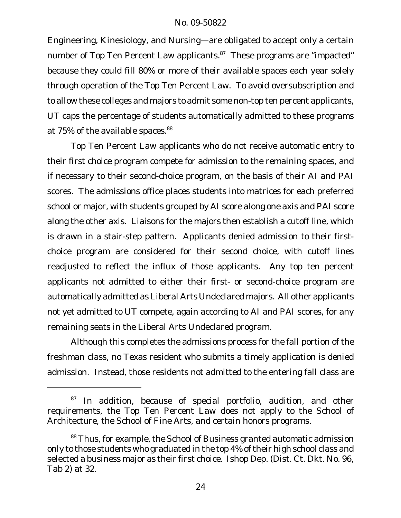Engineering, Kinesiology, and Nursing—are obligated to accept only a certain number of Top Ten Percent Law applicants.<sup>87</sup> These programs are "impacted" because they could fill 80% or more of their available spaces each year solely through operation of the Top Ten Percent Law. To avoid oversubscription and to allow these colleges and majors to admit some non-top ten percent applicants, UT caps the percentage of students automatically admitted to these programs at 75% of the available spaces.<sup>88</sup>

Top Ten Percent Law applicants who do not receive automatic entry to their first choice program compete for admission to the remaining spaces, and if necessary to their second-choice program, on the basis of their AI and PAI scores. The admissions office places students into matrices for each preferred school or major, with students grouped by AI score along one axis and PAI score along the other axis. Liaisons for the majors then establish a cutoff line, which is drawn in a stair-step pattern. Applicants denied admission to their firstchoice program are considered for their second choice, with cutoff lines readjusted to reflect the influx of those applicants. Any top ten percent applicants not admitted to either their first- or second-choice program are automatically admitted as Liberal Arts Undeclared majors. All other applicants not yet admitted to UT compete, again according to AI and PAI scores, for any remaining seats in the Liberal Arts Undeclared program.

Although this completes the admissions process for the fall portion of the freshman class, no Texas resident who submits a timely application is denied admission. Instead, those residents not admitted to the entering fall class are

 $87$  In addition, because of special portfolio, audition, and other requirements, the Top Ten Percent Law does not apply to the School of Architecture, the School of Fine Arts, and certain honors programs.

<sup>88</sup> Thus, for example, the School of Business granted automatic admission only to those students who graduated in the top 4% of their high school class and selected a business major as their first choice. Ishop Dep. (Dist. Ct. Dkt. No. 96, Tab 2) at 32.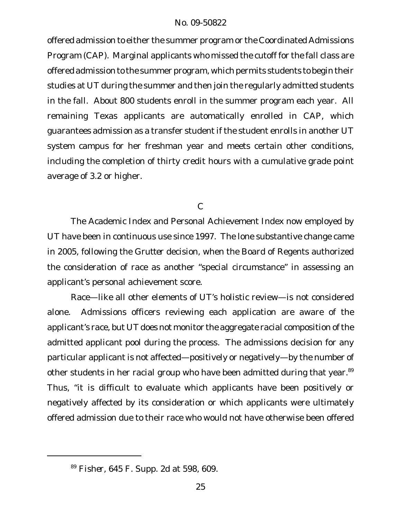offered admission to either the summer program or the Coordinated Admissions Program (CAP). Marginal applicants who missed the cutoff for the fall class are offered admission to the summer program, which permits students to begin their studies at UT during the summer and then join the regularly admitted students in the fall. About 800 students enroll in the summer program each year. All remaining Texas applicants are automatically enrolled in CAP, which guarantees admission as a transfer student if the student enrolls in another UT system campus for her freshman year and meets certain other conditions, including the completion of thirty credit hours with a cumulative grade point average of 3.2 or higher.

C

The Academic Index and Personal Achievement Index now employed by UT have been in continuous use since 1997. The lone substantive change came in 2005, following the *Grutter* decision, when the Board of Regents authorized the consideration of race as another "special circumstance" in assessing an applicant's personal achievement score.

Race—like all other elements of UT's holistic review—is not considered alone. Admissions officers reviewing each application are aware of the applicant's race, but UT does not monitor the aggregate racial composition of the admitted applicant pool during the process. The admissions decision for any particular applicant is not affected—positively or negatively—by the number of other students in her racial group who have been admitted during that year.<sup>89</sup> Thus, "it is difficult to evaluate which applicants have been positively or negatively affected by its consideration or which applicants were ultimately offered admission due to their race who would not have otherwise been offered

<sup>89</sup> *Fisher*, 645 F. Supp. 2d at 598, 609.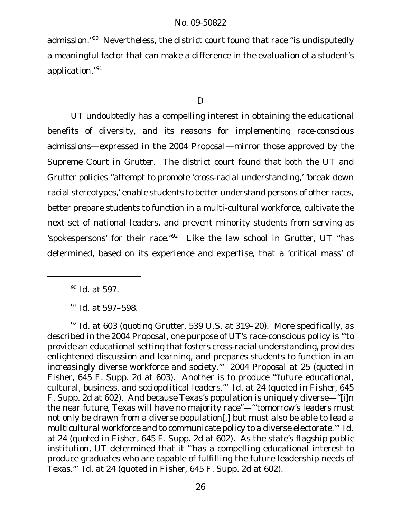admission."<sup>90</sup> Nevertheless, the district court found that race "is undisputedly a meaningful factor that can make a difference in the evaluation of a student's application."<sup>91</sup>

D

UT undoubtedly has a compelling interest in obtaining the educational benefits of diversity, and its reasons for implementing race-conscious admissions—expressed in the *2004 Proposal*—mirror those approved by the Supreme Court in *Grutter*. The district court found that both the UT and *Grutter* policies "attempt to promote 'cross-racial understanding,' 'break down racial stereotypes,' enable students to better understand persons of other races, better prepare students to function in a multi-cultural workforce, cultivate the next set of national leaders, and prevent minority students from serving as 'spokespersons' for their race."<sup>92</sup> Like the law school in *Grutter*, UT "has determined, based on its experience and expertise, that a 'critical mass' of

<sup>90</sup> *Id.* at 597.

<sup>91</sup> *Id.* at 597–598.

<sup>92</sup> *Id.* at 603 (quoting *Grutter*, 539 U.S. at 319–20). More specifically, as described in the *2004 Proposal*, one purpose of UT's race-conscious policy is "'to provide an educational setting that fosters cross-racial understanding, provides enlightened discussion and learning, and prepares students to function in an increasingly diverse workforce and society.'" *2004 Proposal* at 25 (quoted in *Fisher*, 645 F. Supp. 2d at 603). Another is to produce "'future educational, cultural, business, and sociopolitical leaders.'" *Id.* at 24 (quoted in *Fisher*, 645 F. Supp. 2d at 602). And because Texas's population is uniquely diverse—"[i]n the near future, Texas will have no majority race"—"'tomorrow's leaders must not only be drawn from a diverse population[,] but must also be able to lead a multicultural workforce and to communicate policy to a diverse electorate.'" *Id.* at 24 (quoted in *Fisher*, 645 F. Supp. 2d at 602). As the state's flagship public institution, UT determined that it "'has a compelling educational interest to produce graduates who are capable of fulfilling the future leadership needs of Texas.'" *Id.* at 24 (quoted in *Fisher*, 645 F. Supp. 2d at 602).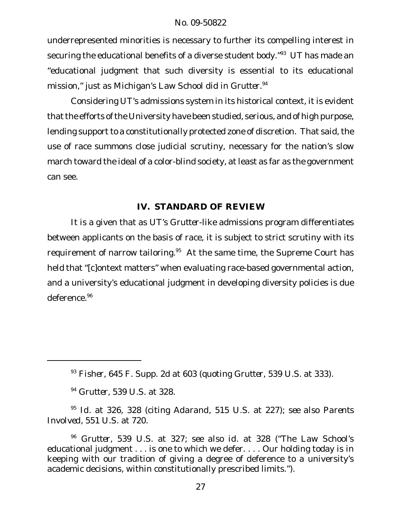underrepresented minorities is necessary to further its compelling interest in securing the educational benefits of a diverse student body."<sup>93</sup> UT has made an "educational judgment that such diversity is essential to its educational mission," just as Michigan's Law School did in *Grutter*. 94

Considering UT's admissions system in its historical context, it is evident that the efforts of the University have been studied, serious, and of high purpose, lending support to a constitutionally protected zone of discretion. That said, the use of race summons close judicial scrutiny, necessary for the nation's slow march toward the ideal of a color-blind society, at least as far as the government can see.

# **IV. STANDARD OF REVIEW**

It is a given that as UT's *Grutter*-like admissions program differentiates between applicants on the basis of race, it is subject to strict scrutiny with its requirement of narrow tailoring.<sup>95</sup> At the same time, the Supreme Court has held that "[c]ontext matters" when evaluating race-based governmental action, and a university's educational judgment in developing diversity policies is due deference.<sup>96</sup>

<sup>94</sup> *Grutter*, 539 U.S. at 328.

<sup>95</sup> *Id.* at 326, 328 (citing *Adarand*, 515 U.S. at 227); *see also Parents Involved*, 551 U.S. at 720.

<sup>93</sup> *Fisher*, 645 F. Supp. 2d at 603 (quoting *Grutter*, 539 U.S. at 333).

<sup>96</sup> *Grutter*, 539 U.S. at 327; *see also id.* at 328 ("The Law School's educational judgment . . . is one to which we defer. . . . Our holding today is in keeping with our tradition of giving a degree of deference to a university's academic decisions, within constitutionally prescribed limits.").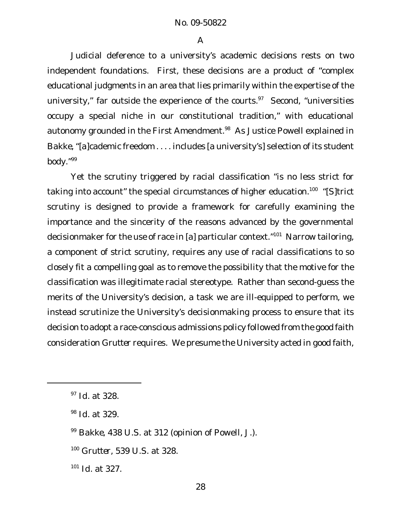Judicial deference to a university's academic decisions rests on two independent foundations. First, these decisions are a product of "complex educational judgments in an area that lies primarily within the expertise of the university," far outside the experience of the courts.<sup>97</sup> Second, "universities occupy a special niche in our constitutional tradition," with educational autonomy grounded in the First Amendment.<sup>98</sup> As Justice Powell explained in *Bakke*, "[a]cademic freedom . . . . includes [a university's] selection of its student body."<sup>99</sup>

Yet the scrutiny triggered by racial classification "is no less strict for taking into account" the special circumstances of higher education.<sup>100</sup> "[S]trict scrutiny is designed to provide a framework for carefully examining the importance and the sincerity of the reasons advanced by the governmental decisionmaker for the use of race in [a] particular context."<sup>101</sup> Narrow tailoring, a component of strict scrutiny, requires any use of racial classifications to so closely fit a compelling goal as to remove the possibility that the motive for the classification was illegitimate racial stereotype. Rather than second-guess the merits of the University's decision, a task we are ill-equipped to perform, we instead scrutinize the University's decisionmaking process to ensure that its decision to adopt a race-conscious admissions policy followed from the good faith consideration *Grutter* requires. We presume the University acted in good faith,

- <sup>99</sup> *Bakke*, 438 U.S. at 312 (opinion of Powell, J.).
- <sup>100</sup> *Grutter*, 539 U.S. at 328.
- <sup>101</sup> *Id.* at 327.

<sup>97</sup> *Id.* at 328.

<sup>98</sup> *Id.* at 329.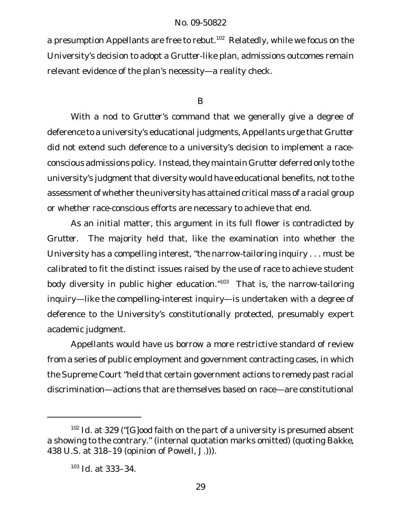a presumption Appellants are free to rebut.<sup>102</sup> Relatedly, while we focus on the University's decision to adopt a *Grutter*-like plan, admissions outcomes remain relevant evidence of the plan's necessity—a reality check.

#### B

With a nod to *Grutter*'s command that we generally give a degree of deference to a university's educational judgments, Appellants urge that *Grutter* did not extend such deference to a university's decision to implement a raceconscious admissions policy. Instead, they maintain *Grutter* deferred only to the university's judgment that diversity would have educational benefits, not to the assessment of whether the university has attained critical mass of a racial group or whether race-conscious efforts are necessary to achieve that end.

As an initial matter, this argument in its full flower is contradicted by *Grutter*. The majority held that, like the examination into whether the University has a compelling interest, "the narrow-tailoring inquiry . . . must be calibrated to fit the distinct issues raised by the use of race to achieve student body diversity in public higher education. $103$  That is, the narrow-tailoring inquiry—like the compelling-interest inquiry—is undertaken with a degree of deference to the University's constitutionally protected, presumably expert academic judgment.

Appellants would have us borrow a more restrictive standard of review from a series of public employment and government contracting cases, in which the Supreme Court "held that certain government actions to remedy past racial discrimination—actions that are themselves based on race—are constitutional

<sup>&</sup>lt;sup>102</sup> Id. at 329 ("[G]ood faith on the part of a university is presumed absent a showing to the contrary." (internal quotation marks omitted) (quoting *Bakke*, 438 U.S. at 318–19 (opinion of Powell, J.))).

<sup>103</sup> *Id.* at 333–34.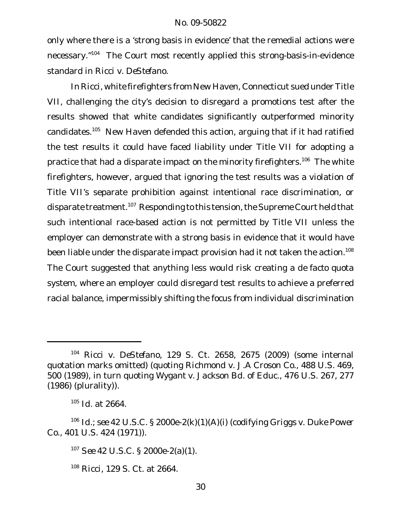only where there is a 'strong basis in evidence' that the remedial actions were necessary."<sup>104</sup> The Court most recently applied this strong-basis-in-evidence standard in *Ricci v. DeStefano*.

In *Ricci*, white firefighters from New Haven, Connecticut sued under Title VII, challenging the city's decision to disregard a promotions test after the results showed that white candidates significantly outperformed minority candidates.<sup>105</sup> New Haven defended this action, arguing that if it had ratified the test results it could have faced liability under Title VII for adopting a practice that had a disparate impact on the minority firefighters.<sup>106</sup> The white firefighters, however, argued that ignoring the test results was a violation of Title VII's separate prohibition against intentional race discrimination, or disparate treatment.<sup>107</sup> Responding to this tension, the Supreme Court held that such intentional race-based action is not permitted by Title VII unless the employer can demonstrate with a strong basis in evidence that it would have been liable under the disparate impact provision had it not taken the action.<sup>108</sup> The Court suggested that anything less would risk creating a *de facto* quota system, where an employer could disregard test results to achieve a preferred racial balance, impermissibly shifting the focus from individual discrimination

<sup>104</sup> *Ricci v. DeStefano*, 129 S. Ct. 2658, 2675 (2009) (some internal quotation marks omitted) (quoting *Richmond v. J.A Croson Co.*, 488 U.S. 469, 500 (1989), in turn quoting *Wygant v. Jackson Bd. of Educ.*, 476 U.S. 267, 277 (1986) (plurality)).

<sup>105</sup> *Id.* at 2664.

<sup>106</sup> *Id.*; *see* 42 U.S.C. § 2000e-2(k)(1)(A)(i) (codifying *Griggs v. Duke Power Co.*, 401 U.S. 424 (1971)).

<sup>107</sup> *See* 42 U.S.C. § 2000e-2(a)(1).

<sup>108</sup> *Ricci*, 129 S. Ct. at 2664.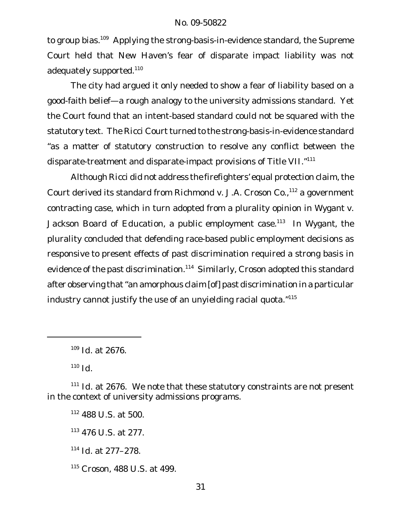to group bias.<sup>109</sup> Applying the strong-basis-in-evidence standard, the Supreme Court held that New Haven's fear of disparate impact liability was not adequately supported.<sup>110</sup>

The city had argued it only needed to show a fear of liability based on a good-faith belief—a rough analogy to the university admissions standard. Yet the Court found that an intent-based standard could not be squared with the statutory text. The *Ricci* Court turned to the strong-basis-in-evidence standard "as a matter of statutory construction to resolve any conflict between the disparate-treatment and disparate-impact provisions of Title VII."111

Although Ricci did not address the firefighters' equal protection claim, the Court derived its standard from *Richmond v. J.A. Croson Co.*, <sup>112</sup> a government contracting case, which in turn adopted from a plurality opinion in *Wygant v. Jackson Board of Education*, a public employment case.<sup>113</sup> In *Wygant*, the plurality concluded that defending race-based public employment decisions as responsive to present effects of past discrimination required a strong basis in evidence of the past discrimination.<sup>114</sup> Similarly, *Croson* adopted this standard after observing that"an amorphous claim [of] past discrimination in a particular industry cannot justify the use of an unyielding racial quota."115

<sup>110</sup> *Id.*

<sup>109</sup> *Id.* at 2676.

<sup>111</sup> *Id.* at 2676. We note that these statutory constraints are not present in the context of university admissions programs.

<sup>112</sup> 488 U.S. at 500.

<sup>113</sup> 476 U.S. at 277.

<sup>114</sup> *Id.* at 277–278.

<sup>115</sup> *Croson*, 488 U.S. at 499.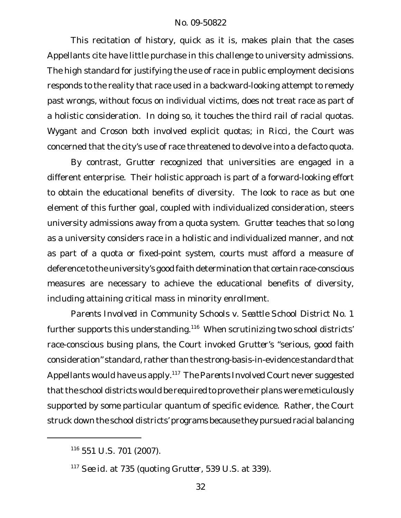This recitation of history, quick as it is, makes plain that the cases Appellants cite have little purchase in this challenge to university admissions. The high standard for justifying the use of race in public employment decisions responds to the reality that race used in a backward-looking attempt to remedy past wrongs, without focus on individual victims, does not treat race as part of a holistic consideration. In doing so, it touches the third rail of racial quotas. *Wygant* and *Croson* both involved explicit quotas; in *Ricci*, the Court was concerned that the city's use of race threatened to devolve into a *de facto* quota.

By contrast, *Grutter* recognized that universities are engaged in a different enterprise. Their holistic approach is part of a forward-looking effort to obtain the educational benefits of diversity. The look to race as but one element of this further goal, coupled with individualized consideration, steers university admissions away from a quota system. *Grutter* teaches that so long as a university considers race in a holistic and individualized manner, and not as part of a quota or fixed-point system, courts must afford a measure of deference to the university's good faith determination that certain race-conscious measures are necessary to achieve the educational benefits of diversity, including attaining critical mass in minority enrollment.

*Parents Involved in Community Schools v. Seattle School District No. 1* further supports this understanding.<sup>116</sup> When scrutinizing two school districts' race-conscious busing plans, the Court invoked *Grutter*'s "serious, good faith consideration" standard, rather than the strong-basis-in-evidence standard that Appellants would have us apply.<sup>117</sup> The *Parents Involved* Court never suggested that the school districts would be required to prove their plans were meticulously supported by some particular quantum of specific evidence. Rather, the Court struck down the school districts' programs because they pursued racial balancing

<sup>116</sup> 551 U.S. 701 (2007).

<sup>117</sup> *See id.* at 735 (quoting *Grutter*, 539 U.S. at 339).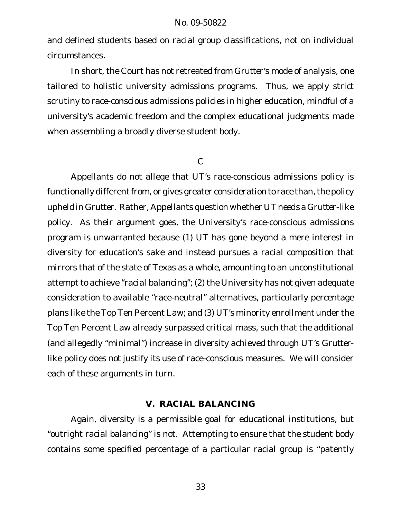and defined students based on racial group classifications, not on individual circumstances.

In short, the Court has not retreated from *Grutter*'s mode of analysis, one tailored to holistic university admissions programs. Thus, we apply strict scrutiny to race-conscious admissions policies in higher education, mindful of a university's academic freedom and the complex educational judgments made when assembling a broadly diverse student body.

### $\mathcal{C}$

Appellants do not allege that UT's race-conscious admissions policy is functionally different from, or gives greater consideration to race than, the policy upheld in *Grutter*. Rather, Appellants question whether UT *needs* a *Grutter*-like policy. As their argument goes, the University's race-conscious admissions program is unwarranted because (1) UT has gone beyond a mere interest in diversity for education's sake and instead pursues a racial composition that mirrors that of the state of Texas as a whole, amounting to an unconstitutional attempt to achieve "racial balancing"; (2) the University has not given adequate consideration to available "race-neutral" alternatives, particularly percentage plans like the Top Ten Percent Law; and (3) UT's minority enrollment under the Top Ten Percent Law already surpassed critical mass, such that the additional (and allegedly "minimal") increase in diversity achieved through UT's *Grutter*like policy does not justify its use of race-conscious measures. We will consider each of these arguments in turn.

# **V. RACIAL BALANCING**

Again, diversity is a permissible goal for educational institutions, but "outright racial balancing" is not. Attempting to ensure that the student body contains some specified percentage of a particular racial group is "patently

33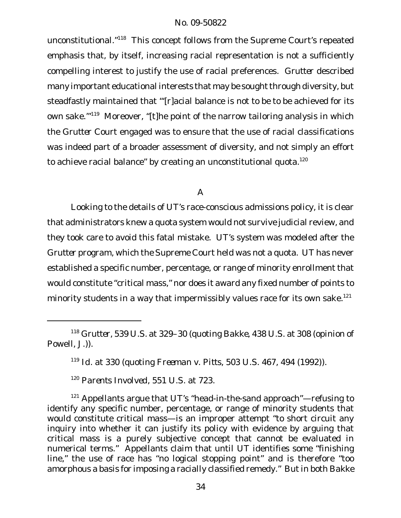unconstitutional."<sup>118</sup> This concept follows from the Supreme Court's repeated emphasis that, by itself, increasing racial representation is not a sufficiently compelling interest to justify the use of racial preferences. *Grutter* described many important educational interests that may be sought through diversity, but steadfastly maintained that "'[r]acial balance is not to be to be achieved for its own sake.<sup>'"119</sup> Moreover, "[t]he point of the narrow tailoring analysis in which the *Grutter* Court engaged was to ensure that the use of racial classifications was indeed part of a broader assessment of diversity, and not simply an effort to achieve racial balance" by creating an unconstitutional quota.<sup>120</sup>

# A

Looking to the details of UT's race-conscious admissions policy, it is clear that administrators knew a quota system would not survive judicial review, and they took care to avoid this fatal mistake. UT's system was modeled after the *Grutter* program, which the Supreme Court held was not a quota. UT has never established a specific number, percentage, or range of minority enrollment that would constitute "critical mass," nor does it award any fixed number of points to minority students in a way that impermissibly values race for its own sake.<sup>121</sup>

<sup>118</sup> *Grutter*, 539 U.S. at 329–30 (quoting *Bakke*, 438 U.S. at 308 (opinion of Powell, J.)).

<sup>119</sup> *Id.* at 330 (quoting *Freeman v. Pitts*, 503 U.S. 467, 494 (1992)).

<sup>120</sup> *Parents Involved*, 551 U.S. at 723.

<sup>&</sup>lt;sup>121</sup> Appellants argue that UT's "head-in-the-sand approach"—refusing to identify any specific number, percentage, or range of minority students that would constitute critical mass—is an improper attempt "to short circuit any inquiry into whether it can justify its policy with evidence by arguing that critical mass is a purely subjective concept that cannot be evaluated in numerical terms." Appellants claim that until UT identifies some "finishing line," the use of race has "no logical stopping point" and is therefore "too amorphous a basis for imposing a racially classified remedy." But in both *Bakke*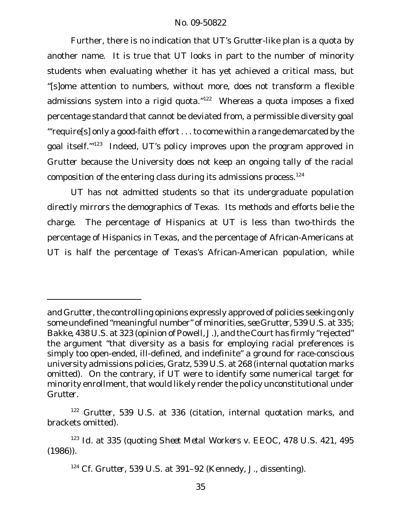Further, there is no indication that UT's *Grutter*-like plan is a quota by another name. It is true that UT looks in part to the number of minority students when evaluating whether it has yet achieved a critical mass, but "[s]ome attention to numbers, without more, does not transform a flexible admissions system into a rigid quota."<sup>122</sup> Whereas a quota imposes a fixed percentage standard that cannot be deviated from, a permissible diversity goal "'require[s] only a good-faith effort . . . to come within a range demarcated by the goal itself.<sup>'"123</sup> Indeed, UT's policy improves upon the program approved in *Grutter* because the University does not keep an ongoing tally of the racial composition of the entering class during its admissions process.<sup>124</sup>

UT has not admitted students so that its undergraduate population directly mirrors the demographics of Texas. Its methods and efforts belie the charge. The percentage of Hispanics at UT is less than two-thirds the percentage of Hispanics in Texas, and the percentage of African-Americans at UT is half the percentage of Texas's African-American population, while

and Grutter, the controlling opinions expressly approved of policies seeking only some undefined "meaningful number" of minorities, *see Grutter*, 539 U.S. at 335; *Bakke*, 438 U.S. at 323 (opinion of Powell, J.), and the Court has firmly "rejected" the argument "that diversity as a basis for employing racial preferences is simply too open-ended, ill-defined, and indefinite" a ground for race-conscious university admissions policies, *Gratz*, 539 U.S. at 268 (internal quotation marks omitted). On the contrary, if UT were to identify some numerical target for minority enrollment, that would likely render the policy unconstitutional under *Grutter*.

<sup>122</sup> *Grutter*, 539 U.S. at 336 (citation, internal quotation marks, and brackets omitted).

<sup>123</sup> *Id.* at 335 (quoting *Sheet Metal Workers v. EEOC*, 478 U.S. 421, 495 (1986)).

<sup>124</sup> *Cf. Grutter*, 539 U.S. at 391–92 (Kennedy, J., dissenting).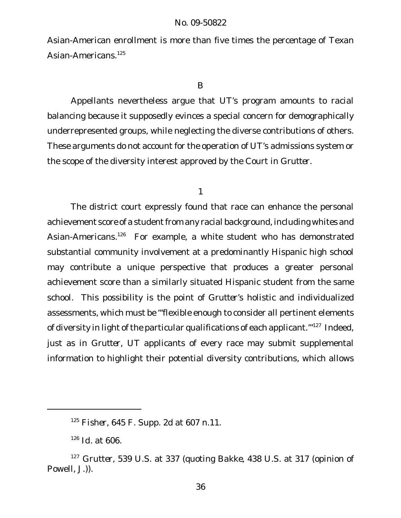Asian-American enrollment is more than five times the percentage of Texan Asian-Americans.<sup>125</sup>

B

Appellants nevertheless argue that UT's program amounts to racial balancing because it supposedly evinces a special concern for demographically underrepresented groups, while neglecting the diverse contributions of others. These arguments do not account for the operation of UT's admissions system or the scope of the diversity interest approved by the Court in *Grutter*.

1

The district court expressly found that race can enhance the personal achievement score of a student from any racial background, including whites and Asian-Americans.<sup>126</sup> For example, a white student who has demonstrated substantial community involvement at a predominantly Hispanic high school may contribute a unique perspective that produces a greater personal achievement score than a similarly situated Hispanic student from the same school. This possibility is the point of *Grutter*'s holistic and individualized assessments, which must be "'flexible enough to consider all pertinent elements of diversity in light of the particular qualifications of each applicant.<sup>"127</sup> Indeed, just as in *Grutter*, UT applicants of every race may submit supplemental information to highlight their potential diversity contributions, which allows

<sup>125</sup> *Fisher*, 645 F. Supp. 2d at 607 n.11.

<sup>126</sup> *Id.* at 606.

<sup>127</sup> *Grutter*, 539 U.S. at 337 (quoting *Bakke*, 438 U.S. at 317 (opinion of Powell, J.)).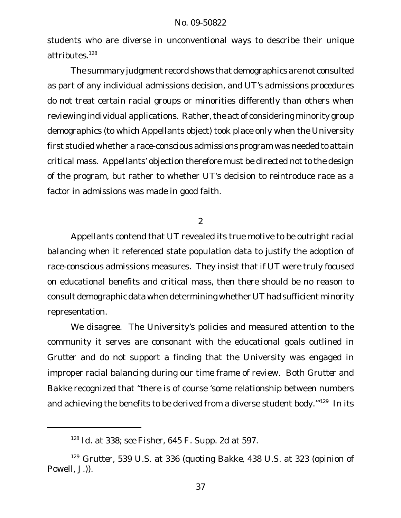students who are diverse in unconventional ways to describe their unique attributes.<sup>128</sup>

The summary judgment record shows that demographics are not consulted as part of any individual admissions decision, and UT's admissions procedures do not treat certain racial groups or minorities differently than others when reviewing individual applications. Rather, the act of considering minority group demographics (to which Appellants object) took place only when the University first studied whether a race-conscious admissions program was needed to attain critical mass. Appellants' objection therefore must be directed not to the design of the program, but rather to whether UT's decision to reintroduce race as a factor in admissions was made in good faith.

### 2

Appellants contend that UT revealed its true motive to be outright racial balancing when it referenced state population data to justify the adoption of race-conscious admissions measures. They insist that if UT were truly focused on educational benefits and critical mass, then there should be no reason to consult demographic data when determining whether UT had sufficient minority representation.

We disagree. The University's policies and measured attention to the community it serves are consonant with the educational goals outlined in *Grutter* and do not support a finding that the University was engaged in improper racial balancing during our time frame of review. Both *Grutter* and *Bakke* recognized that "there is of course 'some relationship between numbers and achieving the benefits to be derived from a diverse student body."<sup>129</sup> In its

<sup>128</sup> *Id.* at 338; *see Fisher*, 645 F. Supp. 2d at 597.

<sup>129</sup> *Grutter*, 539 U.S. at 336 (quoting *Bakke*, 438 U.S. at 323 (opinion of Powell, J.)).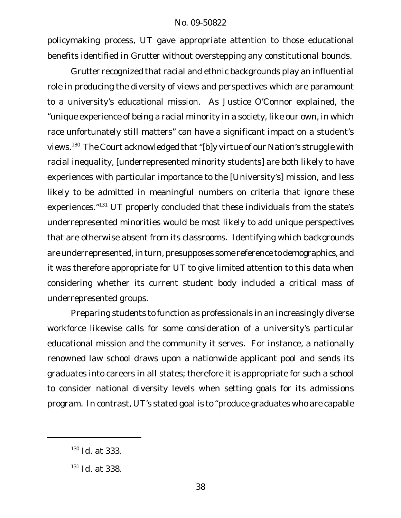policymaking process, UT gave appropriate attention to those educational benefits identified in *Grutter* without overstepping any constitutional bounds.

*Grutter* recognized that racial and ethnic backgrounds play an influential role in producing the diversity of views and perspectives which are paramount to a university's educational mission. As Justice O'Connor explained, the "unique experience of being a racial minority in a society, like our own, in which race unfortunately still matters" can have a significant impact on a student's views.<sup>130</sup> The Court acknowledged that "[b]y virtue of our Nation's struggle with racial inequality, [underrepresented minority students] are both likely to have experiences with particular importance to the [University's] mission, and less likely to be admitted in meaningful numbers on criteria that ignore these experiences."<sup>131</sup> UT properly concluded that these individuals from the state's underrepresented minorities would be most likely to add unique perspectives that are otherwise absent from its classrooms. Identifying *which* backgrounds are underrepresented, in turn, presupposes some reference to demographics, and it was therefore appropriate for UT to give limited attention to this data when considering whether its current student body included a critical mass of underrepresented groups.

Preparing students to function as professionals in an increasingly diverse workforce likewise calls for some consideration of a university's particular educational mission and the community it serves. For instance, a nationally renowned law school draws upon a nationwide applicant pool and sends its graduates into careers in all states; therefore it is appropriate for such a school to consider national diversity levels when setting goals for its admissions program. In contrast, UT's stated goal is to "produce graduates who are capable

<sup>130</sup> *Id.* at 333.

<sup>131</sup> *Id.* at 338.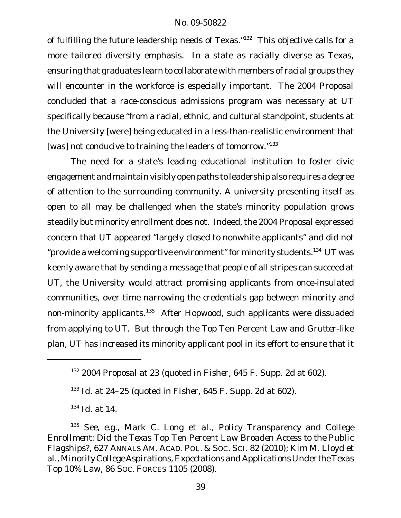of fulfilling the future leadership needs of Texas."<sup>132</sup> This objective calls for a more tailored diversity emphasis. In a state as racially diverse as Texas, ensuring that graduates learn to collaborate with members of racial groups they will encounter in the workforce is especially important. The *2004 Proposal* concluded that a race-conscious admissions program was necessary at UT specifically because "from a racial, ethnic, and cultural standpoint, students at the University [were] being educated in a less-than-realistic environment that [was] not conducive to training the leaders of tomorrow."<sup>133</sup>

The need for a state's leading educational institution to foster civic engagement and maintain visibly open paths to leadership also requires a degree of attention to the surrounding community. A university presenting itself as open to all may be challenged when the state's minority population grows steadily but minority enrollment does not. Indeed, the *2004 Proposal* expressed concern that UT appeared "largely closed to nonwhite applicants" and did not "provide a welcoming supportive environment" for minority students.<sup>134</sup> UT was keenly aware that by sending a message that people of all stripes can succeed at UT, the University would attract promising applicants from once-insulated communities, over time narrowing the credentials gap between minority and non-minority applicants.<sup>135</sup> After *Hopwood*, such applicants were dissuaded from applying to UT. But through the Top Ten Percent Law and *Grutter*-like plan, UT has increased its minority applicant pool in its effort to ensure that it

<sup>132</sup> *2004 Proposal* at 23 (quoted in *Fisher*, 645 F. Supp. 2d at 602).

<sup>133</sup> *Id.* at 24–25 (quoted in *Fisher*, 645 F. Supp. 2d at 602).

<sup>134</sup> *Id.* at 14.

<sup>135</sup> *See, e.g.*, Mark C. Long et al., *Policy Transparency and College Enrollment: Did the Texas Top Ten Percent Law Broaden Access to the Public Flagships?*, 627 ANNALS AM. ACAD. POL. & SOC. SCI. 82 (2010); Kim M. Lloyd et al., *Minority College Aspirations, Expectations and Applications Under the Texas Top 10% Law*, 86 SOC. FORCES 1105 (2008).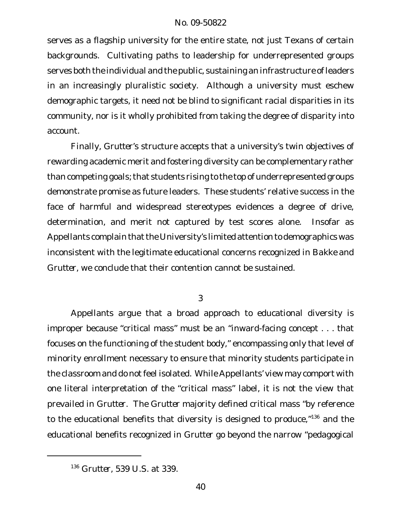serves as a flagship university for the entire state, not just Texans of certain backgrounds. Cultivating paths to leadership for underrepresented groups serves both the individual and the public, sustaining an infrastructure of leaders in an increasingly pluralistic society. Although a university must eschew demographic targets, it need not be blind to significant racial disparities in its community, nor is it wholly prohibited from taking the degree of disparity into account.

Finally, *Grutter*'s structure accepts that a university's twin objectives of rewarding academic merit and fostering diversity can be complementary rather than competing goals;that students rising to the top of underrepresented groups demonstrate promise as future leaders. These students' relative success in the face of harmful and widespread stereotypes evidences a degree of drive, determination, and merit not captured by test scores alone. Insofar as Appellants complain that the University's limited attention to demographics was inconsistent with the legitimate educational concerns recognized in *Bakke* and *Grutter*, we conclude that their contention cannot be sustained.

3

Appellants argue that a broad approach to educational diversity is improper because "critical mass" must be an "inward-facing concept . . . that focuses on the functioning of the student body," encompassing only that level of minority enrollment necessary to ensure that minority students participate in the classroom and do not feel isolated. While Appellants' view may comport with one literal interpretation of the "critical mass" label, it is not the view that prevailed in *Grutter*. The *Grutter* majority defined critical mass "by reference to the educational benefits that diversity is designed to produce,"<sup>136</sup> and the educational benefits recognized in *Grutter* go beyond the narrow "pedagogical

<sup>136</sup> *Grutter*, 539 U.S. at 339.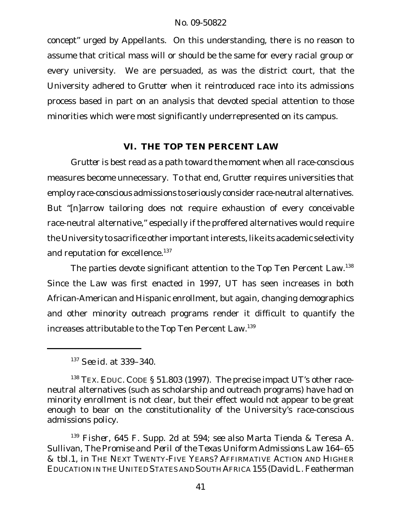concept" urged by Appellants. On this understanding, there is no reason to assume that critical mass will or should be the same for every racial group or every university. We are persuaded, as was the district court, that the University adhered to *Grutter* when it reintroduced race into its admissions process based in part on an analysis that devoted special attention to those minorities which were most significantly underrepresented on its campus.

# **VI. THE TOP TEN PERCENT LAW**

*Grutter* is best read as a path toward the moment when all race-conscious measures become unnecessary. To that end, *Grutter* requires universities that employ race-conscious admissions to seriously consider race-neutral alternatives. But "[n]arrow tailoring does not require exhaustion of every conceivable race-neutral alternative," especially if the proffered alternatives would require the University to sacrifice other importantinterests, like its academic selectivity and reputation for excellence.<sup>137</sup>

The parties devote significant attention to the Top Ten Percent Law.<sup>138</sup> Since the Law was first enacted in 1997, UT has seen increases in both African-American and Hispanic enrollment, but again, changing demographics and other minority outreach programs render it difficult to quantify the increases attributable to the Top Ten Percent Law.139

<sup>137</sup> *See id.* at 339–340.

<sup>&</sup>lt;sup>138</sup> TEX. EDUC. CODE § 51.803 (1997). The precise impact UT's other raceneutral alternatives (such as scholarship and outreach programs) have had on minority enrollment is not clear, but their effect would not appear to be great enough to bear on the constitutionality of the University's race-conscious admissions policy.

<sup>139</sup> *Fisher*, 645 F. Supp. 2d at 594; *see also* Marta Tienda & Teresa A. Sullivan, *The Promise and Peril of the Texas Uniform Admissions Law* 164–65 & tbl.1, *in* THE NEXT TWENTY-FIVE YEARS? AFFIRMATIVE ACTION AND HIGHER EDUCATION IN THE UNITED STATES AND SOUTH AFRICA 155 (David L. Featherman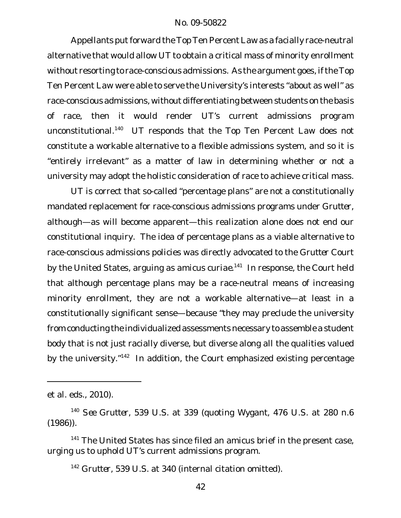Appellants put forward the Top Ten Percent Law as a facially race-neutral alternative that would allow UT to obtain a critical mass of minority enrollment without resorting to race-conscious admissions. As the argument goes, if the Top Ten Percent Law were able to serve the University's interests "about as well" as race-conscious admissions, without differentiating between students on the basis of race, then it would render UT's current admissions program unconstitutional. <sup>140</sup> UT responds that the Top Ten Percent Law does not constitute a workable alternative to a flexible admissions system, and so it is "entirely irrelevant" as a matter of law in determining whether or not a university may adopt the holistic consideration of race to achieve critical mass.

UT is correct that so-called "percentage plans" are not a constitutionally mandated replacement for race-conscious admissions programs under *Grutter*, although—as will become apparent—this realization alone does not end our constitutional inquiry. The idea of percentage plans as a viable alternative to race-conscious admissions policies was directly advocated to the *Grutter* Court by the United States, arguing as *amicus curiae*. <sup>141</sup> In response, the Court held that although percentage plans may be a race-neutral means of increasing minority enrollment, they are not a workable alternative—at least in a constitutionally significant sense—because "they may preclude the university from conducting the individualized assessments necessary to assemble a student body that is not just racially diverse, but diverse along all the qualities valued by the university."<sup>142</sup> In addition, the Court emphasized existing percentage

et al. eds., 2010).

<sup>140</sup> *See Grutter*, 539 U.S. at 339 (quoting *Wygant*, 476 U.S. at 280 n.6  $(1986)$ .

 $141$  The United States has since filed an amicus brief in the present case, urging us to uphold UT's current admissions program.

<sup>142</sup> *Grutter,* 539 U.S. at 340 (internal citation omitted).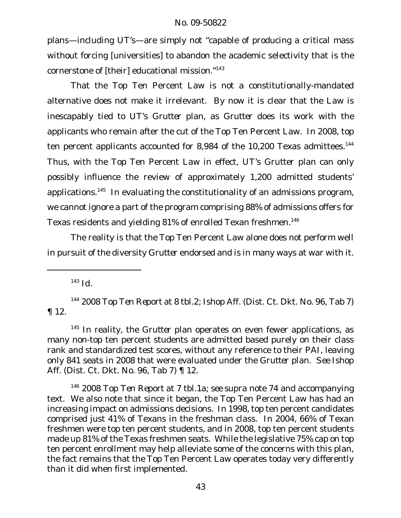plans—including UT's—are simply not "capable of producing a critical mass without forcing [universities] to abandon the academic selectivity that is the cornerstone of [their] educational mission."<sup>143</sup>

That the Top Ten Percent Law is not a constitutionally-mandated alternative does not make it irrelevant. By now it is clear that the Law is inescapably tied to UT's *Grutter* plan, as *Grutter* does its work with the applicants who remain after the cut of the Top Ten Percent Law. In 2008, top ten percent applicants accounted for 8,984 of the 10,200 Texas admittees.<sup>144</sup> Thus, with the Top Ten Percent Law in effect, UT's *Grutter* plan can only possibly influence the review of approximately 1,200 admitted students' applications.<sup>145</sup> In evaluating the constitutionality of an admissions program, we cannot ignore a part of the program comprising 88% of admissions offers for Texas residents and yielding 81% of enrolled Texan freshmen.<sup>146</sup>

The reality is that the Top Ten Percent Law alone does not perform well in pursuit of the diversity *Grutter* endorsed and is in many ways at war with it.

<sup>143</sup> *Id.*

<sup>144</sup> *2008 Top Ten Report* at 8 tbl.2; Ishop Aff. (Dist. Ct. Dkt. No. 96, Tab 7) ¶ 12.

<sup>145</sup> In reality, the Grutter plan operates on even fewer applications, as many non-top ten percent students are admitted based purely on their class rank and standardized test scores, without any reference to their PAI, leaving only 841 seats in 2008 that were evaluated under the *Grutter* plan. *See* Ishop Aff. (Dist. Ct. Dkt. No. 96, Tab 7) ¶ 12.

<sup>146</sup> *2008 Top Ten Report* at 7 tbl.1a; *see supra* note 74 and accompanying text. We also note that since it began, the Top Ten Percent Law has had an increasing impact on admissions decisions. In 1998, top ten percent candidates comprised just 41% of Texans in the freshman class. In 2004, 66% of Texan freshmen were top ten percent students, and in 2008, top ten percent students made up 81% of the Texas freshmen seats. While the legislative 75% cap on top ten percent enrollment may help alleviate some of the concerns with this plan, the fact remains that the Top Ten Percent Law operates today very differently than it did when first implemented.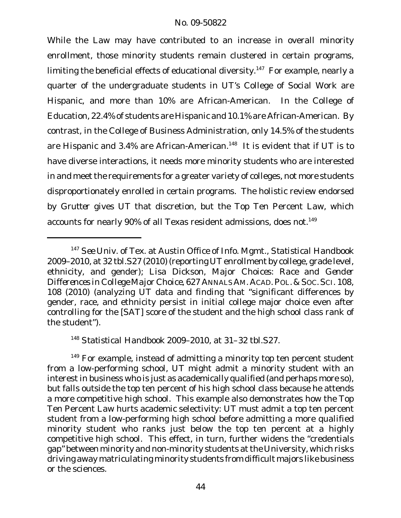While the Law may have contributed to an increase in overall minority enrollment, those minority students remain clustered in certain programs, limiting the beneficial effects of educational diversity.<sup>147</sup> For example, nearly a quarter of the undergraduate students in UT's College of Social Work are Hispanic, and more than 10% are African-American. In the College of Education, 22.4% of students are Hispanic and 10.1% are African-American. By contrast, in the College of Business Administration, only 14.5% of the students are Hispanic and 3.4% are African-American.<sup>148</sup> It is evident that if UT is to have diverse interactions, it needs more minority students who are interested in and meet the requirements for a greater variety of colleges, not more students disproportionately enrolled in certain programs. The holistic review endorsed by *Grutter* gives UT that discretion, but the Top Ten Percent Law, which accounts for nearly 90% of all Texas resident admissions, does not.<sup>149</sup>

<sup>148</sup> *Statistical Handbook 2009–2010*, at 31–32 tbl.S27.

<sup>147</sup> *See* Univ. of Tex. at Austin Office of Info. Mgmt., *Statistical Handbook 2009–2010*, at 32 tbl.S27 (2010) (reporting UTenrollment by college, grade level, ethnicity, and gender); Lisa Dickson, *Major Choices: Race and Gender Differences in College Major Choice*, 627 ANNALSAM. ACAD.POL.&SOC.SCI. 108, 108 (2010) (analyzing UT data and finding that "significant differences by gender, race, and ethnicity persist in initial college major choice even after controlling for the [SAT] score of the student and the high school class rank of the student").

 $149$  For example, instead of admitting a minority top ten percent student from a low-performing school, UT might admit a minority student with an interest in business who is just as academically qualified (and perhaps more so), but falls outside the top ten percent of his high school class because he attends a more competitive high school. This example also demonstrates how the Top Ten Percent Law hurts academic selectivity: UT must admit a top ten percent student from a low-performing high school before admitting a more qualified minority student who ranks just below the top ten percent at a highly competitive high school. This effect, in turn, further widens the "credentials gap" between minority and non-minority students atthe University, which risks driving away matriculating minority students from difficult majors like business or the sciences.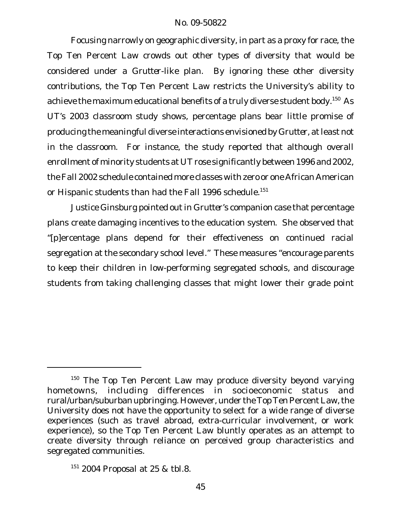Focusing narrowly on geographic diversity, in part as a proxy for race, the Top Ten Percent Law crowds out other types of diversity that would be considered under a *Grutter*-like plan. By ignoring these other diversity contributions, the Top Ten Percent Law restricts the University's ability to achieve the maximum educational benefits of a truly diverse student body.<sup>150</sup> As UT's 2003 classroom study shows, percentage plans bear little promise of producing the meaningful diverse interactions envisioned by *Grutter*, atleast not in the classroom. For instance, the study reported that although overall enrollment of minority students at UT rose significantly between 1996 and 2002, theFall 2002 schedule contained more classes with zero or one African American or Hispanic students than had the Fall 1996 schedule.<sup>151</sup>

Justice Ginsburg pointed outin *Grutter*'s companion case that percentage plans create damaging incentives to the education system. She observed that "[p]ercentage plans depend for their effectiveness on continued racial segregation at the secondary school level." These measures "encourage parents to keep their children in low-performing segregated schools, and discourage students from taking challenging classes that might lower their grade point

<sup>&</sup>lt;sup>150</sup> The Top Ten Percent Law may produce diversity beyond varying hometowns, including differences in socioeconomic status and rural/urban/suburban upbringing. However, under the Top Ten Percent Law, the University does not have the opportunity to select for a wide range of diverse experiences (such as travel abroad, extra-curricular involvement, or work experience), so the Top Ten Percent Law bluntly operates as an attempt to create diversity through reliance on perceived group characteristics and segregated communities.

<sup>151</sup> *2004 Proposal* at 25 & tbl.8.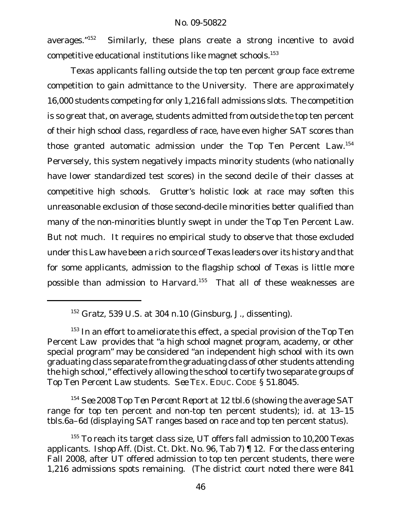averages."<sup>152</sup> Similarly, these plans create a strong incentive to avoid competitive educational institutions like magnet schools.<sup>153</sup>

Texas applicants falling outside the top ten percent group face extreme competition to gain admittance to the University. There are approximately 16,000 students competing for only 1,216 fall admissions slots. The competition is so great that, on average, students admitted from outside the top ten percent of their high school class, regardless of race, have even higher SAT scores than those granted automatic admission under the Top Ten Percent Law.<sup>154</sup> Perversely, this system negatively impacts minority students (who nationally have lower standardized test scores) in the second decile of their classes at competitive high schools. *Grutter*'s holistic look at race may soften this unreasonable exclusion of those second-decile minorities better qualified than many of the non-minorities bluntly swept in under the Top Ten Percent Law. But not much. It requires no empirical study to observe that those excluded under this Law have been a rich source of Texas leaders over its history and that for some applicants, admission to the flagship school of Texas is little more possible than admission to Harvard.<sup>155</sup> That all of these weaknesses are

<sup>154</sup> *See 2008 Top Ten Percent Report* at 12 tbl.6 (showing the average SAT range for top ten percent and non-top ten percent students); *id.* at 13–15 tbls.6a–6d (displaying SAT ranges based on race and top ten percent status).

<sup>152</sup> *Gratz*, 539 U.S. at 304 n.10 (Ginsburg, J., dissenting).

 $153$  In an effort to ameliorate this effect, a special provision of the Top Ten Percent Law provides that "a high school magnet program, academy, or other special program" may be considered "an independent high school with its own graduating class separate from the graduating class of other students attending the high school," effectively allowing the school to certify two separate groups of Top Ten Percent Law students. *See* TEX. EDUC. CODE § 51.8045.

<sup>&</sup>lt;sup>155</sup> To reach its target class size, UT offers fall admission to 10,200 Texas applicants. Ishop Aff. (Dist. Ct. Dkt. No. 96, Tab 7) ¶ 12. For the class entering Fall 2008, after UT offered admission to top ten percent students, there were 1,216 admissions spots remaining. (The district court noted there were 841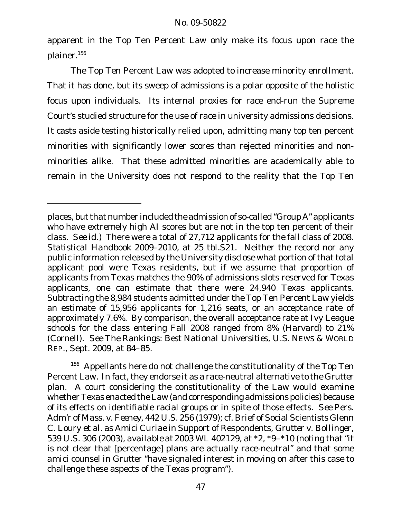apparent in the Top Ten Percent Law only make its focus upon race the plainer.<sup>156</sup>

The Top Ten Percent Law was adopted to increase minority enrollment. That it has done, but its sweep of admissions is a polar opposite of the holistic focus upon individuals. Its internal proxies for race end-run the Supreme Court's studied structure for the use of race in university admissions decisions. It casts aside testing historically relied upon, admitting many top ten percent minorities with significantly lower scores than rejected minorities and nonminorities alike. That these admitted minorities are academically able to remain in the University does not respond to the reality that the Top Ten

<sup>156</sup> Appellants here do not challenge the constitutionality of the Top Ten Percent Law. In fact, they endorse it as a race-neutral alternative to the *Grutter* plan*.* A court considering the constitutionality of the Law would examine whether Texas enacted the Law (and corresponding admissions policies) because of its effects on identifiable racial groups or in spite of those effects. *See Pers. Adm'r of Mass. v. Feeney*, 442 U.S. 256 (1979); *cf.* Brief of Social Scientists Glenn C. Loury et al. as *Amici Curiae* in Support of Respondents, *Grutter v. Bollinger*, 539 U.S. 306 (2003), *available at* 2003 WL 402129, at \*2, \*9–\*10 (noting that "it is not clear that [percentage] plans are actually race-neutral" and that some *amici* counsel in *Grutter* "have signaled interest in moving on after this case to challenge these aspects of the Texas program").

places, but that number included the admission of so-called "Group A" applicants who have extremely high AI scores but are not in the top ten percent of their class. *See id.*) There were a total of 27,712 applicants for the fall class of 2008. *Statistical Handbook 2009–2010*, at 25 tbl.S21. Neither the record nor any public information released by the University disclose what portion of that total applicant pool were Texas residents, but if we assume that proportion of applicants from Texas matches the 90% of admissions slots reserved for Texas applicants, one can estimate that there were 24,940 Texas applicants. Subtracting the 8,984 students admitted under the Top Ten Percent Law yields an estimate of 15,956 applicants for 1,216 seats, or an acceptance rate of approximately 7.6%. By comparison, the overall acceptance rate at Ivy League schools for the class entering Fall 2008 ranged from 8% (Harvard) to 21% (Cornell). *See The Rankings: Best National Universities*, U.S. NEWS & WORLD REP., Sept. 2009, at 84–85.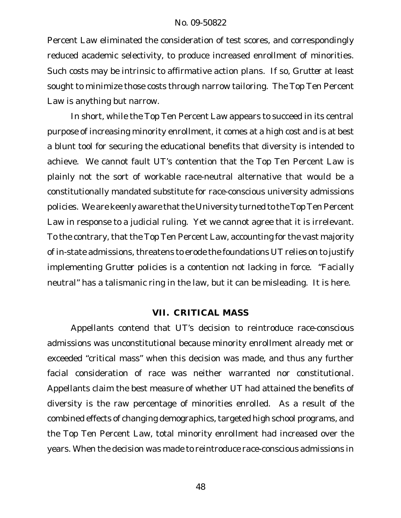Percent Law eliminated the consideration of test scores, and correspondingly reduced academic selectivity, to produce increased enrollment of minorities. Such costs may be intrinsic to affirmative action plans. If so, *Grutter* at least sought to minimize those costs through narrow tailoring. The Top Ten Percent Law is anything but narrow.

In short, while the Top Ten Percent Law appears to succeed in its central purpose of increasing minority enrollment, it comes at a high cost and is at best a blunt tool for securing the educational benefits that diversity is intended to achieve. We cannot fault UT's contention that the Top Ten Percent Law is plainly not the sort of workable race-neutral alternative that would be a constitutionally mandated substitute for race-conscious university admissions policies. We are keenly aware that the University turned to the Top Ten Percent Law in response to a judicial ruling. Yet we cannot agree that it is irrelevant. To the contrary, that the Top Ten Percent Law, accounting for the vast majority of in-state admissions, threatens to erode the foundations UT relies on to justify implementing *Grutter* policies is a contention not lacking in force. "Facially neutral" has a talismanic ring in the law, but it can be misleading. It is here.

# **VII. CRITICAL MASS**

Appellants contend that UT's decision to reintroduce race-conscious admissions was unconstitutional because minority enrollment already met or exceeded "critical mass" when this decision was made, and thus any further facial consideration of race was neither warranted nor constitutional. Appellants claim the best measure of whether UT had attained the benefits of diversity is the raw percentage of minorities enrolled. As a result of the combined effects of changing demographics, targeted high school programs, and the Top Ten Percent Law, total minority enrollment had increased over the years. When the decision was made to reintroduce race-conscious admissions in

48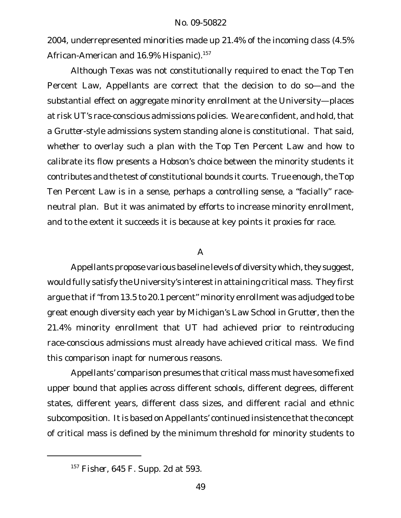2004, underrepresented minorities made up 21.4% of the incoming class (4.5% African-American and 16.9% Hispanic).<sup>157</sup>

Although Texas was not constitutionally required to enact the Top Ten Percent Law, Appellants are correct that the decision to do so—and the substantial effect on aggregate minority enrollment at the University—places at risk UT's race-conscious admissions policies. We are confident, and hold, that a *Grutter*-style admissions system standing alone is constitutional. That said, whether to overlay such a plan with the Top Ten Percent Law and how to calibrate its flow presents a Hobson's choice between the minority students it contributes and the test of constitutional bounds it courts. True enough, the Top Ten Percent Law is in a sense, perhaps a controlling sense, a "facially" raceneutral plan. But it was animated by efforts to increase minority enrollment, and to the extent it succeeds it is because at key points it proxies for race.

### A

Appellants propose various baseline levels of diversity which, they suggest, would fully satisfy the University's interestin attaining critical mass. They first argue that if "from 13.5 to 20.1 percent" minority enrollment was adjudged to be great enough diversity each year by Michigan's Law School in *Grutter*, then the 21.4% minority enrollment that UT had achieved prior to reintroducing race-conscious admissions must already have achieved critical mass. We find this comparison inapt for numerous reasons.

Appellants' comparison presumes that critical mass must have some fixed upper bound that applies across different schools, different degrees, different states, different years, different class sizes, and different racial and ethnic subcomposition. It is based on Appellants' continued insistence that the concept of critical mass is defined by the minimum threshold for minority students to

<sup>157</sup> *Fisher*, 645 F. Supp. 2d at 593.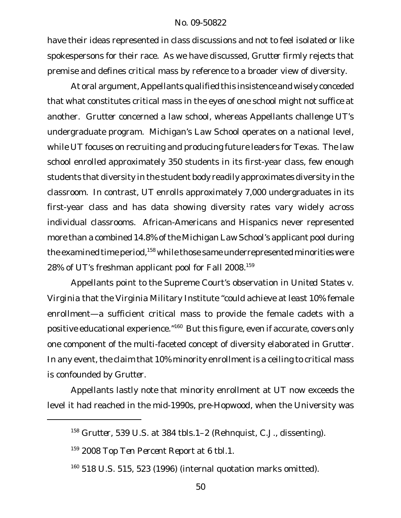have their ideas represented in class discussions and not to feel isolated or like spokespersons for their race. As we have discussed, *Grutter* firmly rejects that premise and defines critical mass by reference to a broader view of diversity.

At oral argument, Appellants qualified this insistence and wisely conceded that what constitutes critical mass in the eyes of one school might not suffice at another. *Grutter* concerned a law school, whereas Appellants challenge UT's undergraduate program. Michigan's Law School operates on a national level, while UT focuses on recruiting and producing future leaders for Texas. The law school enrolled approximately 350 students in its first-year class, few enough students that diversity in the student body readily approximates diversity in the classroom. In contrast, UT enrolls approximately 7,000 undergraduates in its first-year class and has data showing diversity rates vary widely across individual classrooms. African-Americans and Hispanics never represented more than a combined 14.8% of the Michigan Law School's applicant pool during the examined time period,<sup>158</sup> while those same underrepresented minorities were 28% of UT's freshman applicant pool for Fall 2008.<sup>159</sup>

Appellants point to the Supreme Court's observation in *United States v. Virginia* that the Virginia Military Institute "could achieve at least 10% female enrollment—a sufficient critical mass to provide the female cadets with a positive educational experience."<sup>160</sup> But this figure, even if accurate, covers only one component of the multi-faceted concept of diversity elaborated in *Grutter*. In any event, the claim that 10% minority enrollment is a ceiling to critical mass is confounded by *Grutter*.

Appellants lastly note that minority enrollment at UT now exceeds the level it had reached in the mid-1990s, pre-*Hopwood*, when the University was

<sup>158</sup> *Grutter*, 539 U.S. at 384 tbls.1–2 (Rehnquist, C.J., dissenting).

<sup>159</sup> *2008 Top Ten Percent Report* at 6 tbl.1.

 $160$  518 U.S. 515, 523 (1996) (internal quotation marks omitted).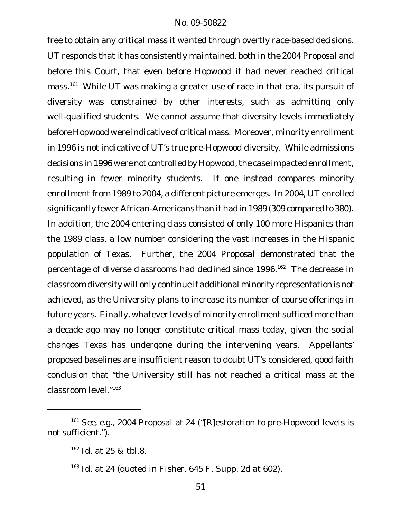free to obtain any critical mass it wanted through overtly race-based decisions. UT responds that it has consistently maintained, both in the *2004 Proposal* and before this Court, that even before *Hopwood* it had never reached critical mass.<sup>161</sup> While UT was making a greater use of race in that era, its pursuit of diversity was constrained by other interests, such as admitting only well-qualified students. We cannot assume that diversity levels immediately before *Hopwood* were indicative of critical mass. Moreover, minority enrollment in 1996 is not indicative of UT's true pre-*Hopwood* diversity. While admissions decisions in 1996 were not controlled by Hopwood, the case impacted enrollment, resulting in fewer minority students. If one instead compares minority enrollment from 1989 to 2004, a different picture emerges. In 2004, UT enrolled significantly fewer African-Americans than it had in 1989 (309 compared to 380). In addition, the 2004 entering class consisted of only 100 more Hispanics than the 1989 class, a low number considering the vast increases in the Hispanic population of Texas. Further, the *2004 Proposal* demonstrated that the percentage of diverse classrooms had declined since 1996.<sup>162</sup> The decrease in classroom diversity will only continue if additional minority representation is not achieved, as the University plans to increase its number of course offerings in future years. Finally, whatever levels of minority enrollment sufficed more than a decade ago may no longer constitute critical mass today, given the social changes Texas has undergone during the intervening years. Appellants' proposed baselines are insufficient reason to doubt UT's considered, good faith conclusion that "the University still has not reached a critical mass at the classroom level."163

<sup>161</sup> *See, e.g.*, *2004 Proposal* at 24 ("[R]estoration to pre-*Hopwood* levels is not sufficient.").

<sup>162</sup> *Id.* at 25 & tbl.8.

<sup>163</sup> *Id.* at 24 (quoted in *Fisher*, 645 F. Supp. 2d at 602).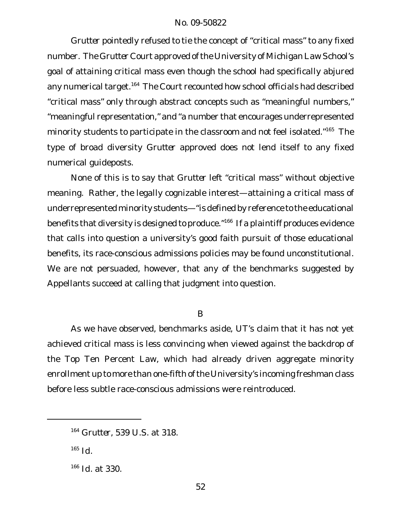*Grutter* pointedly refused to tie the concept of "critical mass" to any fixed number. The *Grutter* Court approved ofthe University of Michigan Law School's goal of attaining critical mass even though the school had specifically abjured any numerical target.<sup>164</sup> The Court recounted how school officials had described "critical mass" only through abstract concepts such as "meaningful numbers," "meaningful representation," and "a number that encourages underrepresented minority students to participate in the classroom and not feel isolated."<sup>165</sup> The type of broad diversity *Grutter* approved does not lend itself to any fixed numerical guideposts.

None of this is to say that *Grutter* left "critical mass" without objective meaning. Rather, the legally cognizable interest—attaining a critical mass of underrepresented minority students—"is defined by reference to the educational benefits that diversity is designed to produce."<sup>166</sup> If a plaintiff produces evidence that calls into question a university's good faith pursuit of those educational benefits, its race-conscious admissions policies may be found unconstitutional. We are not persuaded, however, that any of the benchmarks suggested by Appellants succeed at calling that judgment into question.

### B

As we have observed, benchmarks aside, UT's claim that it has not yet achieved critical mass is less convincing when viewed against the backdrop of the Top Ten Percent Law, which had already driven aggregate minority enrollment up to more than one-fifth of the University's incoming freshman class before less subtle race-conscious admissions were reintroduced.

<sup>164</sup> *Grutter*, 539 U.S. at 318.

<sup>165</sup> *Id.*

<sup>166</sup> *Id.* at 330.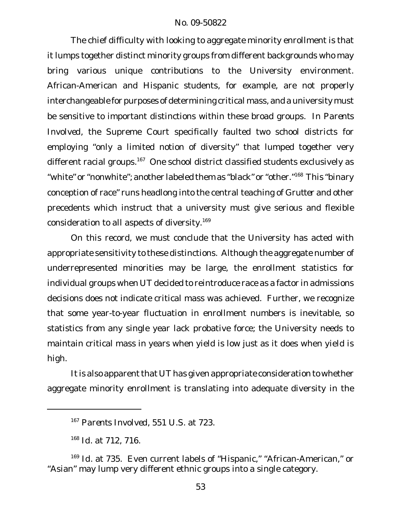The chief difficulty with looking to aggregate minority enrollment is that it lumps together distinct minority groups from different backgrounds who may bring various unique contributions to the University environment. African-American and Hispanic students, for example, are not properly interchangeable for purposes of determining critical mass, and a university must be sensitive to important distinctions within these broad groups. In *Parents Involved*, the Supreme Court specifically faulted two school districts for employing "only a limited notion of diversity" that lumped together very different racial groups.<sup>167</sup> One school district classified students exclusively as "white" or "nonwhite"; another labeled them as "black" or "other."<sup>168</sup> This "binary conception of race" runs headlong into the central teaching of *Grutter* and other precedents which instruct that a university must give serious and flexible consideration to all aspects of diversity.<sup>169</sup>

On this record, we must conclude that the University has acted with appropriate sensitivity to these distinctions. Although the aggregate number of underrepresented minorities may be large, the enrollment statistics for individual groups when UT decided to reintroduce race as a factor in admissions decisions does not indicate critical mass was achieved. Further, we recognize that some year-to-year fluctuation in enrollment numbers is inevitable, so statistics from any single year lack probative force; the University needs to maintain critical mass in years when yield is low just as it does when yield is high.

It is also apparent that UT has given appropriate consideration to whether aggregate minority enrollment is translating into adequate diversity in the

<sup>167</sup> *Parents Involved*, 551 U.S. at 723.

<sup>168</sup> *Id.* at 712, 716.

<sup>169</sup> Id. at 735. Even current labels of "Hispanic," "African-American," or "Asian" may lump very different ethnic groups into a single category.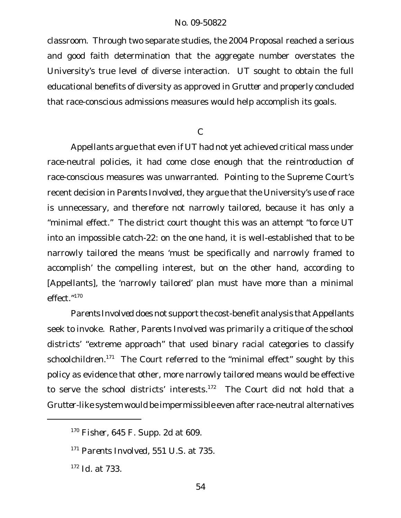classroom. Through two separate studies, the *2004 Proposal* reached a serious and good faith determination that the aggregate number overstates the University's true level of diverse interaction. UT sought to obtain the full educational benefits of diversity as approved in *Grutter* and properly concluded that race-conscious admissions measures would help accomplish its goals.

### C

Appellants argue that even if UT had not yet achieved critical mass under race-neutral policies, it had come close enough that the reintroduction of race-conscious measures was unwarranted. Pointing to the Supreme Court's recent decision in *Parents Involved*, they argue that the University's use of race is unnecessary, and therefore not narrowly tailored, because it has only a "minimal effect." The district court thought this was an attempt "to force UT into an impossible catch-22: on the one hand, it is well-established that to be narrowly tailored the means 'must be specifically and narrowly framed to accomplish' the compelling interest, but on the other hand, according to [Appellants], the 'narrowly tailored' plan must have more than a minimal effect."<sup>170</sup>

Parents Involved does not support the cost-benefit analysis that Appellants seek to invoke. Rather, *Parents Involved* was primarily a critique of the school districts' "extreme approach" that used binary racial categories to classify schoolchildren.<sup>171</sup> The Court referred to the "minimal effect" sought by this policy as evidence that other, more narrowly tailored means would be effective to serve the school districts' interests.<sup>172</sup> The Court did not hold that a *Grutter*-like system would be impermissible even after race-neutral alternatives

<sup>170</sup> *Fisher*, 645 F. Supp. 2d at 609.

<sup>171</sup> *Parents Involved*, 551 U.S. at 735.

<sup>172</sup> *Id.* at 733.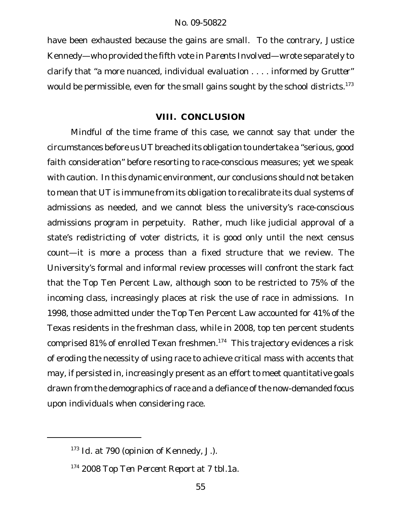have been exhausted because the gains are small. To the contrary, Justice Kennedy—who provided the fifth vote in *Parents Involved*—wrote separately to clarify that "a more nuanced, individual evaluation . . . . informed by *Grutter*" would be permissible, even for the small gains sought by the school districts.<sup>173</sup>

# **VIII. CONCLUSION**

Mindful of the time frame of this case, we cannot say that under the circumstances before us UT breached its obligation to undertake a "serious, good faith consideration" before resorting to race-conscious measures; yet we speak with caution. In this dynamic environment, our conclusions should not be taken to mean that UT is immune from its obligation to recalibrate its dual systems of admissions as needed, and we cannot bless the university's race-conscious admissions program in perpetuity. Rather, much like judicial approval of a state's redistricting of voter districts, it is good only until the next census count—it is more a process than a fixed structure that we review. The University's formal and informal review processes will confront the stark fact that the Top Ten Percent Law, although soon to be restricted to 75% of the incoming class, increasingly places at risk the use of race in admissions. In 1998, those admitted under the Top Ten Percent Law accounted for 41% of the Texas residents in the freshman class, while in 2008, top ten percent students comprised 81% of enrolled Texan freshmen.<sup>174</sup> This trajectory evidences a risk of eroding the necessity of using race to achieve critical mass with accents that may, if persisted in, increasingly present as an effort to meet quantitative goals drawn from the demographics of race and a defiance of the now-demanded focus upon individuals when considering race.

<sup>173</sup> *Id.* at 790 (opinion of Kennedy, J.).

<sup>174</sup> *2008 Top Ten Percent Report* at 7 tbl.1a.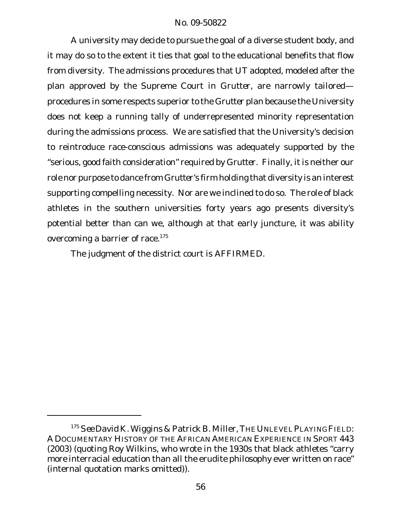A university may decide to pursue the goal of a diverse student body, and it may do so to the extent it ties that goal to the educational benefits that flow from diversity. The admissions procedures that UT adopted, modeled after the plan approved by the Supreme Court in *Grutter*, are narrowly tailored procedures in some respects superior to the *Grutter* plan because the University does not keep a running tally of underrepresented minority representation during the admissions process. We are satisfied that the University's decision to reintroduce race-conscious admissions was adequately supported by the "serious, good faith consideration" required by *Grutter*. Finally, it is neither our role nor purpose to dance from *Grutter*'s firm holding that diversity is an interest supporting compelling necessity. Nor are we inclined to do so. The role of black athletes in the southern universities forty years ago presents diversity's potential better than can we, although at that early juncture, it was ability overcoming a barrier of race.<sup>175</sup>

The judgment of the district court is AFFIRMED.

<sup>175</sup> *See* David K. Wiggins & Patrick B. Miller, THEUNLEVELPLAYINGFIELD: A DOCUMENTARY HISTORY OF THE AFRICAN AMERICAN EXPERIENCE IN SPORT 443 (2003) (quoting Roy Wilkins, who wrote in the 1930s that black athletes "carry more interracial education than all the erudite philosophy ever written on race" (internal quotation marks omitted)).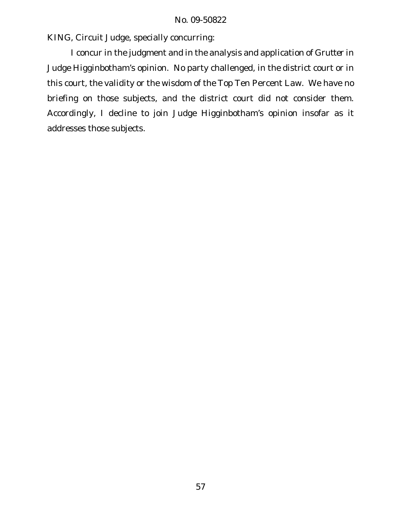KING, Circuit Judge, specially concurring:

I concur in the judgment and in the analysis and application of *Grutter* in Judge Higginbotham's opinion. No party challenged, in the district court or in this court, the validity or the wisdom of the Top Ten Percent Law. We have no briefing on those subjects, and the district court did not consider them. Accordingly, I decline to join Judge Higginbotham's opinion insofar as it addresses those subjects.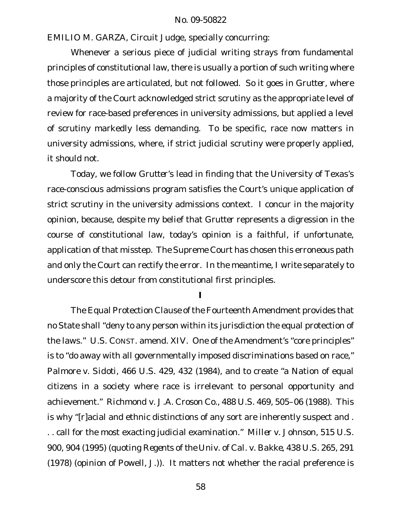EMILIO M. GARZA, Circuit Judge, specially concurring:

Whenever a serious piece of judicial writing strays from fundamental principles of constitutional law, there is usually a portion of such writing where those principles are articulated, but not followed. So it goes in *Grutter*, where a majority of the Court acknowledged strict scrutiny as the appropriate level of review for race-based preferences in university admissions, but applied a level of scrutiny markedly less demanding. To be specific, race now matters in university admissions, where, if strict judicial scrutiny were properly applied, it should not.

Today, we follow *Grutter*'s lead in finding that the University of Texas's race-conscious admissions program satisfies the Court's unique application of strict scrutiny in the university admissions context. I concur in the majority opinion, because, despite my belief that *Grutter* represents a digression in the course of constitutional law, today's opinion is a faithful, if unfortunate, application of that misstep. The Supreme Court has chosen this erroneous path and only the Court can rectify the error. In the meantime, I write separately to underscore this detour from constitutional first principles.

**I**

The Equal Protection Clause of the Fourteenth Amendment provides that no State shall "deny to any person within its jurisdiction the equal protection of the laws." U.S. CONST. amend. XIV. One of the Amendment's "core principles" is to "do away with all governmentally imposed discriminations based on race," *Palmore v. Sidoti*, 466 U.S. 429, 432 (1984), and to create "a Nation of equal citizens in a society where race is irrelevant to personal opportunity and achievement." *Richmond v. J.A. Croson Co.*, 488 U.S. 469, 505–06 (1988). This is why "[r]acial and ethnic distinctions of any sort are inherently suspect and . . . call for the most exacting judicial examination." *Miller v. Johnson*, 515 U.S. 900, 904 (1995) (quoting *Regents of the Univ. of Cal. v. Bakke*, 438 U.S. 265, 291 (1978) (opinion of Powell, J.)). It matters not whether the racial preference is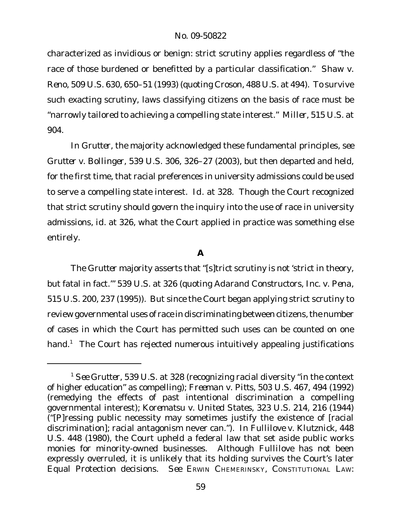characterized as invidious or benign: strict scrutiny applies regardless of "the race of those burdened or benefitted by a particular classification." *Shaw v. Reno*, 509 U.S. 630, 650–51 (1993) (quoting *Croson*, 488 U.S. at 494). To survive such exacting scrutiny, laws classifying citizens on the basis of race must be "narrowly tailored to achieving a compelling state interest." *Miller*, 515 U.S. at 904.

In *Grutter*, the majority acknowledged these fundamental principles, *see Grutter v. Bollinger*, 539 U.S. 306, 326–27 (2003), but then departed and held, for the first time, that racial preferences in university admissions could be used to serve a compelling state interest. *Id.* at 328. Though the Court recognized that strict scrutiny should govern the inquiry into the use of race in university admissions, *id.* at 326, what the Court applied in practice was something else entirely.

# **A**

The *Grutter* majority asserts that "[s]trict scrutiny is not 'strict in theory, but fatal in fact.'" 539 U.S. at 326 (quoting *Adarand Constructors, Inc. v. Pena*, 515 U.S. 200, 237 (1995)). But since the Court began applying strict scrutiny to review governmental uses of race in discriminating between citizens, the number of cases in which the Court has permitted such uses can be counted on one hand.<sup>1</sup> The Court has rejected numerous intuitively appealing justifications

<sup>1</sup> *See Grutter*, 539 U.S. at 328 (recognizing racial diversity "in the context of higher education" as compelling); *Freeman v. Pitts*, 503 U.S. 467, 494 (1992) (remedying the effects of past intentional discrimination a compelling governmental interest); *Korematsu v. United States*, 323 U.S. 214, 216 (1944) ("[P]ressing public necessity may sometimes justify the existence of [racial discrimination]; racial antagonism never can."). In *Fullilove v. Klutznick*, 448 U.S. 448 (1980), the Court upheld a federal law that set aside public works monies for minority-owned businesses. Although *Fullilove* has not been expressly overruled, it is unlikely that its holding survives the Court's later Equal Protection decisions. *See* ERWIN CHEMERINSKY, CONSTITUTIONAL LAW: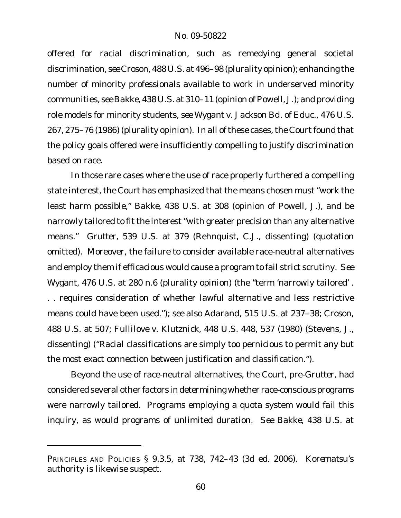offered for racial discrimination, such as remedying general societal discrimination, *see Croson*, 488 U.S. at 496–98 (plurality opinion); enhancing the number of minority professionals available to work in underserved minority communities, *see Bakke*, 438 U.S. at 310–11 (opinion of Powell, J.); and providing role models for minority students, *see Wygant v. Jackson Bd. of Educ.*, 476 U.S. 267, 275–76 (1986) (plurality opinion). In all of these cases, the Court found that the policy goals offered were insufficiently compelling to justify discrimination based on race.

In those rare cases where the use of race properly furthered a compelling state interest, the Court has emphasized that the means chosen must "work the least harm possible," *Bakke*, 438 U.S. at 308 (opinion of Powell, J.), and be narrowly tailored to fit the interest "with greater precision than any alternative means." *Grutter*, 539 U.S. at 379 (Rehnquist, C.J., dissenting) (quotation omitted). Moreover, the failure to consider available race-neutral alternatives and employ them if efficacious would cause a program to fail strict scrutiny. *See Wygant*, 476 U.S. at 280 n.6 (plurality opinion) (the "term 'narrowly tailored' . . . requires consideration of whether lawful alternative and less restrictive means could have been used."); *see also Adarand*, 515 U.S. at 237–38; *Croson*, 488 U.S. at 507; *Fullilove v. Klutznick*, 448 U.S. 448, 537 (1980) (Stevens, J., dissenting) ("Racial classifications are simply too pernicious to permit any but the most exact connection between justification and classification.").

Beyond the use of race-neutral alternatives, the Court, pre-*Grutter*, had considered several other factors in determining whether race-conscious programs were narrowly tailored. Programs employing a quota system would fail this inquiry, as would programs of unlimited duration. *See Bakke*, 438 U.S. at

PRINCIPLES AND POLICIES § 9.3.5, at 738, 742–43 (3d ed. 2006). *Korematsu*'s authority is likewise suspect.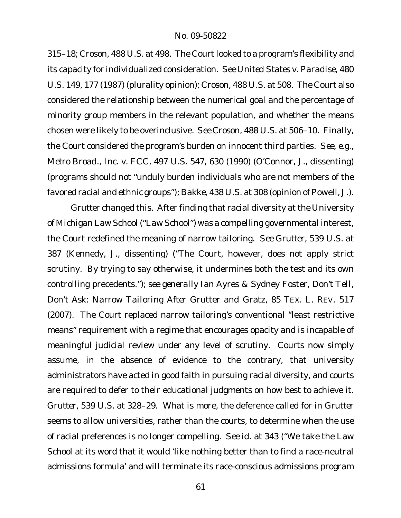315–18; *Croson*, 488 U.S. at 498. The Court looked to a program's flexibility and its capacity for individualized consideration. *See United States v. Paradise*, 480 U.S. 149, 177 (1987) (plurality opinion); *Croson*, 488 U.S. at 508. The Court also considered the relationship between the numerical goal and the percentage of minority group members in the relevant population, and whether the means chosen were likely to be overinclusive. *See Croson*, 488 U.S. at 506–10. Finally, the Court considered the program's burden on innocent third parties. *See, e.g., Metro Broad., Inc. v. FCC*, 497 U.S. 547, 630 (1990) (O'Connor, J., dissenting) (programs should not "unduly burden individuals who are not members of the favored racial and ethnic groups"); *Bakke*, 438 U.S. at 308 (opinion of Powell, J.).

*Grutter* changed this. After finding that racial diversity at the University of Michigan Law School ("Law School") was a compelling governmental interest, the Court redefined the meaning of narrow tailoring. *See Grutter*, 539 U.S. at 387 (Kennedy, J., dissenting) ("The Court, however, does not apply strict scrutiny. By trying to say otherwise, it undermines both the test and its own controlling precedents."); *see generally* Ian Ayres & Sydney Foster, *Don't Tell, Don't Ask: Narrow Tailoring After* Grutter *and* Gratz, 85 TEX. L. REV. 517 (2007). The Court replaced narrow tailoring's conventional "least restrictive means" requirement with a regime that encourages opacity and is incapable of meaningful judicial review under any level of scrutiny. Courts now simply assume, in the absence of evidence to the contrary, that university administrators have acted in good faith in pursuing racial diversity, and courts are required to defer to their educational judgments on how best to achieve it. *Grutter*, 539 U.S. at 328–29. What is more, the deference called for in *Grutter* seems to allow universities, rather than the courts, to determine when the use of racial preferences is no longer compelling. *See id.* at 343 ("We take the Law School at its word that it would 'like nothing better than to find a race-neutral admissions formula' and will terminate its race-conscious admissions program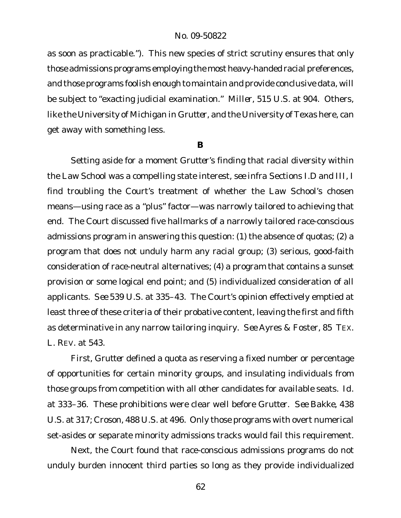as soon as practicable."). This new species of strict scrutiny ensures that only those admissions programs employing the most heavy-handed racial preferences, and those programs foolish enough to maintain and provide conclusive data, will be subject to "exacting judicial examination." *Miller*, 515 U.S. at 904. Others, like the University of Michigan in *Grutter*, and the University of Texas here, can get away with something less.

**B**

Setting aside for a moment *Grutter*'s finding that racial diversity within the Law School was a compelling state interest, *see infra* Sections I.D and III, I find troubling the Court's treatment of whether the Law School's chosen means—using race as a "plus" factor—was narrowly tailored to achieving that end. The Court discussed five hallmarks of a narrowly tailored race-conscious admissions program in answering this question: (1) the absence of quotas; (2) a program that does not unduly harm any racial group; (3) serious, good-faith consideration of race-neutral alternatives; (4) a program that contains a sunset provision or some logical end point; and (5) individualized consideration of all applicants. *See* 539 U.S. at 335–43. The Court's opinion effectively emptied at least three of these criteria of their probative content, leaving the first and fifth as determinative in any narrow tailoring inquiry. *See* Ayres & Foster, 85 TEX. L. REV. at 543.

First, *Grutter* defined a quota as reserving a fixed number or percentage of opportunities for certain minority groups, and insulating individuals from those groups from competition with all other candidates for available seats. *Id.* at 333–36. These prohibitions were clear well before *Grutter. See Bakke*, 438 U.S. at 317; *Croson*, 488 U.S. at 496. Only those programs with overt numerical set-asides or separate minority admissions tracks would fail this requirement.

Next, the Court found that race-conscious admissions programs do not unduly burden innocent third parties so long as they provide individualized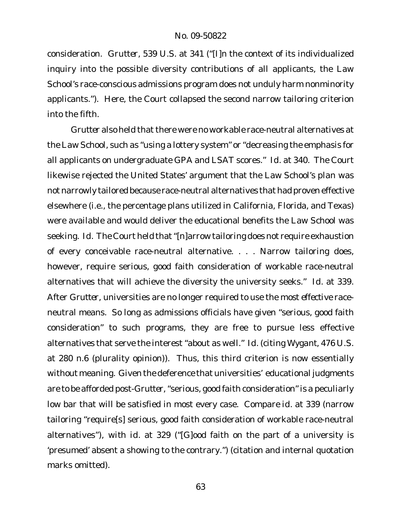consideration. *Grutter*, 539 U.S. at 341 ("[I]n the context of its individualized inquiry into the possible diversity contributions of all applicants, the Law School's race-conscious admissions program does not unduly harm nonminority applicants."). Here, the Court collapsed the second narrow tailoring criterion into the fifth.

*Grutter* also held that there were no workable race-neutral alternatives at the Law School, such as "using a lottery system" or "decreasing the emphasis for all applicants on undergraduate GPA and LSAT scores." *Id.* at 340. The Court likewise rejected the United States' argument that the Law School's plan was not narrowly tailored because race-neutral alternatives that had proven effective elsewhere (i.e., the percentage plans utilized in California, Florida, and Texas) were available and would deliver the educational benefits the Law School was seeking. *Id.* The Court held that "[n]arrow tailoring does not require exhaustion of every conceivable race-neutral alternative. . . . Narrow tailoring does, however, require serious, good faith consideration of workable race-neutral alternatives that will achieve the diversity the university seeks." *Id.* at 339. After *Grutter*, universities are no longer required to use the *most effective* raceneutral means. So long as admissions officials have given "serious, good faith consideration" to such programs, they are free to pursue less effective alternatives that serve the interest "about as well." *Id.* (citing *Wygant*, 476 U.S. at 280 n.6 (plurality opinion)). Thus, this third criterion is now essentially without meaning. Given the deference that universities' educational judgments are to be afforded post-Grutter, "serious, good faith consideration" is a peculiarly low bar that will be satisfied in most every case. *Compare id.* at 339 (narrow tailoring "require[s] serious, good faith consideration of workable race-neutral alternatives"), *with id.* at 329 ("[G]ood faith on the part of a university is 'presumed' absent a showing to the contrary.") (citation and internal quotation marks omitted).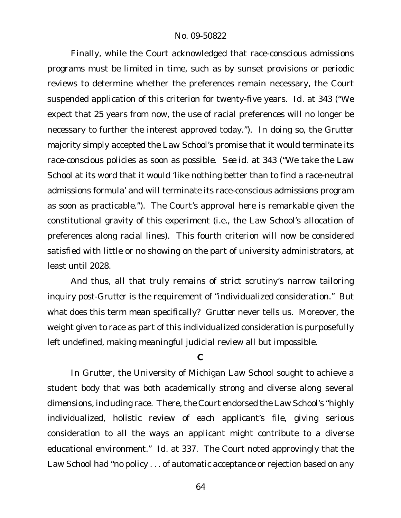Finally, while the Court acknowledged that race-conscious admissions programs must be limited in time, such as by sunset provisions or periodic reviews to determine whether the preferences remain necessary, the Court suspended application of this criterion for twenty-five years. *Id.* at 343 ("We expect that 25 years from now, the use of racial preferences will no longer be necessary to further the interest approved today."). In doing so, the *Grutter* majority simply accepted the Law School's promise that it would terminate its race-conscious policies as soon as possible. *See id.* at 343 ("We take the Law School at its word that it would 'like nothing better than to find a race-neutral admissions formula' and will terminate its race-conscious admissions program as soon as practicable."). The Court's approval here is remarkable given the constitutional gravity of this experiment (i.e., the Law School's allocation of preferences along racial lines). This fourth criterion will now be considered satisfied with little or no showing on the part of university administrators, at least until 2028.

And thus, all that truly remains of strict scrutiny's narrow tailoring inquiry post-*Grutter* is the requirement of "individualized consideration." But what does this term mean specifically? *Grutter* never tells us. Moreover, the weight given to race as part of this individualized consideration is purposefully left undefined, making meaningful judicial review all but impossible.

#### **C**

In *Grutter*, the University of Michigan Law School sought to achieve a student body that was both academically strong and diverse along several dimensions, including race. There, the Court endorsed the Law School's "highly individualized, holistic review of each applicant's file, giving serious consideration to all the ways an applicant might contribute to a diverse educational environment." *Id*. at 337. The Court noted approvingly that the Law School had "no policy . . . of automatic acceptance or rejection based on any

64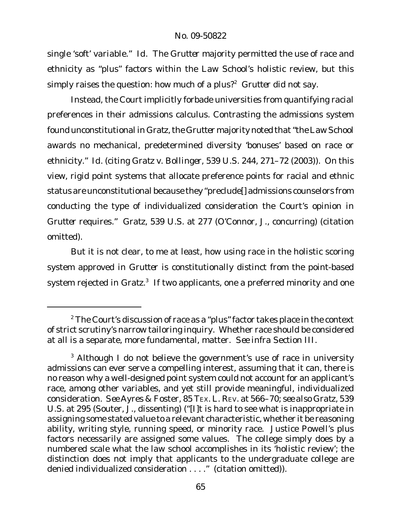single 'soft' variable." *Id.* The *Grutter* majority permitted the use of race and ethnicity as "plus" factors within the Law School's holistic review, but this simply raises the question: how much of a plus?<sup>2</sup> Grutter did not say.

Instead, the Court implicitly forbade universities from quantifying racial preferences in their admissions calculus. Contrasting the admissions system found unconstitutional in *Gratz*, the *Grutter* majority noted that"the Law School awards no mechanical, predetermined diversity 'bonuses' based on race or ethnicity." *Id.* (citing *Gratz v. Bollinger*, 539 U.S. 244, 271–72 (2003)). On this view, rigid point systems that allocate preference points for racial and ethnic status are unconstitutional because they "preclude[] admissions counselors from conducting the type of individualized consideration the Court's opinion in *Grutter* requires." *Gratz*, 539 U.S. at 277 (O'Connor, J., concurring) (citation omitted).

But it is not clear, to me at least, how using race in the holistic scoring system approved in *Grutter* is constitutionally distinct from the point-based system rejected in Gratz.<sup>3</sup> If two applicants, one a preferred minority and one

 $2$  The Court's discussion of race as a "plus" factor takes place in the context of strict scrutiny's narrow tailoring inquiry. Whether race should be considered at all is a separate, more fundamental, matter. *See infra* Section III.

<sup>&</sup>lt;sup>3</sup> Although I do not believe the government's use of race in university admissions can ever serve a compelling interest, assuming that it can, there is no reason why a well-designed point system could not account for an applicant's race, among other variables, and yet still provide meaningful, individualized consideration. *See* Ayres & Foster, 85 TEX. L. REV. at 566–70; *see also Gratz*, 539 U.S. at 295 (Souter, J., dissenting) ("[I]t is hard to see what is inappropriate in assigning some stated value to a relevant characteristic, whether it be reasoning ability, writing style, running speed, or minority race. Justice Powell's plus factors necessarily are assigned some values. The college simply does by a numbered scale what the law school accomplishes in its 'holistic review'; the distinction does not imply that applicants to the undergraduate college are denied individualized consideration . . . ." (citation omitted)).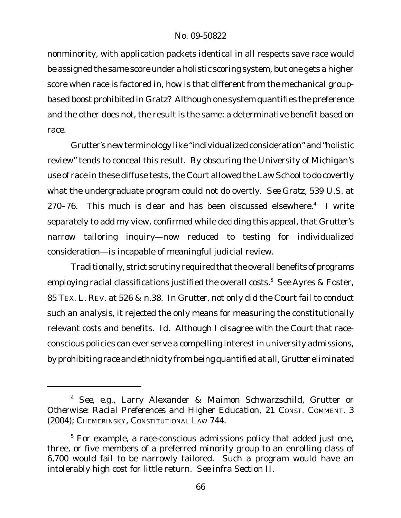nonminority, with application packets *identical* in all respects save race would be assigned the same score under a holistic scoring system, but one gets a higher score when race is factored in, how is that different from the mechanical groupbased boost prohibited in *Gratz*? Although one system quantifies the preference and the other does not, the result is the same: a determinative benefit based on race.

*Grutter*'s new terminology like "individualized consideration" and "holistic review" tends to conceal this result. By obscuring the University of Michigan's use of race in these diffuse tests, the Court allowed the Law School to do covertly what the undergraduate program could not do overtly. *See Gratz*, 539 U.S. at 270–76. This much is clear and has been discussed elsewhere.<sup>4</sup> I write separately to add my view, confirmed while deciding this appeal, that *Grutter*'s narrow tailoring inquiry—now reduced to testing for individualized consideration—is incapable of meaningful judicial review.

Traditionally, strict scrutiny required that the overall benefits of programs employing racial classifications justified the overall costs.<sup>5</sup> *See* Ayres & Foster, 85 TEX. L. REV. at 526 & n.38. In *Grutter*, not only did the Court fail to conduct such an analysis, it rejected the only means for measuring the constitutionally relevant costs and benefits. *Id.* Although I disagree with the Court that raceconscious policies can ever serve a compelling interest in university admissions, by prohibiting race and ethnicity from being quantified at all, *Grutter* eliminated

<sup>4</sup> *See, e.g.,* Larry Alexander & Maimon Schwarzschild, Grutter *or Otherwise: Racial Preferences and Higher Education*, 21 CONST. COMMENT. 3 (2004); CHEMERINSKY, CONSTITUTIONAL LAW 744.

<sup>&</sup>lt;sup>5</sup> For example, a race-conscious admissions policy that added just one, three, or five members of a preferred minority group to an enrolling class of 6,700 would fail to be narrowly tailored. Such a program would have an intolerably high cost for little return. *See infra* Section II.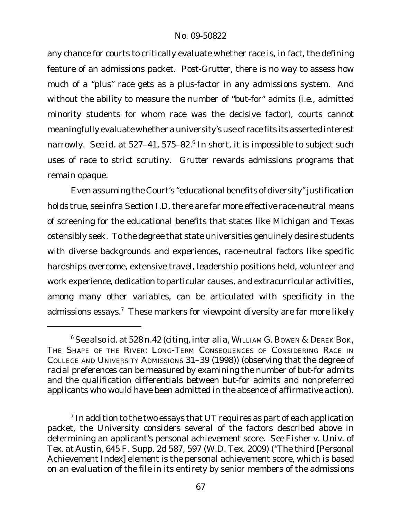any chance for courts to critically evaluate whether race is, in fact, the defining feature of an admissions packet. Post-*Grutter*, there is no way to assess how much of a "plus" race gets as a plus-factor in any admissions system. And without the ability to measure the number of "but-for" admits (i.e., admitted minority students for whom race was the decisive factor), courts cannot meaningfully evaluate whether a university's use of race fits its asserted interest narrowly. See id. at 527–41, 575–82.<sup>6</sup> In short, it is impossible to subject such uses of race to strict scrutiny. *Grutter* rewards admissions programs that remain opaque.

Even assuming the Court's "educational benefits of diversity" justification holds true, *see infra* Section I.D, there are far more effective *race-neutral* means of screening for the educational benefits that states like Michigan and Texas ostensibly seek. To the degree that state universities genuinely desire students with diverse backgrounds and experiences, race-neutral factors like specific hardships overcome, extensive travel, leadership positions held, volunteer and work experience, dedication to particular causes, and extracurricular activities, among many other variables, can be articulated with specificity in the admissions essays.<sup>7</sup> These markers for viewpoint diversity are far more likely

<sup>6</sup> *See also id.* at 528 n.42 (citing, *inter alia*, WILLIAM G. BOWEN & DEREK BOK, THE SHAPE OF THE RIVER: LONG-TERM CONSEQUENCES OF CONSIDERING RACE IN COLLEGE AND UNIVERSITY ADMISSIONS 31–39 (1998)) (observing that the degree of racial preferences can be measured by examining the number of but-for admits and the qualification differentials between but-for admits and nonpreferred applicants who would have been admitted in the absence of affirmative action).

 $^7$  In addition to the two essays that UT requires as part of each application packet, the University considers several of the factors described above in determining an applicant's personal achievement score. *See Fisher v. Univ. of Tex. at Austin*, 645 F. Supp. 2d 587, 597 (W.D. Tex. 2009) ("The third [Personal Achievement Index] element is the personal achievement score, which is based on an evaluation of the file in its entirety by senior members of the admissions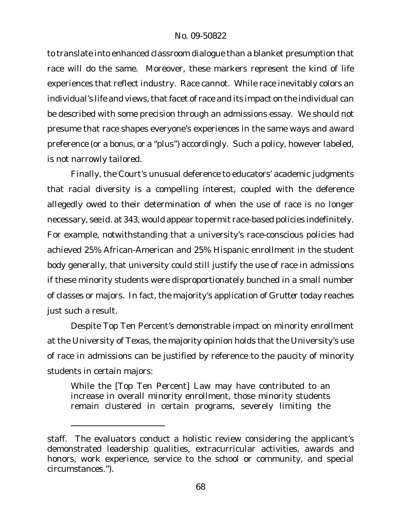to translate into enhanced classroom dialogue than a blanket presumption that race will do the same. Moreover, these markers represent the kind of life experiences that reflect industry. Race cannot. While race inevitably colors an individual's life and views, that facet of race and its impact on the individual can be described with some precision through an admissions essay. We should not presume that race shapes everyone's experiences in the same ways and award preference (or a bonus, or a "plus") accordingly. Such a policy, however labeled, is not narrowly tailored.

Finally, the Court's unusual deference to educators' academic judgments that racial diversity is a compelling interest, coupled with the deference allegedly owed to their determination of when the use of race is no longer necessary, *see id.* at 343, would appear to permit race-based policies indefinitely. For example, notwithstanding that a university's race-conscious policies had achieved 25% African-American and 25% Hispanic enrollment in the student body generally, that university could still justify the use of race in admissions if these minority students were disproportionately bunched in a small number of classes or majors. In fact, the majority's application of *Grutter* today reaches just such a result.

Despite Top Ten Percent's demonstrable impact on minority enrollment at the University of Texas, the majority opinion holds that the University's use of race in admissions can be justified by reference to the paucity of minority students in certain majors:

While the [Top Ten Percent] Law may have contributed to an increase in overall minority enrollment, those minority students remain clustered in certain programs, severely limiting the

staff. The evaluators conduct a holistic review considering the applicant's demonstrated leadership qualities, extracurricular activities, awards and honors, work experience, service to the school or community, and special circumstances.").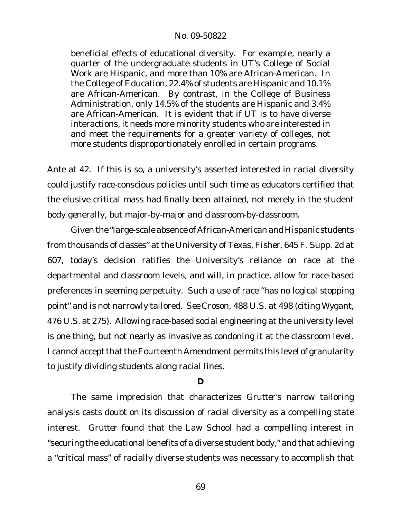beneficial effects of educational diversity. For example, nearly a quarter of the undergraduate students in UT's College of Social Work are Hispanic, and more than 10% are African-American. In the College of Education, 22.4% of students are Hispanic and 10.1% are African-American. By contrast, in the College of Business Administration, only 14.5% of the students are Hispanic and 3.4% are African-American. It is evident that if UT is to have diverse interactions, it needs more minority students who are interested in and meet the requirements for a greater variety of colleges, not more students disproportionately enrolled in certain programs.

*Ante* at 42. If this is so, a university's asserted interested in racial diversity could justify race-conscious policies until such time as educators certified that the elusive critical mass had finally been attained, not merely in the student body generally, but major-by-major and classroom-by-classroom.

Given the "large-scale absence of African-American and Hispanic students from thousands of classes" at the University of Texas, *Fisher*, 645 F. Supp. 2d at 607, today's decision ratifies the University's reliance on race at the departmental and classroom levels, and will, in practice, allow for race-based preferences in seeming perpetuity. Such a use of race "has no logical stopping point" and is not narrowly tailored. *See Croson*, 488 U.S. at 498 (citing *Wygant*, 476 U.S. at 275). Allowing race-based social engineering at the university level is one thing, but not nearly as invasive as condoning it at the classroom level. I cannot accept that the Fourteenth Amendment permits this level of granularity to justify dividing students along racial lines.

### **D**

The same imprecision that characterizes *Grutter*'s narrow tailoring analysis casts doubt on its discussion of racial diversity as a compelling state interest. *Grutter* found that the Law School had a compelling interest in "securing the educational benefits of a diverse student body," and that achieving a "critical mass" of racially diverse students was necessary to accomplish that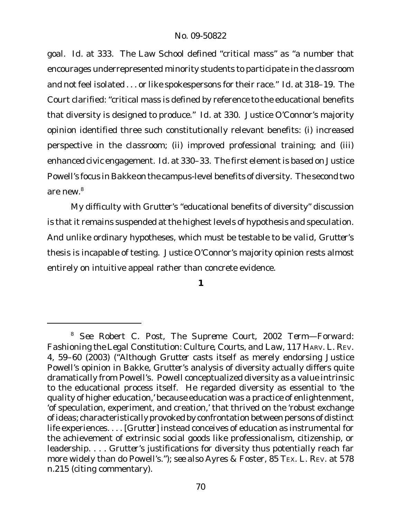goal. *Id.* at 333. The Law School defined "critical mass" as "a number that encourages underrepresented minority students to participate in the classroom and not feel isolated . . . or like spokespersons for their race." *Id.* at 318–19. The Court clarified: "critical mass is defined by reference to the educational benefits that diversity is designed to produce." *Id.* at 330. Justice O'Connor's majority opinion identified three such constitutionally relevant benefits: (i) increased perspective in the classroom; (ii) improved professional training; and (iii) enhanced civic engagement. *Id.* at 330–33. The first element is based on Justice Powell's focus in *Bakke* on the campus-level benefits of diversity. The second two are new.<sup>8</sup>

My difficulty with *Grutter*'s "educational benefits of diversity" discussion is that it remains suspended at the highest levels of hypothesis and speculation. And unlike ordinary hypotheses, which must be testable to be valid, *Grutter*'s thesis is incapable of testing. Justice O'Connor's majority opinion rests almost entirely on intuitive appeal rather than concrete evidence.

**1**

<sup>8</sup> *See* Robert C. Post, *The Supreme Court, 2002 Term—Forward: Fashioning the Legal Constitution: Culture, Courts, and Law*, 117 HARV. L. REV. 4, 59–60 (2003) ("Although *Grutter* casts itself as merely endorsing Justice Powell's opinion in Bakke, *Grutter*'s analysis of diversity actually differs quite dramatically from Powell's. Powell conceptualized diversity as a value intrinsic to the educational process itself. He regarded diversity as essential to 'the quality of higher education,' because education was a practice of enlightenment, 'of speculation, experiment, and creation,' that thrived on the 'robust exchange of ideas; characteristically provoked by confrontation between persons of distinct life experiences. . . . [*Grutter*] instead conceives of education as instrumental for the achievement of extrinsic social goods like professionalism, citizenship, or leadership. . . . *Grutter*'s justifications for diversity thus potentially reach far more widely than do Powell's."); *see also* Ayres & Foster, 85 TEX. L. REV. at 578 n.215 (citing commentary).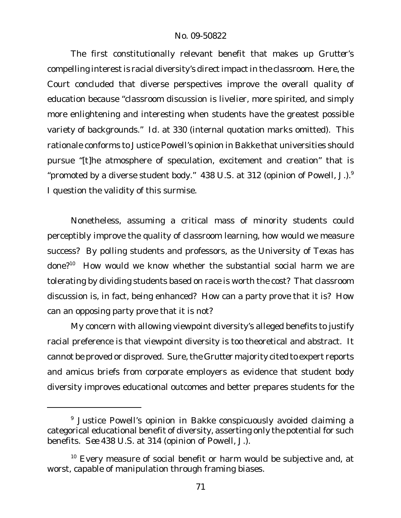The first constitutionally relevant benefit that makes up *Grutter*'s compelling interest is racial diversity's direct impact in the classroom. Here, the Court concluded that diverse perspectives improve the overall quality of education because "classroom discussion is livelier, more spirited, and simply more enlightening and interesting when students have the greatest possible variety of backgrounds." *Id.* at 330 (internal quotation marks omitted). This rationale conforms to Justice Powell's opinion in *Bakke* that universities should pursue "[t]he atmosphere of speculation, excitement and creation" that is "promoted by a diverse student body." 438 U.S. at 312 (opinion of Powell, J.). $9$ I question the validity of this surmise.

Nonetheless, assuming a critical mass of minority students could perceptibly improve the quality of classroom learning, how would we measure success? By polling students and professors, as the University of Texas has done?<sup>10</sup> How would we know whether the substantial social harm we are tolerating by dividing students based on race is worth the cost? That classroom discussion is, in fact, being enhanced? How can a party prove that it is? How can an opposing party prove that it is not?

My concern with allowing viewpoint diversity's alleged benefits to justify racial preference is that viewpoint diversity is too theoretical and abstract. It cannot be proved or disproved. Sure, the *Grutter* majority cited to expert reports and amicus briefs from corporate employers as evidence that student body diversity improves educational outcomes and better prepares students for the

<sup>9</sup> Justice Powell's opinion in *Bakke* conspicuously avoided claiming a categorical educational benefit of diversity, asserting only the potential for such benefits. *See* 438 U.S. at 314 (opinion of Powell, J.).

 $10$  Every measure of social benefit or harm would be subjective and, at worst, capable of manipulation through framing biases.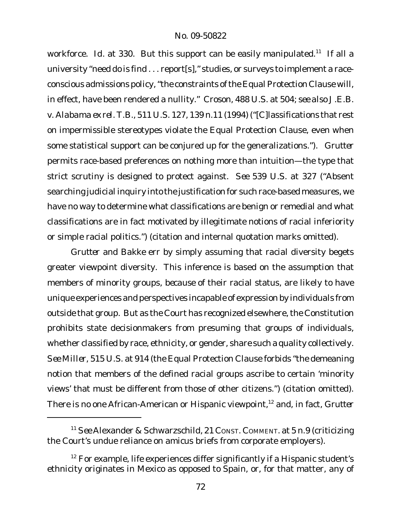workforce. Id. at 330. But this support can be easily manipulated.<sup>11</sup> If all a university "need do is find . . . report[s]," studies, or surveys to implement a raceconscious admissions policy,"the constraints of the Equal Protection Clause will, in effect, have been rendered a nullity." *Croson*, 488 U.S. at 504; *see also J.E.B. v. Alabama ex rel. T.B.*, 511 U.S. 127, 139 n.11 (1994) ("[C]lassifications that rest on impermissible stereotypes violate the Equal Protection Clause, even when some statistical support can be conjured up for the generalizations."). *Grutter* permits race-based preferences on nothing more than intuition—the type that strict scrutiny is designed to protect against. *See* 539 U.S. at 327 ("Absent searching judicial inquiry into the justification for such race-based measures, we have no way to determine what classifications are benign or remedial and what classifications are in fact motivated by illegitimate notions of racial inferiority or simple racial politics.") (citation and internal quotation marks omitted).

*Grutter* and *Bakke* err by simply assuming that racial diversity begets greater viewpoint diversity. This inference is based on the assumption that members of minority groups, *because of* their racial status, are likely to have unique experiences and perspectives incapable of expression by individuals from outside that group. But as the Court has recognized elsewhere, the Constitution prohibits state decisionmakers from presuming that groups of individuals, whether classified by race, ethnicity, or gender, share such a quality collectively. *See Miller*, 515 U.S. at 914 (the Equal Protection Clause forbids "the demeaning notion that members of the defined racial groups ascribe to certain 'minority views' that must be different from those of other citizens.") (citation omitted). There is no one African-American or Hispanic viewpoint,<sup>12</sup> and, in fact, *Grutter*

<sup>11</sup> *See* Alexander & Schwarzschild, 21 CONST. COMMENT. at 5 n.9 (criticizing the Court's undue reliance on amicus briefs from corporate employers).

 $12$  For example, life experiences differ significantly if a Hispanic student's ethnicity originates in Mexico as opposed to Spain, or, for that matter, any of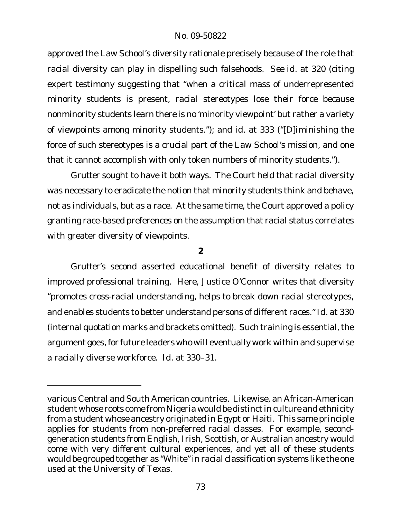approved the Law School's diversity rationale precisely because of the role that racial diversity can play in dispelling such falsehoods. *See id.* at 320 (citing expert testimony suggesting that "when a critical mass of underrepresented minority students is present, racial stereotypes lose their force because nonminority students learn there is no 'minority viewpoint' but rather a variety of viewpoints among minority students."); and *id.* at 333 ("[D]iminishing the force of such stereotypes is a crucial part of the Law School's mission, and one that it cannot accomplish with only token numbers of minority students.").

*Grutter* sought to have it both ways. The Court held that racial diversity was necessary to eradicate the notion that minority students think and behave, not as individuals, but as a race. At the same time, the Court approved a policy granting race-based preferences on the assumption that racial status correlates with greater diversity of viewpoints.

**2**

*Grutter*'s second asserted educational benefit of diversity relates to improved professional training. Here, Justice O'Connor writes that diversity "promotes cross-racial understanding, helps to break down racial stereotypes, and enables students to better understand persons of different races." *Id.* at 330 (internal quotation marks and brackets omitted). Such training is essential, the argument goes, for future leaders who will eventually work within and supervise a racially diverse workforce. *Id.* at 330–31.

various Central and South American countries. Likewise, an African-American student whose roots come from Nigeria would be distinct in culture and ethnicity from a student whose ancestry originated in Egypt or Haiti. This same principle applies for students from non-preferred racial classes. For example, secondgeneration students from English, Irish, Scottish, or Australian ancestry would come with very different cultural experiences, and yet all of these students would be grouped together as "White"in racial classification systems like the one used at the University of Texas.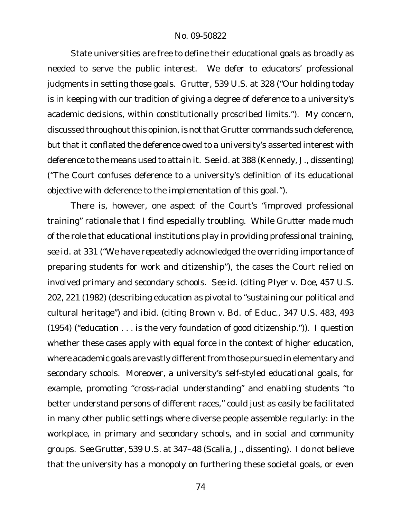State universities are free to define their educational goals as broadly as needed to serve the public interest. We defer to educators' professional judgments in setting those goals. *Grutter*, 539 U.S. at 328 ("Our holding today is in keeping with our tradition of giving a degree of deference to a university's academic decisions, within constitutionally proscribed limits."). My concern, discussed throughout this opinion, is not that Grutter commands such deference, but that it conflated the deference owed to a university's asserted interest with deference to the means used to attain it. *See id.* at 388 (Kennedy, J., dissenting) ("The Court confuses deference to a university's definition of its educational objective with deference to the implementation of this goal.").

There is, however, one aspect of the Court's "improved professional training" rationale that I find especially troubling. While *Grutter* made much of the role that educational institutions play in providing professional training, *see id.* at 331 ("We have repeatedly acknowledged the overriding importance of preparing students for work and citizenship"), the cases the Court relied on involved primary and secondary schools. *See id.* (citing *Plyer v. Doe*, 457 U.S. 202, 221 (1982) (describing education as pivotal to "sustaining our political and cultural heritage") and *ibid.* (citing *Brown v. Bd. of Educ.*, 347 U.S. 483, 493 (1954) ("education . . . is the very foundation of good citizenship.")). I question whether these cases apply with equal force in the context of higher education, where academic goals are vastly different from those pursued in elementary and secondary schools. Moreover, a university's self-styled educational goals, for example, promoting "cross-racial understanding" and enabling students "to better understand persons of different races," could just as easily be facilitated in many other public settings where diverse people assemble regularly: in the workplace, in primary and secondary schools, and in social and community groups. *See Grutter*, 539 U.S. at 347–48 (Scalia, J., dissenting). I do not believe that the university has a monopoly on furthering these societal goals, or even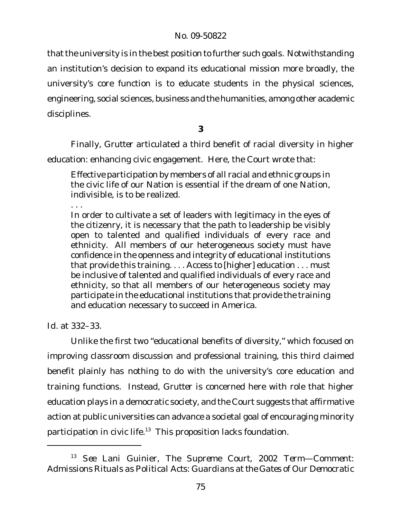that the university is in the best position to further such goals. Notwithstanding an institution's decision to expand its educational mission more broadly, the university's core function is to educate students in the physical sciences, engineering, social sciences, business and the humanities, among other academic disciplines.

**3**

Finally, *Grutter* articulated a third benefit of racial diversity in higher education: enhancing civic engagement. Here, the Court wrote that:

Effective participation by members of all racial and ethnic groups in the civic life of our Nation is essential if the dream of one Nation, indivisible, is to be realized.

. . .

In order to cultivate a set of leaders with legitimacy in the eyes of the citizenry, it is necessary that the path to leadership be visibly open to talented and qualified individuals of every race and ethnicity. All members of our heterogeneous society must have confidence in the openness and integrity of educational institutions that provide this training. . . . Access to [higher] education . . . must be inclusive of talented and qualified individuals of every race and ethnicity, so that all members of our heterogeneous society may participate in the educational institutions that provide the training and education necessary to succeed in America.

*Id.* at 332–33.

Unlike the first two "educational benefits of diversity," which focused on improving classroom discussion and professional training, this third claimed benefit plainly has nothing to do with the university's core education and training functions. Instead, *Grutter* is concerned here with role that higher education plays in a democratic society, and the Court suggests that affirmative action at public universities can advance a societal goal of encouraging minority participation in civic life.<sup>13</sup> This proposition lacks foundation.

<sup>13</sup> *See* Lani Guinier, *The Supreme Court, 2002 Term—Comment: Admissions Rituals as Political Acts: Guardians at the Gates of Our Democratic*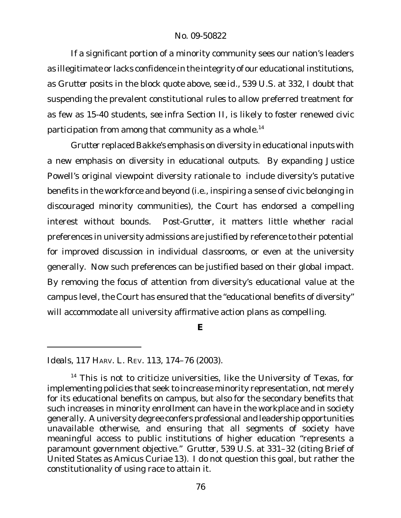If a significant portion of a minority community sees our nation's leaders as illegitimate or lacks confidence in the integrity of our educational institutions, as *Grutter* posits in the block quote above, *see id.*, 539 U.S. at 332, I doubt that suspending the prevalent constitutional rules to allow preferred treatment for as few as 15-40 students, *see infra* Section II, is likely to foster renewed civic participation from among that community as a whole.<sup>14</sup>

*Grutter* replaced *Bakke's* emphasis on diversity in educational *inputs* with a new emphasis on diversity in educational *outputs*. By expanding Justice Powell's original viewpoint diversity rationale to include diversity's putative benefits in the workforce and beyond (i.e., inspiring a sense of civic belonging in discouraged minority communities), the Court has endorsed a compelling interest without bounds. Post-*Grutter*, it matters little whether racial preferences in university admissions are justified by reference to their potential for improved discussion in individual classrooms, or even at the university generally. Now such preferences can be justified based on their global impact. By removing the focus of attention from diversity's educational value at the campus level, the Court has ensured that the "educational benefits of diversity" will accommodate all university affirmative action plans as compelling.

**E**

*Ideals*, 117 HARV. L. REV. 113, 174–76 (2003).

<sup>&</sup>lt;sup>14</sup> This is not to criticize universities, like the University of Texas, for implementing policies that seek to increase minority representation, not merely for its educational benefits on campus, but also for the secondary benefits that such increases in minority enrollment can have in the workplace and in society generally. A university degree confers professional and leadership opportunities unavailable otherwise, and ensuring that all segments of society have meaningful access to public institutions of higher education "represents a paramount government objective." *Grutter*, 539 U.S. at 331–32 (citing Brief of United States as Amicus Curiae 13). I do not question this goal, but rather the constitutionality of using race to attain it.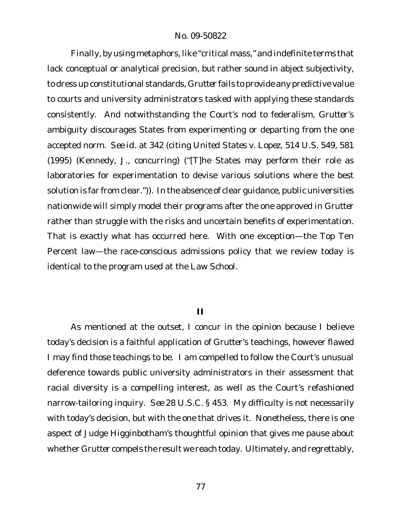Finally, by using metaphors, like "critical mass," and indefinite terms that lack conceptual or analytical precision, but rather sound in abject subjectivity, to dress up constitutional standards, *Grutter* fails to provide any predictive value to courts and university administrators tasked with applying these standards consistently. And notwithstanding the Court's nod to federalism, *Grutter*'s ambiguity discourages States from experimenting or departing from the one accepted norm. *See id.* at 342 (citing *United States v. Lopez*, 514 U.S. 549, 581 (1995) (Kennedy, J., concurring) ("[T]he States may perform their role as laboratories for experimentation to devise various solutions where the best solution is far from clear.")). In the absence of clear guidance, public universities nationwide will simply model their programs after the one approved in *Grutter* rather than struggle with the risks and uncertain benefits of experimentation. That is exactly what has occurred here. With one exception—the Top Ten Percent law—the race-conscious admissions policy that we review today is identical to the program used at the Law School.

#### **II**

As mentioned at the outset, I concur in the opinion because I believe today's decision is a faithful application of *Grutter*'s teachings, however flawed I may find those teachings to be. I am compelled to follow the Court's unusual deference towards public university administrators in their assessment that racial diversity is a compelling interest, as well as the Court's refashioned narrow-tailoring inquiry. *See* 28 U.S.C. § 453. My difficulty is not necessarily with today's decision, but with the one that drives it. Nonetheless, there is one aspect of Judge Higginbotham's thoughtful opinion that gives me pause about whether *Grutter* compels the result we reach today. Ultimately, and regrettably,

77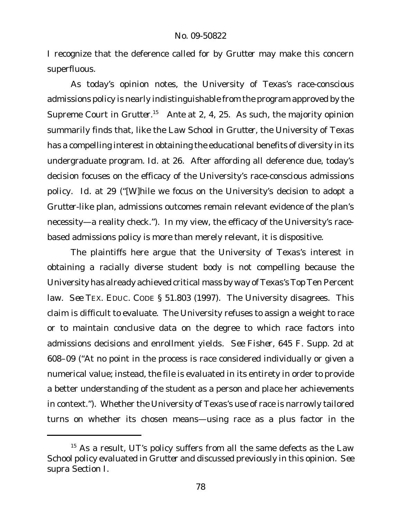I recognize that the deference called for by *Grutter* may make this concern superfluous.

As today's opinion notes, the University of Texas's race-conscious admissions policy is nearly indistinguishable from the program approved by the Supreme Court in Grutter.<sup>15</sup> Ante at 2, 4, 25. As such, the majority opinion summarily finds that, like the Law School in *Grutter*, the University of Texas has a compelling interest in obtaining the educational benefits of diversity in its undergraduate program. *Id.* at 26. After affording all deference due, today's decision focuses on the efficacy of the University's race-conscious admissions policy. *Id.* at 29 ("[W]hile we focus on the University's decision to adopt a *Grutter*-like plan, admissions outcomes remain relevant evidence of the plan's necessity—a reality check."). In my view, the efficacy of the University's racebased admissions policy is more than merely relevant, it is dispositive.

The plaintiffs here argue that the University of Texas's interest in obtaining a racially diverse student body is not compelling because the University has already achieved critical mass by way of Texas's Top Ten Percent law. *See* TEX. EDUC. CODE § 51.803 (1997). The University disagrees. This claim is difficult to evaluate. The University refuses to assign a weight to race or to maintain conclusive data on the degree to which race factors into admissions decisions and enrollment yields. *See Fisher*, 645 F. Supp. 2d at 608–09 ("At no point in the process is race considered individually or given a numerical value; instead, the file is evaluated in its entirety in order to provide a better understanding of the student as a person and place her achievements in context."). Whether the University of Texas's use of race is narrowly tailored turns on whether its chosen means—using race as a plus factor in the

<sup>&</sup>lt;sup>15</sup> As a result, UT's policy suffers from all the same defects as the Law School policy evaluated in *Grutter* and discussed previously in this opinion. *See supra* Section I.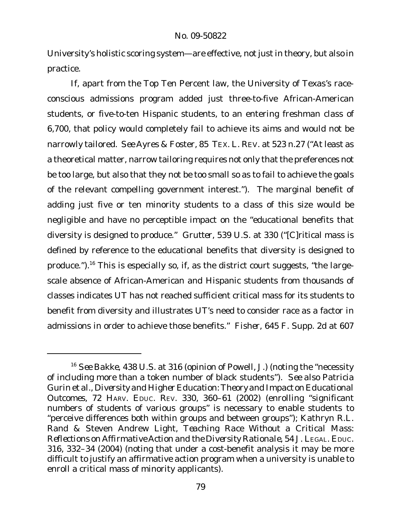University's holistic scoring system—are effective, not just in theory, but also in practice.

If, apart from the Top Ten Percent law, the University of Texas's raceconscious admissions program added just three-to-five African-American students, or five-to-ten Hispanic students, to an entering freshman class of 6,700, that policy would completely fail to achieve its aims and would not be narrowly tailored. *See* Ayres & Foster, 85 TEX. L. REV. at 523 n.27 ("At least as a theoretical matter, narrow tailoring requires not only that the preferences not be too large, but also that they not be too small so as to fail to achieve the goals of the relevant compelling government interest."). The marginal benefit of adding just five or ten minority students to a class of this size would be negligible and have no perceptible impact on the "educational benefits that diversity is designed to produce." *Grutter*, 539 U.S. at 330 ("[C]ritical mass is defined by reference to the educational benefits that diversity is designed to produce.").<sup>16</sup> This is especially so, if, as the district court suggests, "the largescale absence of African-American and Hispanic students from thousands of classes indicates UT has not reached sufficient critical mass for its students to benefit from diversity and illustrates UT's need to consider race as a factor in admissions in order to achieve those benefits." *Fisher*, 645 F. Supp. 2d at 607

<sup>16</sup> *See Bakke*, 438 U.S. at 316 (opinion of Powell, J.) (noting the "necessity of including more than a token number of black students"). *See also* Patricia Gurin et al., *Diversity and Higher Education:Theory and Impact on Educational Outcomes*, 72 HARV. EDUC. REV. 330, 360–61 (2002) (enrolling "significant numbers of students of various groups" is necessary to enable students to "perceive differences both within groups and between groups"); Kathryn R.L. Rand & Steven Andrew Light, *Teaching Race Without a Critical Mass: Reflections on Affirmative Action and the Diversity Rationale*, 54 J. LEGAL. EDUC. 316, 332–34 (2004) (noting that under a cost-benefit analysis it may be more difficult to justify an affirmative action program when a university is unable to enroll a critical mass of minority applicants).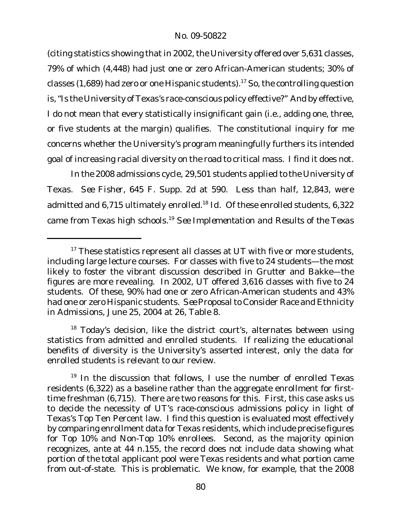(citing statistics showing that in 2002, the University offered over 5,631 classes, 79% of which (4,448) had just one or zero African-American students; 30% of classes (1,689) had zero or one Hispanic students).<sup>17</sup> So, the controlling question is,"Is the University of Texas's race-conscious policy effective?" And by effective, I do not mean that every statistically insignificant gain (i.e., adding one, three, or five students at the margin) qualifies. The constitutional inquiry for me concerns whether the University's program meaningfully furthers its intended goal of increasing racial diversity on the road to critical mass. I find it does not.

In the 2008 admissions cycle, 29,501 students applied to the University of Texas. *See Fisher*, 645 F. Supp. 2d at 590. Less than half, 12,843, were admitted and 6,715 ultimately enrolled.<sup>18</sup> *Id*. Of these enrolled students, 6,322 came from Texas high schools.<sup>19</sup> *See Implementation and Results of the Texas*

<sup>&</sup>lt;sup>17</sup> These statistics represent all classes at UT with five or more students, including large lecture courses. For classes with five to 24 students—the most likely to foster the vibrant discussion described in *Grutter* and *Bakke*—the figures are more revealing. In 2002, UT offered 3,616 classes with five to 24 students. Of these, 90% had one or zero African-American students and 43% had one or zero Hispanic students. *See* Proposalto Consider Race and Ethnicity in Admissions, June 25, 2004 at 26, Table 8.

 $18$  Today's decision, like the district court's, alternates between using statistics from admitted and enrolled students. If realizing the educational benefits of diversity is the University's asserted interest, only the data for enrolled students is relevant to our review.

 $19$  In the discussion that follows, I use the number of enrolled Texas residents (6,322) as a baseline rather than the aggregate enrollment for firsttime freshman (6,715). There are two reasons for this. First, this case asks us to decide the necessity of UT's race-conscious admissions policy in light of Texas's Top Ten Percent law. I find this question is evaluated most effectively by comparing enrollment data for Texas residents, which include precise figures for Top 10% and Non-Top 10% enrollees. Second, as the majority opinion recognizes, *ante* at 44 n.155, the record does not include data showing what portion of the total applicant pool were Texas residents and what portion came from out-of-state. This is problematic. We know, for example, that the 2008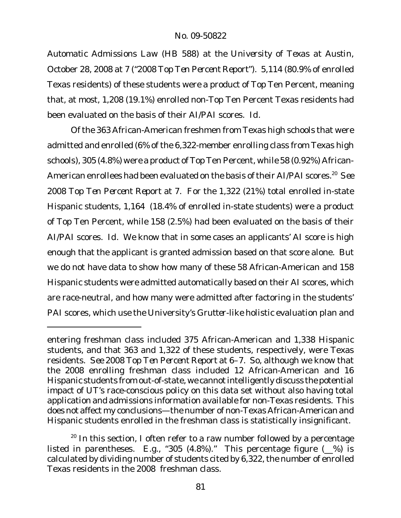*Automatic Admissions Law (HB 588) at the University of Texas at Austin*, October 28, 2008 at 7 ("*2008 Top Ten Percent Report*"). 5,114 (80.9% of enrolled Texas residents) of these students were a product of Top Ten Percent, meaning that, at most, 1,208 (19.1%) enrolled non-Top Ten Percent Texas residents had been evaluated on the basis of their AI/PAI scores. *Id.*

Of the 363 African-American freshmen from Texas high schools that were admitted and enrolled (6% of the 6,322-member enrolling class from Texas high schools), 305 (4.8%) were a product of Top Ten Percent, while 58 (0.92%) African-American enrollees had been evaluated on the basis of their AI/PAI scores.<sup>20</sup> See *2008 Top Ten Percent Report* at 7. For the 1,322 (21%) total enrolled in-state Hispanic students, 1,164 (18.4% of enrolled in-state students) were a product of Top Ten Percent, while 158 (2.5%) had been evaluated on the basis of their AI/PAI scores. *Id.* We know that in some cases an applicants' AI score is high enough that the applicant is granted admission based on that score alone. But we do not have data to show how many of these 58 African-American and 158 Hispanic students were admitted automatically based on their AI scores, which are race-neutral, and how many were admitted after factoring in the students' PAI scores, which use the University's *Grutter*-like holistic evaluation plan and

entering freshman class included 375 African-American and 1,338 Hispanic students, and that 363 and 1,322 of these students, respectively, were Texas residents. *See 2008 Top Ten Percent Report* at 6–7. So, although we know that the 2008 enrolling freshman class included 12 African-American and 16 Hispanic students from out-of-state, we cannot intelligently discuss the potential impact of UT's race-conscious policy on this data set without also having total application and admissions information available for non-Texas residents. This does not affect my conclusions—the number of non-Texas African-American and Hispanic students enrolled in the freshman class is statistically insignificant.

 $20$  In this section, I often refer to a raw number followed by a percentage listed in parentheses. *E.g.*, "305 (4.8%)." This percentage figure (\_\_%) is calculated by dividing number of students cited by 6,322, the number of enrolled Texas residents in the 2008 freshman class.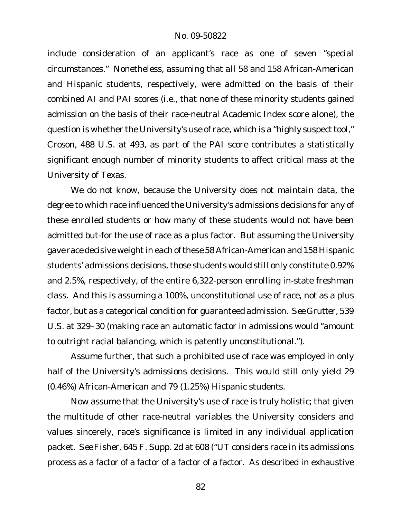include consideration of an applicant's race as one of seven "special circumstances." Nonetheless, assuming that *all* 58 and 158 African-American and Hispanic students, respectively, were admitted on the basis of their combined AI and PAI scores (i.e., that none of these minority students gained admission on the basis of their race-neutral Academic Index score alone), the question is whether the University's use of race, which is a "highly suspect tool," *Croson*, 488 U.S. at 493, as part of the PAI score contributes a statistically significant enough number of minority students to affect critical mass at the University of Texas.

We do not know, because the University does not maintain data, the degree to which race influenced the University's admissions decisions for any of these enrolled students or how many of these students would not have been admitted but-for the use of race as a plus factor. But assuming the University gave race decisive weight in each of these 58 African-American and 158 Hispanic students' admissions decisions, those students would still only constitute 0.92% and 2.5%, respectively, of the entire 6,322-person enrolling in-state freshman class. And this is assuming a 100%, unconstitutional use of race, not as a plus factor, but as a categorical condition for guaranteed admission. *See Grutter*, 539 U.S. at 329–30 (making race an automatic factor in admissions would "amount to outright racial balancing, which is patently unconstitutional.").

Assume further, that such a prohibited use of race was employed in only half of the University's admissions decisions. This would still only yield 29 (0.46%) African-American and 79 (1.25%) Hispanic students.

Now assume that the University's use of race is truly holistic; that given the multitude of other race-neutral variables the University considers and values sincerely, race's significance is limited in any individual application packet. *See Fisher*, 645 F. Supp. 2d at 608 ("UT considers race in its admissions process as a factor of a factor of a factor of a factor. As described in exhaustive

82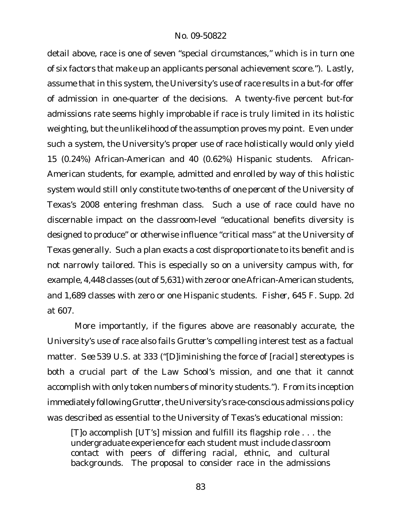detail above, race is one of seven "special circumstances," which is in turn one of six factors that make up an applicants personal achievement score."). Lastly, assume that in this system, the University's use of race results in a but-for offer of admission in one-quarter of the decisions. A twenty-five percent but-for admissions rate seems highly improbable if race is truly limited in its holistic weighting, but the unlikelihood of the assumption proves my point. Even under such a system, the University's proper use of race holistically would only yield 15 (0.24%) African-American and 40 (0.62%) Hispanic students. African-American students, for example, admitted and enrolled by way of this holistic system would still only constitute *two-tenths of one percent* of the University of Texas's 2008 entering freshman class. Such a use of race could have no discernable impact on the classroom-level "educational benefits diversity is designed to produce" or otherwise influence "critical mass" at the University of Texas generally. Such a plan exacts a cost disproportionate to its benefit and is not narrowly tailored. This is especially so on a university campus with, for example, 4,448 classes (out of 5,631) with zero or one African-American students, and 1,689 classes with zero or one Hispanic students. *Fisher*, 645 F. Supp. 2d at 607.

More importantly, if the figures above are reasonably accurate, the University's use of race also fails *Grutter*'s compelling interest test as a factual matter. *See* 539 U.S. at 333 ("[D]iminishing the force of [racial] stereotypes is both a crucial part of the Law School's mission, and one that it cannot accomplish with only token numbers of minority students."). From its inception immediately following Grutter, the University's race-conscious admissions policy was described as essential to the University of Texas's educational mission:

[T]o accomplish [UT's] mission and fulfill its flagship role . . . the undergraduate experience for each student must include *classroom* contact with peers of differing racial, ethnic, and cultural backgrounds. The proposal to consider race in the admissions

83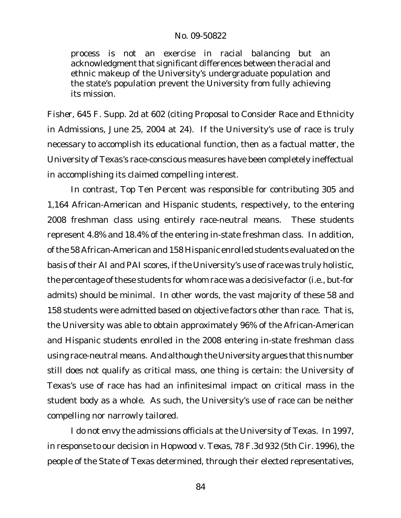process is not an exercise in racial balancing but an acknowledgment that significant differences between the racial and ethnic makeup of the University's undergraduate population and the state's population prevent the University from fully achieving its mission.

*Fisher*, 645 F. Supp. 2d at 602 (citing Proposal to Consider Race and Ethnicity in Admissions, June 25, 2004 at 24). If the University's use of race is truly necessary to accomplish its educational function, then as a factual matter, the University of Texas's race-conscious measures have been completely ineffectual in accomplishing its claimed compelling interest.

In contrast, Top Ten Percent was responsible for contributing 305 and 1,164 African-American and Hispanic students, respectively, to the entering 2008 freshman class using entirely race-neutral means. These students represent 4.8% and 18.4% of the entering in-state freshman class. In addition, ofthe 58 African-American and 158 Hispanic enrolled students evaluated on the basis of their AI and PAI scores, if the University's use of race was truly holistic, the percentage of these students for whom race was a decisive factor (i.e., but-for admits) should be minimal. In other words, the vast majority of these 58 and 158 students were admitted based on objective factors other than race. That is, the University was able to obtain approximately 96% of the African-American and Hispanic students enrolled in the 2008 entering in-state freshman class using race-neutral means. And although the University argues that this number still does not qualify as critical mass, one thing is certain: the University of Texas's use of race has had an infinitesimal impact on critical mass in the student body as a whole. As such, the University's use of race can be neither compelling nor narrowly tailored.

I do not envy the admissions officials at the University of Texas. In 1997, in response to our decision in *Hopwood v. Texas*, 78 F.3d 932 (5th Cir. 1996), the people of the State of Texas determined, through their elected representatives,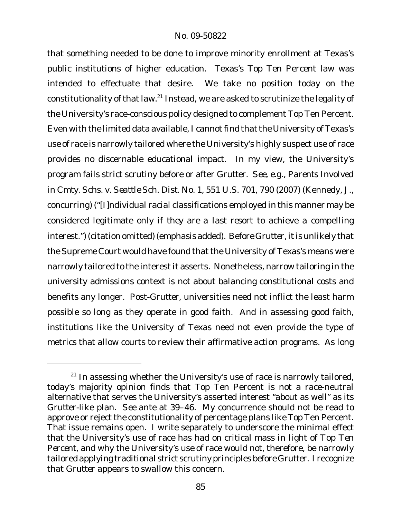that something needed to be done to improve minority enrollment at Texas's public institutions of higher education. Texas's Top Ten Percent law was intended to effectuate that desire. We take no position today on the constitutionality of that law.<sup>21</sup> Instead, we are asked to scrutinize the legality of the University's race-conscious policy designed to complement Top Ten Percent. Even with the limited data available, I cannot find that the University of Texas's use of race is narrowly tailored where the University's highly suspect use of race provides no discernable educational impact. In my view, the University's program fails strict scrutiny before or after *Grutter*. *See, e.g., Parents Involved in Cmty. Schs. v. Seattle Sch. Dist. No. 1*, 551 U.S. 701, 790 (2007) (Kennedy, J., concurring) ("[I]ndividual racial classifications employed in this manner may be considered legitimate *only if they are a last resort* to achieve a compelling interest.") (citation omitted) (emphasis added). Before Grutter, it is unlikely that the Supreme Court would have found that the University of Texas's means were narrowly tailored to the interest it asserts. Nonetheless, narrow tailoring in the university admissions context is not about balancing constitutional costs and benefits any longer. Post-*Grutter*, universities need not inflict the least harm possible so long as they operate in good faith. And in assessing good faith, institutions like the University of Texas need not even provide the type of metrics that allow courts to review their affirmative action programs. As long

 $21$  In assessing whether the University's use of race is narrowly tailored, today's majority opinion finds that Top Ten Percent is not a race-neutral alternative that serves the University's asserted interest "about as well" as its *Grutter*-like plan. *See ante* at 39–46. My concurrence should not be read to approve or reject the constitutionality of percentage plans like Top Ten Percent. That issue remains open. I write separately to underscore the minimal effect that the University's use of race has had on critical mass *in light of Top Ten Percent*, and why the University's use of race would not, therefore, be narrowly tailored applying traditional strict scrutiny principles before *Grutter*. I recognize that *Grutter* appears to swallow this concern.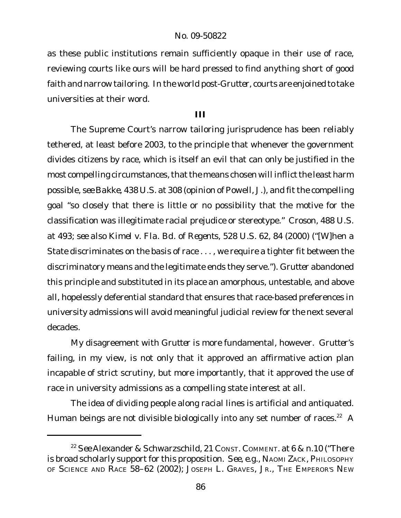as these public institutions remain sufficiently opaque in their use of race, reviewing courts like ours will be hard pressed to find anything short of good faith and narrow tailoring. In the world post-*Grutter*, courts are enjoined to take universities at their word.

### **III**

The Supreme Court's narrow tailoring jurisprudence has been reliably tethered, at least before 2003, to the principle that whenever the government divides citizens by race, which is itself an evil that can only be justified in the most compelling circumstances, that the means chosen will inflict the least harm possible, *see Bakke*, 438 U.S. at 308 (opinion of Powell, J.), and fit the compelling goal "so closely that there is little or no possibility that the motive for the classification was illegitimate racial prejudice or stereotype." *Croson*, 488 U.S. at 493; *see also Kimel v. Fla. Bd. of Regents*, 528 U.S. 62, 84 (2000) ("[W]hen a State discriminates on the basis of race . . . , we require a tighter fit between the discriminatory means and the legitimate ends they serve."). *Grutter* abandoned this principle and substituted in its place an amorphous, untestable, and above all, hopelessly deferential standard that ensures that race-based preferences in university admissions will avoid meaningful judicial review for the next several decades.

My disagreement with *Grutter* is more fundamental, however. *Grutter*'s failing, in my view, is not only that it approved an affirmative action plan incapable of strict scrutiny, but more importantly, that it approved the use of race in university admissions as a compelling state interest at all.

The idea of dividing people along racial lines is artificial and antiquated. Human beings are not divisible biologically into any set number of races.<sup>22</sup> A

<sup>22</sup> *See* Alexander & Schwarzschild, 21 CONST. COMMENT. at 6 & n.10 ("There is broad scholarly support for this proposition. *See, e.g.*, NAOMI ZACK, PHILOSOPHY OF SCIENCE AND RACE 58–62 (2002); JOSEPH L. GRAVES, JR., THE EMPEROR'S NEW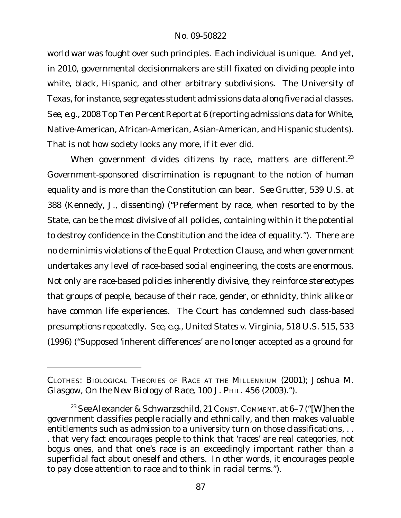world war was fought over such principles. Each individual is unique. And yet, in 2010, governmental decisionmakers are still fixated on dividing people into white, black, Hispanic, and other arbitrary subdivisions. The University of Texas,for instance, segregates student admissions data along five racial classes. *See, e.g.*, *2008 Top Ten Percent Report* at 6 (reporting admissions data for White, Native-American, African-American, Asian-American, and Hispanic students). That is not how society looks any more, if it ever did.

When government divides citizens by race, matters are different. $23$ Government-sponsored discrimination is repugnant to the notion of human equality and is more than the Constitution can bear. *See Grutter*, 539 U.S. at 388 (Kennedy, J., dissenting) ("Preferment by race, when resorted to by the State, can be the most divisive of all policies, containing within it the potential to destroy confidence in the Constitution and the idea of equality."). There are no *de minimis* violations of the Equal Protection Clause, and when government undertakes any level of race-based social engineering, the costs are enormous. Not only are race-based policies inherently divisive, they reinforce stereotypes that groups of people, because of their race, gender, or ethnicity, think alike or have common life experiences. The Court has condemned such class-based presumptions repeatedly. *See, e.g., United States v. Virginia*, 518 U.S. 515, 533 (1996) ("Supposed 'inherent differences' are no longer accepted as a ground for

CLOTHES: BIOLOGICAL THEORIES OF RACE AT THE MILLENNIUM (2001); Joshua M. Glasgow, *On the New Biology of Race*, 100 J. PHIL. 456 (2003).").

<sup>&</sup>lt;sup>23</sup> See Alexander & Schwarzschild, 21 Const. Comment. at 6-7 ("[W]hen the government classifies people racially and ethnically, and then makes valuable entitlements such as admission to a university turn on those classifications, . . . that very fact encourages people to think that 'races' are real categories, not bogus ones, and that one's race is an exceedingly important rather than a superficial fact about oneself and others. In other words, it encourages people to pay close attention to race and to think in racial terms.").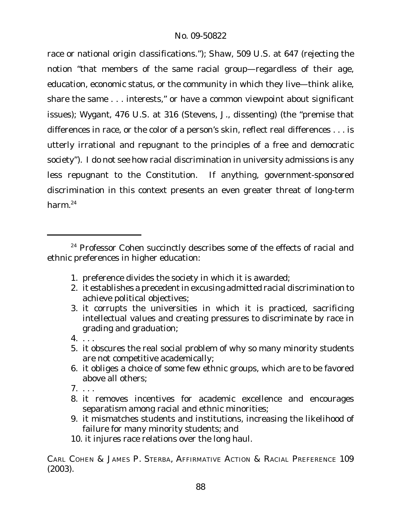race or national origin classifications."); *Shaw*, 509 U.S. at 647 (rejecting the notion "that members of the same racial group—regardless of their age, education, economic status, or the community in which they live—think alike, share the same . . . interests," or have a common viewpoint about significant issues); *Wygant*, 476 U.S. at 316 (Stevens, J., dissenting) (the "premise that differences in race, or the color of a person's skin, reflect real differences . . . is utterly irrational and repugnant to the principles of a free and democratic society"). I do not see how racial discrimination in university admissions is any less repugnant to the Constitution. If anything, government-sponsored discrimination in this context presents an even greater threat of long-term harm.24

- 1. preference divides the society in which it is awarded;
- 2. it establishes a precedent in excusing admitted racial discrimination to achieve political objectives;
- 3. it corrupts the universities in which it is practiced, sacrificing intellectual values and creating pressures to discriminate by race in grading and graduation;
- 4. . . .
- 5. it obscures the real social problem of why so many minority students are not competitive academically;
- 6. it obliges a choice of some few ethnic groups, which are to be favored above all others;
- 7. . . .
- 8. it removes incentives for academic excellence and encourages separatism among racial and ethnic minorities;
- 9. it mismatches students and institutions, increasing the likelihood of failure for many minority students; and
- 10. it injures race relations over the long haul.

CARL COHEN & JAMES P. STERBA, AFFIRMATIVE ACTION & RACIAL PREFERENCE 109 (2003).

<sup>&</sup>lt;sup>24</sup> Professor Cohen succinctly describes some of the effects of racial and ethnic preferences in higher education: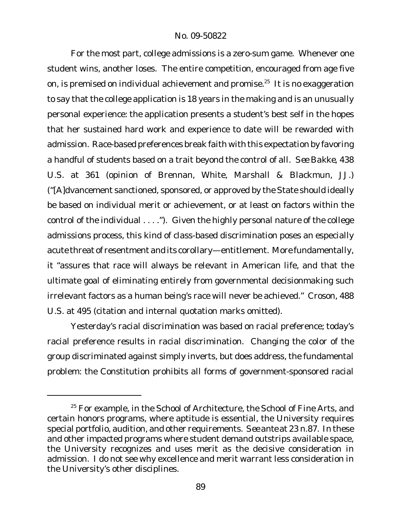For the most part, college admissions is a zero-sum game. Whenever one student wins, another loses. The entire competition, encouraged from age five on, is premised on *individual* achievement and promise.<sup>25</sup> It is no exaggeration to say that the college application is 18 years in the making and is an unusually personal experience: the application presents a student's best self in the hopes that her sustained hard work and experience to date will be rewarded with admission. Race-based preferences break faith with this expectation by favoring a handful of students based on a trait beyond the control of all. *See Bakke*, 438 U.S. at 361 (opinion of Brennan, White, Marshall & Blackmun, JJ.) ("[A]dvancement sanctioned, sponsored, or approved by the State should ideally be based on individual merit or achievement, or at least on factors within the control of the individual . . . ."). Given the highly personal nature of the college admissions process, this kind of class-based discrimination poses an especially acute threat of resentment and its corollary—entitlement. More fundamentally, it "assures that race will always be relevant in American life, and that the ultimate goal of eliminating entirely from governmental decisionmaking such irrelevant factors as a human being's race will never be achieved." *Croson*, 488 U.S. at 495 (citation and internal quotation marks omitted).

Yesterday's racial discrimination was based on racial preference; today's racial preference results in racial discrimination. Changing the color of the group discriminated against simply inverts, but does address, the fundamental problem: the Constitution prohibits all forms of government-sponsored racial

 $25$  For example, in the School of Architecture, the School of Fine Arts, and certain honors programs, where aptitude is essential, the University requires special portfolio, audition, and other requirements. *See ante* at 23 n.87. In these and other impacted programs where student demand outstrips available space, the University recognizes and uses merit as the decisive consideration in admission. I do not see why excellence and merit warrant less consideration in the University's other disciplines.